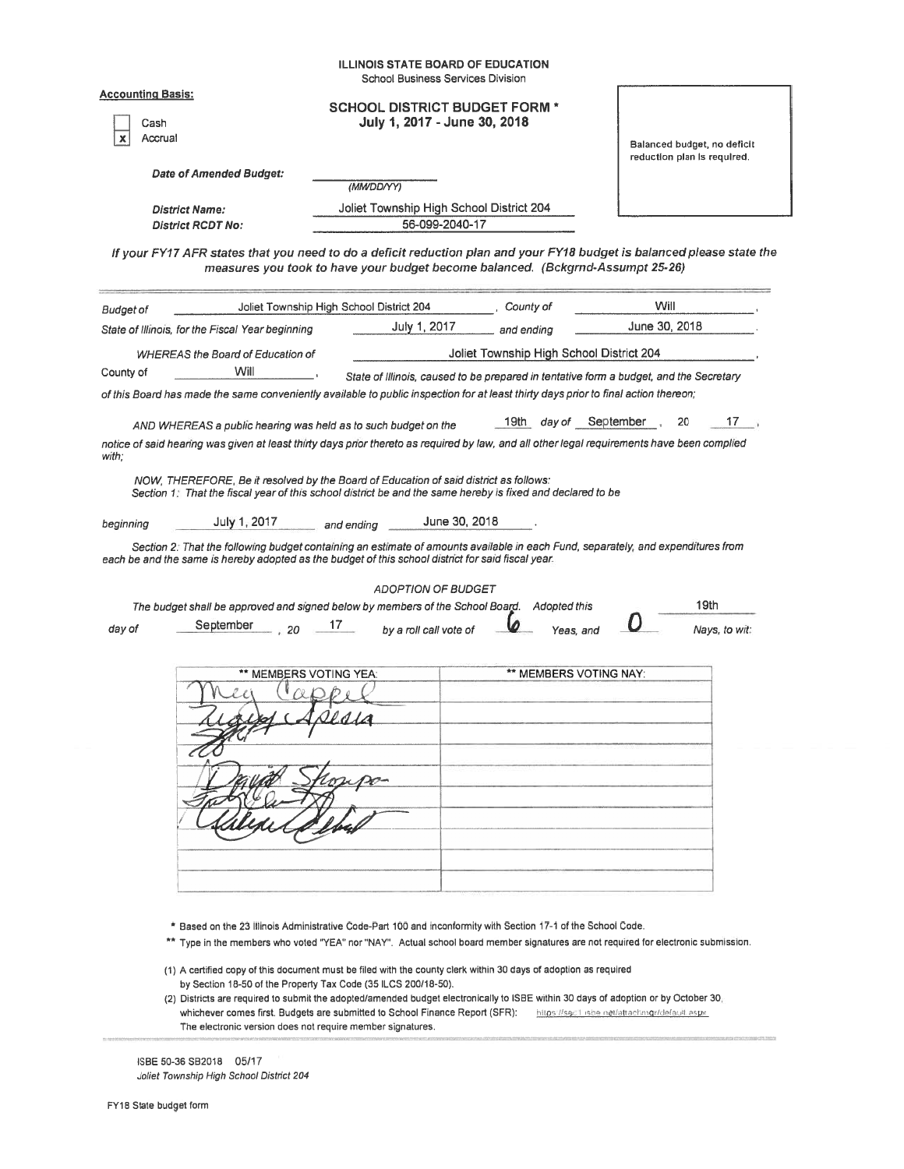ILLINOIS STATE BOARD OF EDUCATION School Business Services Division

| <b>Accounting Basis:</b><br>Cash                                                                                                                                                                                                       |                                                                                                                | <b>SCHOOL DISTRICT BUDGET FORM *</b><br>July 1, 2017 - June 30, 2018                   |                        |                                                            |
|----------------------------------------------------------------------------------------------------------------------------------------------------------------------------------------------------------------------------------------|----------------------------------------------------------------------------------------------------------------|----------------------------------------------------------------------------------------|------------------------|------------------------------------------------------------|
| Accrual                                                                                                                                                                                                                                |                                                                                                                |                                                                                        |                        | Balanced budget, no deficit<br>reduction plan is required. |
| Date of Amended Budget:                                                                                                                                                                                                                | (MM/DD/YY)                                                                                                     |                                                                                        |                        |                                                            |
| <b>District Name:</b><br><b>District RCDT No:</b>                                                                                                                                                                                      |                                                                                                                | Joliet Township High School District 204<br>56-099-2040-17                             |                        |                                                            |
| If your FY17 AFR states that you need to do a deficit reduction plan and your FY18 budget is balanced please state the                                                                                                                 | measures you took to have your budget become balanced. (Bckgrnd-Assumpt 25-26)                                 |                                                                                        |                        |                                                            |
| <b>Budget of</b>                                                                                                                                                                                                                       | Joliet Township High School District 204                                                                       | County of                                                                              | <b>Will</b>            |                                                            |
| State of Illinois, for the Fiscal Year beginning                                                                                                                                                                                       | July 1, 2017                                                                                                   | and ending                                                                             | June 30, 2018          |                                                            |
| <b>WHEREAS the Board of Education of</b>                                                                                                                                                                                               |                                                                                                                | Joliet Township High School District 204                                               |                        |                                                            |
| Will<br>County of                                                                                                                                                                                                                      |                                                                                                                | State of Illinois, caused to be prepared in tentative form a budget, and the Secretary |                        |                                                            |
| of this Board has made the same conveniently available to public inspection for at least thirty days prior to final action thereon;                                                                                                    |                                                                                                                |                                                                                        |                        |                                                            |
|                                                                                                                                                                                                                                        |                                                                                                                |                                                                                        | 19th day of September  | 17.<br>20                                                  |
| AND WHEREAS a public hearing was held as to such budget on the<br>notice of said hearing was given at least thirty days prior thereto as required by law, and all other legal requirements have been complied<br>with:                 |                                                                                                                |                                                                                        |                        |                                                            |
| NOW, THEREFORE, Be it resolved by the Board of Education of said district as follows:<br>Section 1: That the fiscal year of this school district be and the same hereby is fixed and declared to be                                    |                                                                                                                |                                                                                        |                        |                                                            |
| July 1, 2017<br>beginning                                                                                                                                                                                                              |                                                                                                                |                                                                                        |                        |                                                            |
| Section 2: That the following budget containing an estimate of amounts available in each Fund, separately, and expenditures from<br>each be and the same is hereby adopted as the budget of this school district for said fiscal year. | ADOPTION OF BUDGET                                                                                             |                                                                                        |                        |                                                            |
| The budget shall be approved and signed below by members of the School Board. Adopted this                                                                                                                                             |                                                                                                                |                                                                                        |                        | 19th                                                       |
| September<br>20<br>day of                                                                                                                                                                                                              | 1/<br>by a roll call vote of                                                                                   |                                                                                        | Yeas, and              | Nays, to wit:                                              |
|                                                                                                                                                                                                                                        | ** MEMBERS VOTING YEA:                                                                                         |                                                                                        | ** MEMBERS VOTING NAY: |                                                            |
|                                                                                                                                                                                                                                        |                                                                                                                |                                                                                        |                        |                                                            |
|                                                                                                                                                                                                                                        | lau                                                                                                            |                                                                                        |                        |                                                            |
|                                                                                                                                                                                                                                        |                                                                                                                |                                                                                        |                        |                                                            |
| EC C                                                                                                                                                                                                                                   |                                                                                                                |                                                                                        |                        |                                                            |
|                                                                                                                                                                                                                                        |                                                                                                                |                                                                                        |                        |                                                            |
|                                                                                                                                                                                                                                        |                                                                                                                |                                                                                        |                        |                                                            |
|                                                                                                                                                                                                                                        |                                                                                                                |                                                                                        |                        |                                                            |
|                                                                                                                                                                                                                                        |                                                                                                                |                                                                                        |                        |                                                            |
|                                                                                                                                                                                                                                        |                                                                                                                |                                                                                        |                        |                                                            |
|                                                                                                                                                                                                                                        |                                                                                                                |                                                                                        |                        |                                                            |
|                                                                                                                                                                                                                                        | * Based on the 23 Illinois Administrative Code-Part 100 and inconformity with Section 17-1 of the School Code. |                                                                                        |                        |                                                            |
| ** Type in the members who voted "YEA" nor "NAY". Actual school board member signatures are not required for electronic submission.                                                                                                    |                                                                                                                |                                                                                        |                        |                                                            |
|                                                                                                                                                                                                                                        |                                                                                                                |                                                                                        |                        |                                                            |
| (1) A certified copy of this document must be filed with the county clerk within 30 days of adoption as required                                                                                                                       |                                                                                                                |                                                                                        |                        |                                                            |

- by Section 18-50 of the Property Tax Code (35 ILCS 200/18-50).
- (2) Districts are required to submit the adopted/amended budget electronically to ISBE within 30 days of adoption or by October 30, whichever comes first. Budgets are submitted to School Finance Report (SFR): https://sec.insteader/angr/default.aspx The electronic version does not require member signatures.

ISBE 50-36 SB2018 05/17 Joliet Township High School District 204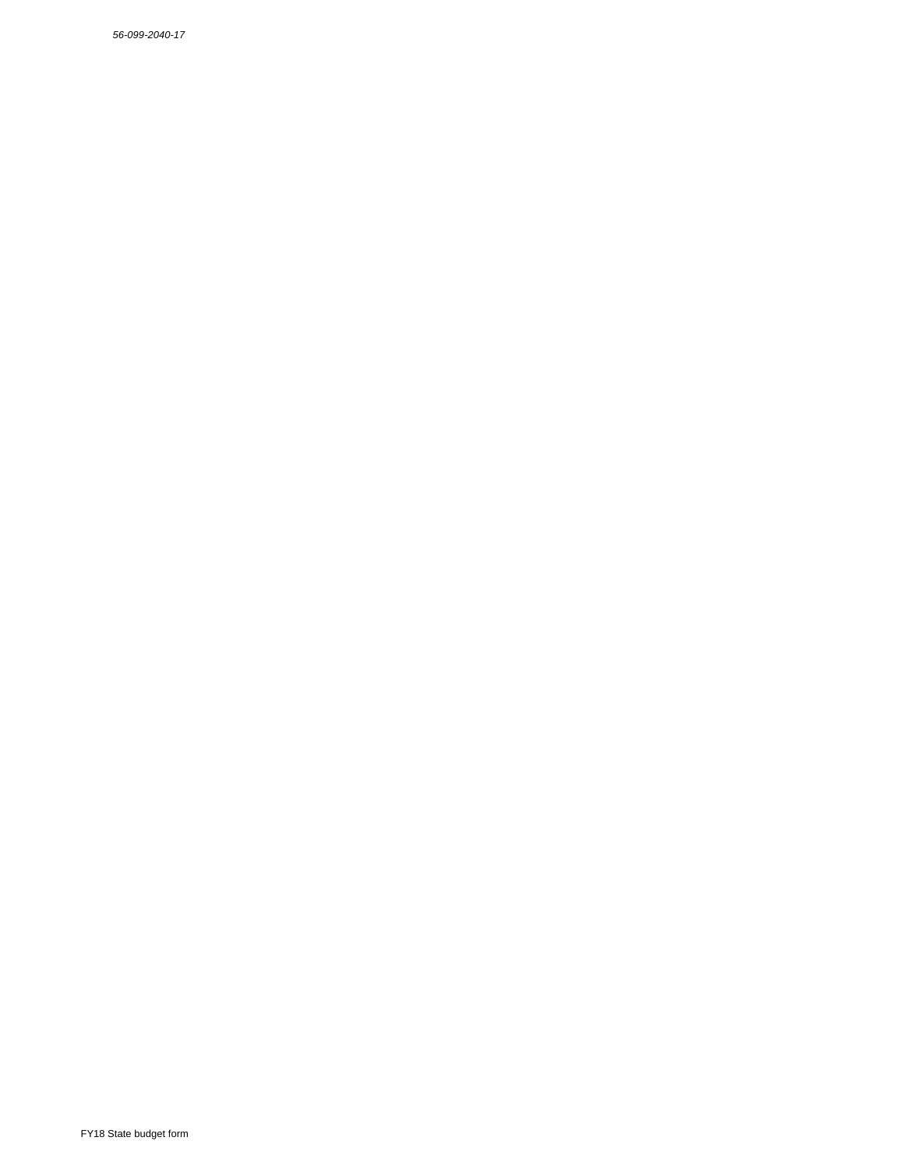*56-099-2040-17*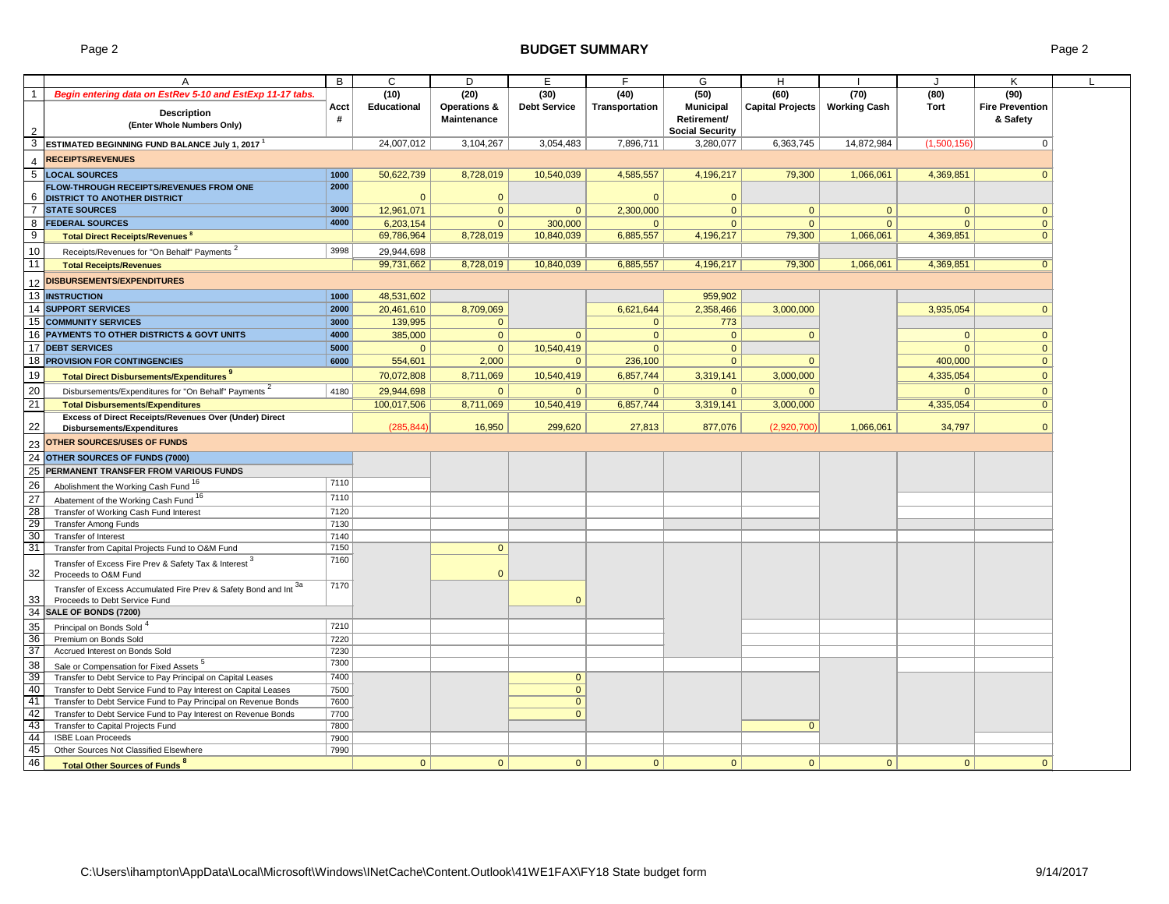# **Page 2 BUDGET SUMMARY** Page 2

|                 |                                                                                           |              |                    |                         |                     | E              |                        |                         |                     |                |                        |  |
|-----------------|-------------------------------------------------------------------------------------------|--------------|--------------------|-------------------------|---------------------|----------------|------------------------|-------------------------|---------------------|----------------|------------------------|--|
|                 |                                                                                           | B            | $\mathsf{C}$       | D                       | Е                   |                | G                      | H                       |                     |                |                        |  |
|                 | Begin entering data on EstRev 5-10 and EstExp 11-17 tabs.                                 |              | (10)               | (20)                    | (30)                | (40)           | (50)                   | (60)                    | (70)                | (80)           | (90)                   |  |
|                 | <b>Description</b>                                                                        | <b>Acct</b>  | <b>Educational</b> | <b>Operations &amp;</b> | <b>Debt Service</b> | Transportation | <b>Municipal</b>       | <b>Capital Projects</b> | <b>Working Cash</b> | <b>Tort</b>    | <b>Fire Prevention</b> |  |
|                 | (Enter Whole Numbers Only)                                                                | #            |                    | <b>Maintenance</b>      |                     |                | Retirement/            |                         |                     |                | & Safety               |  |
|                 |                                                                                           |              |                    |                         |                     |                | <b>Social Security</b> |                         |                     |                |                        |  |
| 3               | <b>ESTIMATED BEGINNING FUND BALANCE July 1, 2017<sup>1</sup></b>                          |              | 24,007,012         | 3,104,267               | 3,054,483           | 7,896,711      | 3,280,077              | 6,363,745               | 14,872,984          | (1,500,156)    | $\mathbf{0}$           |  |
| 4               | <b>RECEIPTS/REVENUES</b>                                                                  |              |                    |                         |                     |                |                        |                         |                     |                |                        |  |
|                 | 5  LOCAL SOURCES                                                                          | 1000         | 50,622,739         | 8,728,019               | 10,540,039          | 4,585,557      | 4,196,217              | 79,300                  | 1,066,061           | 4,369,851      |                        |  |
|                 | <b>FLOW-THROUGH RECEIPTS/REVENUES FROM ONE</b>                                            | 2000         |                    |                         |                     |                |                        |                         |                     |                |                        |  |
| 6               | <b>DISTRICT TO ANOTHER DISTRICT</b>                                                       |              | $\Omega$           | $\overline{0}$          |                     |                | $\mathbf 0$            |                         |                     |                |                        |  |
|                 | <b>STATE SOURCES</b>                                                                      | 3000         | 12,961,071         | $\overline{0}$          | $\mathbf{0}$        | 2,300,000      | $\overline{0}$         | $\overline{0}$          | $\overline{0}$      | $\overline{0}$ | $\mathbf{0}$           |  |
|                 | 8 <b>FEDERAL SOURCES</b>                                                                  | 4000         | 6,203,154          | $\mathbf{0}$            | 300,000             |                | $\Omega$               | $\overline{0}$          | $\overline{0}$      | $\Omega$       | $\Omega$               |  |
| 9               | <b>Total Direct Receipts/Revenues<sup>8</sup></b>                                         |              | 69,786,964         | 8,728,019               | 10,840,039          | 6,885,557      | 4,196,217              | 79,300                  | 1,066,061           | 4,369,851      | $\Omega$               |  |
| 10              | Receipts/Revenues for "On Behalf" Payments <sup>2</sup>                                   | 3998         | 29,944,698         |                         |                     |                |                        |                         |                     |                |                        |  |
| 11              | <b>Total Receipts/Revenues</b>                                                            |              | 99,731,662         | 8,728,019               | 10,840,039          | 6,885,557      | 4,196,217              | 79,300                  | 1,066,061           | 4,369,851      |                        |  |
|                 |                                                                                           |              |                    |                         |                     |                |                        |                         |                     |                |                        |  |
| 12              | <b>DISBURSEMENTS/EXPENDITURES</b>                                                         |              |                    |                         |                     |                |                        |                         |                     |                |                        |  |
|                 | 13 INSTRUCTION                                                                            | 1000         | 48,531,602         |                         |                     |                | 959,902                |                         |                     |                |                        |  |
| 14              | <b>SUPPORT SERVICES</b>                                                                   | 2000         | 20,461,610         | 8,709,069               |                     | 6,621,644      | 2,358,466              | 3,000,000               |                     | 3,935,054      | $\Omega$               |  |
|                 | <b>15 COMMUNITY SERVICES</b>                                                              | 3000         | 139,995            | $\Omega$                |                     | $\Omega$       | 773                    |                         |                     |                |                        |  |
|                 | 16 PAYMENTS TO OTHER DISTRICTS & GOVT UNITS                                               | 4000         | 385,000            | $\mathbf{0}$            | $\Omega$            |                | $\Omega$               |                         |                     | $\Omega$       | $\Omega$               |  |
|                 | 17 DEBT SERVICES                                                                          | 5000         | $\Omega$           | $\Omega$                | 10,540,419          | $\Omega$       | $\overline{0}$         |                         |                     | $\Omega$       | $\Omega$               |  |
|                 | 18 <b>PROVISION FOR CONTINGENCIES</b>                                                     | 6000         | 554,601            | 2,000                   | $\Omega$            | 236,100        | $\mathbf{0}$           | - 0                     |                     | 400,000        | $\Omega$               |  |
| 19              |                                                                                           |              |                    |                         |                     |                |                        |                         |                     |                | $\Omega$               |  |
|                 | <b>Total Direct Disbursements/Expenditures 9</b>                                          |              | 70,072,808         | 8,711,069               | 10,540,419          | 6,857,744      | 3,319,141              | 3,000,000               |                     | 4,335,054      |                        |  |
| 20              | Disbursements/Expenditures for "On Behalf" Payments <sup>2</sup>                          | 4180         | 29,944,698         | $\mathbf{0}$            | $\mathbf{0}$        | $\Omega$       | $\mathbf{0}$           |                         |                     |                |                        |  |
| 21              | <b>Total Disbursements/Expenditures</b>                                                   |              | 100,017,506        | 8,711,069               | 10,540,419          | 6,857,744      | 3,319,141              | 3,000,000               |                     | 4,335,054      |                        |  |
|                 | <b>Excess of Direct Receipts/Revenues Over (Under) Direct</b>                             |              |                    |                         |                     |                |                        |                         |                     |                |                        |  |
| 22              | <b>Disbursements/Expenditures</b>                                                         |              | (285, 844)         | 16,950                  | 299,620             | 27,813         | 877,076                | (2,920,700)             | 1,066,061           | 34,797         | $\overline{0}$         |  |
| 23              | <b>OTHER SOURCES/USES OF FUNDS</b>                                                        |              |                    |                         |                     |                |                        |                         |                     |                |                        |  |
|                 | 24 OTHER SOURCES OF FUNDS (7000)                                                          |              |                    |                         |                     |                |                        |                         |                     |                |                        |  |
|                 | 25 PERMANENT TRANSFER FROM VARIOUS FUNDS                                                  |              |                    |                         |                     |                |                        |                         |                     |                |                        |  |
| 26              | Abolishment the Working Cash Fund <sup>16</sup>                                           | 7110         |                    |                         |                     |                |                        |                         |                     |                |                        |  |
| 27              | Abatement of the Working Cash Fund 16                                                     | 7110         |                    |                         |                     |                |                        |                         |                     |                |                        |  |
| $\overline{28}$ | Transfer of Working Cash Fund Interest                                                    | 7120         |                    |                         |                     |                |                        |                         |                     |                |                        |  |
| 29              | <b>Transfer Among Funds</b>                                                               | 7130         |                    |                         |                     |                |                        |                         |                     |                |                        |  |
| $\overline{30}$ |                                                                                           |              |                    |                         |                     |                |                        |                         |                     |                |                        |  |
| 31              | Transfer of Interest<br>Transfer from Capital Projects Fund to O&M Fund                   | 7140<br>7150 |                    | 0                       |                     |                |                        |                         |                     |                |                        |  |
|                 |                                                                                           | 7160         |                    |                         |                     |                |                        |                         |                     |                |                        |  |
| 32              | Transfer of Excess Fire Prev & Safety Tax & Interest <sup>3</sup><br>Proceeds to O&M Fund |              |                    | $\overline{0}$          |                     |                |                        |                         |                     |                |                        |  |
|                 | Transfer of Excess Accumulated Fire Prev & Safety Bond and Int 3a                         | 7170         |                    |                         |                     |                |                        |                         |                     |                |                        |  |
| 33              | Proceeds to Debt Service Fund                                                             |              |                    |                         |                     |                |                        |                         |                     |                |                        |  |
| 34              | SALE OF BONDS (7200)                                                                      |              |                    |                         |                     |                |                        |                         |                     |                |                        |  |
| 35              | Principal on Bonds Sold <sup>4</sup>                                                      | 7210         |                    |                         |                     |                |                        |                         |                     |                |                        |  |
| 36              | Premium on Bonds Sold                                                                     | 7220         |                    |                         |                     |                |                        |                         |                     |                |                        |  |
| 37              | Accrued Interest on Bonds Sold                                                            | 7230         |                    |                         |                     |                |                        |                         |                     |                |                        |  |
| 38              | Sale or Compensation for Fixed Assets <sup>5</sup>                                        | 7300         |                    |                         |                     |                |                        |                         |                     |                |                        |  |
| 39              | Transfer to Debt Service to Pay Principal on Capital Leases                               | 7400         |                    |                         |                     |                |                        |                         |                     |                |                        |  |
| 40              | Transfer to Debt Service Fund to Pay Interest on Capital Leases                           | 7500         |                    |                         |                     |                |                        |                         |                     |                |                        |  |
| 41              | Transfer to Debt Service Fund to Pay Principal on Revenue Bonds                           | 7600         |                    |                         |                     |                |                        |                         |                     |                |                        |  |
| 42              | Transfer to Debt Service Fund to Pay Interest on Revenue Bonds                            | 7700         |                    |                         |                     |                |                        |                         |                     |                |                        |  |
| 43              | Transfer to Capital Projects Fund                                                         | 7800         |                    |                         |                     |                |                        |                         |                     |                |                        |  |
| 44              | <b>ISBE Loan Proceeds</b>                                                                 | 7900         |                    |                         |                     |                |                        |                         |                     |                |                        |  |
| 45              | Other Sources Not Classified Elsewhere                                                    | 7990         |                    |                         |                     |                |                        |                         |                     |                |                        |  |
| 46              | <b>Total Other Sources of Funds<sup>8</sup></b>                                           |              | $\Omega$           | $\overline{0}$          | $\mathbf{0}$        | $\Omega$       | $\overline{0}$         | $\overline{0}$          | $\mathbf{0}$        | $\mathbf{0}$   |                        |  |
|                 |                                                                                           |              |                    |                         |                     |                |                        |                         |                     |                |                        |  |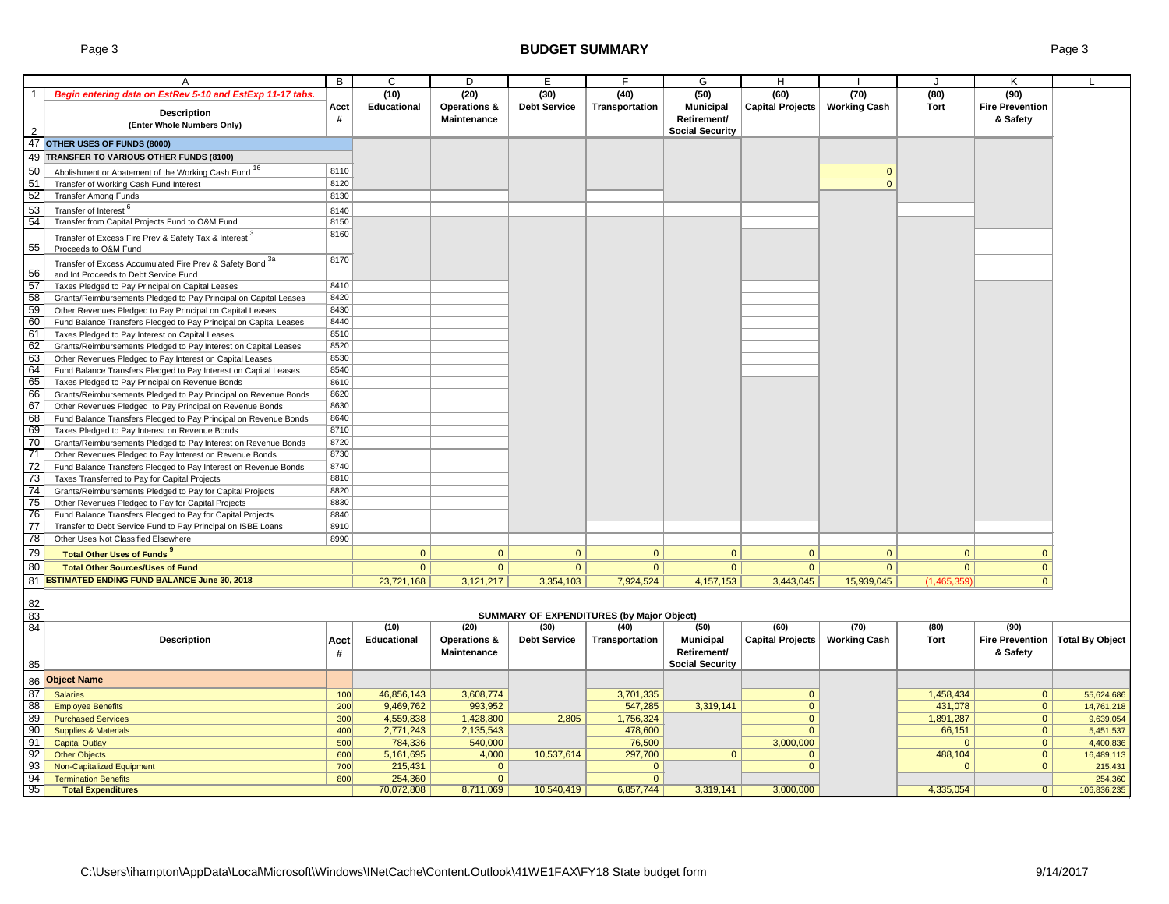# **Page 3 BUDGET SUMMARY** Page 3

| B<br>$\mathsf{C}$<br>D<br>E.<br>G<br>Н<br>Begin entering data on EstRev 5-10 and EstExp 11-17 tabs.<br>(10)<br>(40)<br>(60)<br>$\overline{\mathbf{1}}$<br>(20)<br>(30)<br>(50)<br>(70)<br>(80)<br><b>Working Cash</b><br><b>Debt Service</b><br>Capital Projects<br>Educational<br><b>Operations &amp;</b><br><b>Municipal</b><br><b>Tort</b><br>Transportation<br><b>Acct</b><br><b>Description</b><br><b>Maintenance</b><br>Retirement/<br>#<br>(Enter Whole Numbers Only)<br><b>Social Security</b><br>2<br>47 OTHER USES OF FUNDS (8000)<br>49<br>TRANSFER TO VARIOUS OTHER FUNDS (8100)<br>50<br>Abolishment or Abatement of the Working Cash Fund 16<br>8110<br>51<br>8120<br>Transfer of Working Cash Fund Interest<br>52<br><b>Transfer Among Funds</b><br>8130<br>53<br>Transfer of Interest <sup>6</sup><br>8140<br>54<br>Transfer from Capital Projects Fund to O&M Fund<br>8150<br>8160<br>Transfer of Excess Fire Prev & Safety Tax & Interest <sup>3</sup><br>55<br>Proceeds to O&M Fund<br>8170<br>Transfer of Excess Accumulated Fire Prev & Safety Bond 3a | (90)<br><b>Fire Prevention</b><br>& Safety             |                     |  |  |  |  |    |
|-----------------------------------------------------------------------------------------------------------------------------------------------------------------------------------------------------------------------------------------------------------------------------------------------------------------------------------------------------------------------------------------------------------------------------------------------------------------------------------------------------------------------------------------------------------------------------------------------------------------------------------------------------------------------------------------------------------------------------------------------------------------------------------------------------------------------------------------------------------------------------------------------------------------------------------------------------------------------------------------------------------------------------------------------------------------------------|--------------------------------------------------------|---------------------|--|--|--|--|----|
|                                                                                                                                                                                                                                                                                                                                                                                                                                                                                                                                                                                                                                                                                                                                                                                                                                                                                                                                                                                                                                                                             |                                                        |                     |  |  |  |  |    |
|                                                                                                                                                                                                                                                                                                                                                                                                                                                                                                                                                                                                                                                                                                                                                                                                                                                                                                                                                                                                                                                                             |                                                        |                     |  |  |  |  |    |
|                                                                                                                                                                                                                                                                                                                                                                                                                                                                                                                                                                                                                                                                                                                                                                                                                                                                                                                                                                                                                                                                             |                                                        |                     |  |  |  |  |    |
|                                                                                                                                                                                                                                                                                                                                                                                                                                                                                                                                                                                                                                                                                                                                                                                                                                                                                                                                                                                                                                                                             |                                                        |                     |  |  |  |  |    |
|                                                                                                                                                                                                                                                                                                                                                                                                                                                                                                                                                                                                                                                                                                                                                                                                                                                                                                                                                                                                                                                                             |                                                        |                     |  |  |  |  |    |
|                                                                                                                                                                                                                                                                                                                                                                                                                                                                                                                                                                                                                                                                                                                                                                                                                                                                                                                                                                                                                                                                             |                                                        |                     |  |  |  |  |    |
|                                                                                                                                                                                                                                                                                                                                                                                                                                                                                                                                                                                                                                                                                                                                                                                                                                                                                                                                                                                                                                                                             |                                                        |                     |  |  |  |  |    |
|                                                                                                                                                                                                                                                                                                                                                                                                                                                                                                                                                                                                                                                                                                                                                                                                                                                                                                                                                                                                                                                                             |                                                        |                     |  |  |  |  |    |
|                                                                                                                                                                                                                                                                                                                                                                                                                                                                                                                                                                                                                                                                                                                                                                                                                                                                                                                                                                                                                                                                             |                                                        |                     |  |  |  |  |    |
|                                                                                                                                                                                                                                                                                                                                                                                                                                                                                                                                                                                                                                                                                                                                                                                                                                                                                                                                                                                                                                                                             |                                                        |                     |  |  |  |  |    |
|                                                                                                                                                                                                                                                                                                                                                                                                                                                                                                                                                                                                                                                                                                                                                                                                                                                                                                                                                                                                                                                                             |                                                        |                     |  |  |  |  |    |
|                                                                                                                                                                                                                                                                                                                                                                                                                                                                                                                                                                                                                                                                                                                                                                                                                                                                                                                                                                                                                                                                             |                                                        |                     |  |  |  |  |    |
|                                                                                                                                                                                                                                                                                                                                                                                                                                                                                                                                                                                                                                                                                                                                                                                                                                                                                                                                                                                                                                                                             |                                                        |                     |  |  |  |  |    |
|                                                                                                                                                                                                                                                                                                                                                                                                                                                                                                                                                                                                                                                                                                                                                                                                                                                                                                                                                                                                                                                                             |                                                        |                     |  |  |  |  |    |
| and Int Proceeds to Debt Service Fund                                                                                                                                                                                                                                                                                                                                                                                                                                                                                                                                                                                                                                                                                                                                                                                                                                                                                                                                                                                                                                       |                                                        |                     |  |  |  |  | 56 |
| 57<br>8410<br>Taxes Pledged to Pay Principal on Capital Leases                                                                                                                                                                                                                                                                                                                                                                                                                                                                                                                                                                                                                                                                                                                                                                                                                                                                                                                                                                                                              |                                                        |                     |  |  |  |  |    |
| 58<br>8420<br>Grants/Reimbursements Pledged to Pay Principal on Capital Leases                                                                                                                                                                                                                                                                                                                                                                                                                                                                                                                                                                                                                                                                                                                                                                                                                                                                                                                                                                                              |                                                        |                     |  |  |  |  |    |
| 59<br>8430<br>Other Revenues Pledged to Pay Principal on Capital Leases                                                                                                                                                                                                                                                                                                                                                                                                                                                                                                                                                                                                                                                                                                                                                                                                                                                                                                                                                                                                     |                                                        |                     |  |  |  |  |    |
| 60<br>8440<br>Fund Balance Transfers Pledged to Pay Principal on Capital Leases                                                                                                                                                                                                                                                                                                                                                                                                                                                                                                                                                                                                                                                                                                                                                                                                                                                                                                                                                                                             |                                                        |                     |  |  |  |  |    |
| 61<br>8510<br>Taxes Pledged to Pay Interest on Capital Leases                                                                                                                                                                                                                                                                                                                                                                                                                                                                                                                                                                                                                                                                                                                                                                                                                                                                                                                                                                                                               |                                                        |                     |  |  |  |  |    |
| 62<br>8520<br>Grants/Reimbursements Pledged to Pay Interest on Capital Leases                                                                                                                                                                                                                                                                                                                                                                                                                                                                                                                                                                                                                                                                                                                                                                                                                                                                                                                                                                                               |                                                        |                     |  |  |  |  |    |
| 63<br>8530<br>Other Revenues Pledged to Pay Interest on Capital Leases                                                                                                                                                                                                                                                                                                                                                                                                                                                                                                                                                                                                                                                                                                                                                                                                                                                                                                                                                                                                      |                                                        |                     |  |  |  |  |    |
| 64<br>8540<br>Fund Balance Transfers Pledged to Pay Interest on Capital Leases<br>65<br>8610                                                                                                                                                                                                                                                                                                                                                                                                                                                                                                                                                                                                                                                                                                                                                                                                                                                                                                                                                                                |                                                        |                     |  |  |  |  |    |
| Taxes Pledged to Pay Principal on Revenue Bonds<br>66<br>8620<br>Grants/Reimbursements Pledged to Pay Principal on Revenue Bonds                                                                                                                                                                                                                                                                                                                                                                                                                                                                                                                                                                                                                                                                                                                                                                                                                                                                                                                                            |                                                        |                     |  |  |  |  |    |
| 67<br>8630<br>Other Revenues Pledged to Pay Principal on Revenue Bonds                                                                                                                                                                                                                                                                                                                                                                                                                                                                                                                                                                                                                                                                                                                                                                                                                                                                                                                                                                                                      |                                                        |                     |  |  |  |  |    |
| 68<br>8640<br>Fund Balance Transfers Pledged to Pay Principal on Revenue Bonds                                                                                                                                                                                                                                                                                                                                                                                                                                                                                                                                                                                                                                                                                                                                                                                                                                                                                                                                                                                              |                                                        |                     |  |  |  |  |    |
| 69<br>8710<br>Taxes Pledged to Pay Interest on Revenue Bonds                                                                                                                                                                                                                                                                                                                                                                                                                                                                                                                                                                                                                                                                                                                                                                                                                                                                                                                                                                                                                |                                                        |                     |  |  |  |  |    |
| 70<br>8720<br>Grants/Reimbursements Pledged to Pay Interest on Revenue Bonds                                                                                                                                                                                                                                                                                                                                                                                                                                                                                                                                                                                                                                                                                                                                                                                                                                                                                                                                                                                                |                                                        |                     |  |  |  |  |    |
| $\overline{71}$<br>8730<br>Other Revenues Pledged to Pay Interest on Revenue Bonds                                                                                                                                                                                                                                                                                                                                                                                                                                                                                                                                                                                                                                                                                                                                                                                                                                                                                                                                                                                          |                                                        |                     |  |  |  |  |    |
| 72<br>8740<br>Fund Balance Transfers Pledged to Pay Interest on Revenue Bonds                                                                                                                                                                                                                                                                                                                                                                                                                                                                                                                                                                                                                                                                                                                                                                                                                                                                                                                                                                                               |                                                        |                     |  |  |  |  |    |
| 73<br>8810<br>Taxes Transferred to Pay for Capital Projects                                                                                                                                                                                                                                                                                                                                                                                                                                                                                                                                                                                                                                                                                                                                                                                                                                                                                                                                                                                                                 |                                                        |                     |  |  |  |  |    |
| 74<br>8820<br>Grants/Reimbursements Pledged to Pay for Capital Projects                                                                                                                                                                                                                                                                                                                                                                                                                                                                                                                                                                                                                                                                                                                                                                                                                                                                                                                                                                                                     |                                                        |                     |  |  |  |  |    |
| 75<br>8830<br>Other Revenues Pledged to Pay for Capital Projects                                                                                                                                                                                                                                                                                                                                                                                                                                                                                                                                                                                                                                                                                                                                                                                                                                                                                                                                                                                                            |                                                        |                     |  |  |  |  |    |
| 76<br>8840<br>Fund Balance Transfers Pledged to Pay for Capital Projects                                                                                                                                                                                                                                                                                                                                                                                                                                                                                                                                                                                                                                                                                                                                                                                                                                                                                                                                                                                                    |                                                        |                     |  |  |  |  |    |
| 77<br>8910<br>Transfer to Debt Service Fund to Pay Principal on ISBE Loans                                                                                                                                                                                                                                                                                                                                                                                                                                                                                                                                                                                                                                                                                                                                                                                                                                                                                                                                                                                                  |                                                        |                     |  |  |  |  |    |
| 78<br>Other Uses Not Classified Elsewhere<br>8990                                                                                                                                                                                                                                                                                                                                                                                                                                                                                                                                                                                                                                                                                                                                                                                                                                                                                                                                                                                                                           |                                                        |                     |  |  |  |  |    |
| 79<br><b>Total Other Uses of Funds<sup>9</sup></b><br>$\overline{0}$<br>$\overline{0}$<br>$\overline{0}$<br>$\overline{0}$<br>$\overline{0}$<br>$\overline{0}$<br>$\mathbf{0}$                                                                                                                                                                                                                                                                                                                                                                                                                                                                                                                                                                                                                                                                                                                                                                                                                                                                                              | $\Omega$                                               |                     |  |  |  |  |    |
| 80<br>$\overline{0}$<br><b>Total Other Sources/Uses of Fund</b><br>0 <sup>1</sup><br>$\overline{0}$<br>$\overline{0}$<br>$\overline{0}$<br>$\overline{0}$<br>$\Omega$                                                                                                                                                                                                                                                                                                                                                                                                                                                                                                                                                                                                                                                                                                                                                                                                                                                                                                       | 0                                                      |                     |  |  |  |  |    |
| 81<br><b>ESTIMATED ENDING FUND BALANCE June 30, 2018</b><br>15,939,045<br>23,721,168<br>3,121,217<br>3,354,103<br>7,924,524<br>4, 157, 153<br>3,443,045                                                                                                                                                                                                                                                                                                                                                                                                                                                                                                                                                                                                                                                                                                                                                                                                                                                                                                                     |                                                        | (1,465,359)         |  |  |  |  |    |
|                                                                                                                                                                                                                                                                                                                                                                                                                                                                                                                                                                                                                                                                                                                                                                                                                                                                                                                                                                                                                                                                             |                                                        |                     |  |  |  |  |    |
| 82                                                                                                                                                                                                                                                                                                                                                                                                                                                                                                                                                                                                                                                                                                                                                                                                                                                                                                                                                                                                                                                                          |                                                        |                     |  |  |  |  |    |
| 83<br><b>SUMMARY OF EXPENDITURES (by Major Object)</b><br>(60)<br>(10)<br>(40)                                                                                                                                                                                                                                                                                                                                                                                                                                                                                                                                                                                                                                                                                                                                                                                                                                                                                                                                                                                              | (90)                                                   |                     |  |  |  |  |    |
| 84<br>(20)<br>(30)<br>(50)<br>(70)<br>(80)<br><b>Debt Service</b><br><b>Description</b><br><b>Capital Projects</b><br><b>Working Cash</b><br><b>Tort</b><br><b>Educational</b><br><b>Operations &amp;</b><br>Transportation<br><b>Municipal</b>                                                                                                                                                                                                                                                                                                                                                                                                                                                                                                                                                                                                                                                                                                                                                                                                                             | <b>Fire Prevention</b><br>Total By Object              |                     |  |  |  |  |    |
| <b>Acct</b><br>Retirement/<br><b>Maintenance</b><br>#                                                                                                                                                                                                                                                                                                                                                                                                                                                                                                                                                                                                                                                                                                                                                                                                                                                                                                                                                                                                                       | & Safety                                               |                     |  |  |  |  |    |
| 85<br><b>Social Security</b>                                                                                                                                                                                                                                                                                                                                                                                                                                                                                                                                                                                                                                                                                                                                                                                                                                                                                                                                                                                                                                                |                                                        |                     |  |  |  |  |    |
| <b>Object Name</b>                                                                                                                                                                                                                                                                                                                                                                                                                                                                                                                                                                                                                                                                                                                                                                                                                                                                                                                                                                                                                                                          |                                                        |                     |  |  |  |  |    |
| 86                                                                                                                                                                                                                                                                                                                                                                                                                                                                                                                                                                                                                                                                                                                                                                                                                                                                                                                                                                                                                                                                          |                                                        |                     |  |  |  |  |    |
| 87<br>46,856,143<br>3,608,774<br>3,701,335<br><b>Salaries</b><br>100<br>$\Omega$<br>88                                                                                                                                                                                                                                                                                                                                                                                                                                                                                                                                                                                                                                                                                                                                                                                                                                                                                                                                                                                      | $\mathbf{0}$<br>55,624,686                             | 1,458,434           |  |  |  |  |    |
| 547,285<br>9,469,762<br>993,952<br>3,319,141<br>$\Omega$<br><b>Employee Benefits</b><br>200<br>89<br>4,559,838<br>1,428,800<br>1,756,324<br>2,805<br>$\Omega$                                                                                                                                                                                                                                                                                                                                                                                                                                                                                                                                                                                                                                                                                                                                                                                                                                                                                                               | $\mathbf{0}$<br>14,761,218                             | 431,078             |  |  |  |  |    |
| <b>Purchased Services</b><br>300<br>90<br>2,771,243<br>2,135,543<br>478,600<br>400<br><b>Supplies &amp; Materials</b><br>$\Omega$                                                                                                                                                                                                                                                                                                                                                                                                                                                                                                                                                                                                                                                                                                                                                                                                                                                                                                                                           | $\mathbf{0}$<br>9,639,054<br>$\mathbf{0}$<br>5,451,537 | 1,891,287<br>66,151 |  |  |  |  |    |
| 91<br>784,336<br>540,000<br>76,500<br>3,000,000<br><b>Capital Outlay</b><br>500                                                                                                                                                                                                                                                                                                                                                                                                                                                                                                                                                                                                                                                                                                                                                                                                                                                                                                                                                                                             | $\mathbf{0}$<br>4,400,836                              |                     |  |  |  |  |    |
| 92<br>5,161,695<br>4,000<br>10,537,614<br>297,700<br><b>Other Objects</b><br>600<br>$\mathbf{0}$                                                                                                                                                                                                                                                                                                                                                                                                                                                                                                                                                                                                                                                                                                                                                                                                                                                                                                                                                                            | $\mathbf{0}$<br>16,489,113                             | 488,104             |  |  |  |  |    |
| 93<br>215,431<br>Non-Capitalized Equipment<br>700<br>$\overline{0}$<br>$\Omega$<br>$\overline{0}$                                                                                                                                                                                                                                                                                                                                                                                                                                                                                                                                                                                                                                                                                                                                                                                                                                                                                                                                                                           | 215,431<br>$\mathbf{0}$                                |                     |  |  |  |  |    |
| 94<br>254,360<br>$\overline{0}$<br><b>Termination Benefits</b><br>800<br>$\mathbf{0}$                                                                                                                                                                                                                                                                                                                                                                                                                                                                                                                                                                                                                                                                                                                                                                                                                                                                                                                                                                                       | 254,360                                                |                     |  |  |  |  |    |
| 95<br>70,072,808<br>8,711,069<br>10,540,419<br>6,857,744<br>3,319,141<br>3,000,000<br><b>Total Expenditures</b>                                                                                                                                                                                                                                                                                                                                                                                                                                                                                                                                                                                                                                                                                                                                                                                                                                                                                                                                                             | 0<br>106,836,235                                       | 4,335,054           |  |  |  |  |    |

|    | <b>Description</b>              | <b>Acct</b><br># | <b>Educational</b> | <b>Operations &amp;</b><br><b>Maintenance</b> | <b>Debt Service</b> | Transportation | <b>Municipal</b><br>Retirement/ | <b>Capital Projects</b> | <b>Working Cash</b> |  |
|----|---------------------------------|------------------|--------------------|-----------------------------------------------|---------------------|----------------|---------------------------------|-------------------------|---------------------|--|
| 85 |                                 |                  |                    |                                               |                     |                | <b>Social Security</b>          |                         |                     |  |
|    | 86 Object Name                  |                  |                    |                                               |                     |                |                                 |                         |                     |  |
| 87 | <b>Salaries</b>                 | 100              | 46,856,143         | 3,608,774                                     |                     | 3,701,335      |                                 |                         |                     |  |
|    | <b>Employee Benefits</b>        | 200              | 9,469,762          | 993,952                                       |                     | 547,285        | 3,319,141                       |                         |                     |  |
|    | <b>Purchased Services</b>       | 300              | 4,559,838          | 1,428,800                                     | 2,805               | 1,756,324      |                                 |                         |                     |  |
|    | <b>Supplies &amp; Materials</b> | 400              | 2,771,243          | 2,135,543                                     |                     | 478,600        |                                 |                         |                     |  |
|    | <b>Capital Outlay</b>           | 500              | 784,336            | 540,000                                       |                     | 76,500         |                                 | 3,000,000               |                     |  |
|    | <b>Other Objects</b>            | 600              | 5,161,695          | 4,000                                         | 10,537,614          | 297,700        |                                 |                         |                     |  |
|    | Non-Capitalized Equipment       | 700              | 215,431            |                                               |                     |                |                                 |                         |                     |  |
|    | <b>Termination Benefits</b>     | 800              | 254,360            |                                               |                     |                |                                 |                         |                     |  |
|    | <b>Total Expenditures</b>       |                  | 70,072,808         | 8,711,069                                     | 10,540,419          | 6,857,744      | 3,319,141                       | 3,000,000               |                     |  |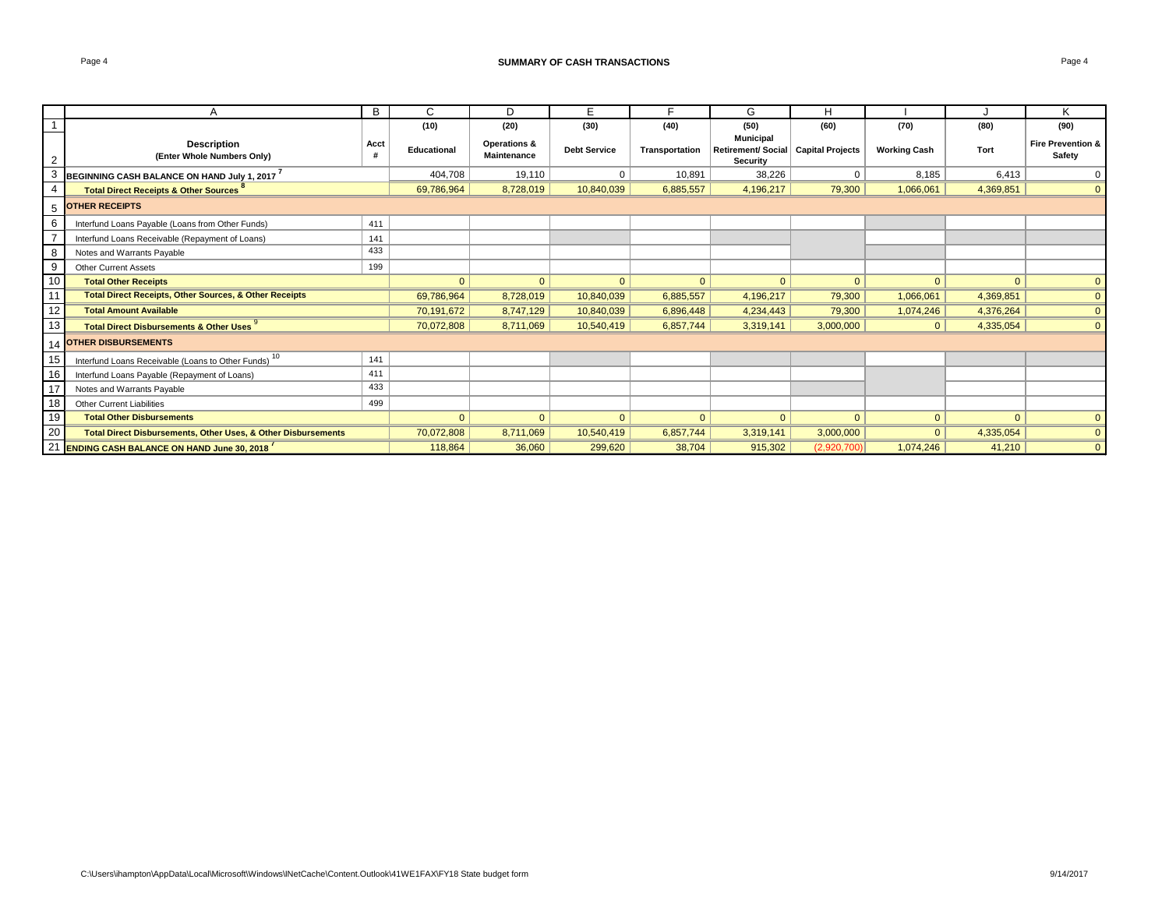## Page 4 **SUMMARY OF CASH TRANSACTIONS** Page 4

|                | $\mathsf{A}$                                                      | B    | $\mathsf{C}$       | D                                             | E                   |                | G                                                                            | H              |                     |                | K                                             |
|----------------|-------------------------------------------------------------------|------|--------------------|-----------------------------------------------|---------------------|----------------|------------------------------------------------------------------------------|----------------|---------------------|----------------|-----------------------------------------------|
|                |                                                                   |      | (10)               | (20)                                          | (30)                | (40)           | (50)                                                                         | (60)           | (70)                | (80)           | (90)                                          |
| 2              | <b>Description</b><br>(Enter Whole Numbers Only)                  | Acct | <b>Educational</b> | <b>Operations &amp;</b><br><b>Maintenance</b> | <b>Debt Service</b> | Transportation | <b>Municipal</b><br>Retirement/ Social   Capital Projects<br><b>Security</b> |                | <b>Working Cash</b> | Tort           | <b>Fire Prevention &amp;</b><br><b>Safety</b> |
| 3              | $\,$ BEGINNING CASH BALANCE ON HAND July 1, 2017 $^\prime$        |      | 404,708            | 19,110                                        |                     | 10,891         | 38,226                                                                       | 0              | 8,185               | 6,413          | $\overline{0}$                                |
|                | <b>Total Direct Receipts &amp; Other Sources</b>                  |      | 69,786,964         | 8,728,019                                     | 10,840,039          | 6,885,557      | 4,196,217                                                                    | 79,300         | 1,066,061           | 4,369,851      | $\overline{0}$                                |
| 5              | <b>OTHER RECEIPTS</b>                                             |      |                    |                                               |                     |                |                                                                              |                |                     |                |                                               |
| $6\phantom{1}$ | Interfund Loans Payable (Loans from Other Funds)                  | 411  |                    |                                               |                     |                |                                                                              |                |                     |                |                                               |
| $\overline{7}$ | Interfund Loans Receivable (Repayment of Loans)                   | 141  |                    |                                               |                     |                |                                                                              |                |                     |                |                                               |
| 8              | Notes and Warrants Payable                                        | 433  |                    |                                               |                     |                |                                                                              |                |                     |                |                                               |
| 9              | <b>Other Current Assets</b>                                       | 199  |                    |                                               |                     |                |                                                                              |                |                     |                |                                               |
| 10             | <b>Total Other Receipts</b>                                       |      | $\mathbf{0}$       | $\overline{0}$                                | $\Omega$            | $\mathbf{0}$   | $\overline{0}$                                                               | $\overline{0}$ | $\Omega$            | $\overline{0}$ | $\overline{0}$                                |
| 11             | <b>Total Direct Receipts, Other Sources, &amp; Other Receipts</b> |      | 69,786,964         | 8,728,019                                     | 10,840,039          | 6,885,557      | 4,196,217                                                                    | 79,300         | 1,066,061           | 4,369,851      | $\overline{0}$                                |
| 12             | <b>Total Amount Available</b>                                     |      | 70,191,672         | 8,747,129                                     | 10,840,039          | 6,896,448      | 4,234,443                                                                    | 79,300         | 1,074,246           | 4,376,264      | $\overline{0}$                                |
| 13             | <b>Total Direct Disbursements &amp; Other Uses</b>                |      | 70,072,808         | 8,711,069                                     | 10,540,419          | 6,857,744      | 3,319,141                                                                    | 3,000,000      | $\mathbf{0}$        | 4,335,054      | $\overline{0}$                                |
|                | 14 OTHER DISBURSEMENTS                                            |      |                    |                                               |                     |                |                                                                              |                |                     |                |                                               |
| 15             | Interfund Loans Receivable (Loans to Other Funds) <sup>10</sup>   | 141  |                    |                                               |                     |                |                                                                              |                |                     |                |                                               |
| 16             | Interfund Loans Payable (Repayment of Loans)                      | 411  |                    |                                               |                     |                |                                                                              |                |                     |                |                                               |
| 17             | Notes and Warrants Payable                                        | 433  |                    |                                               |                     |                |                                                                              |                |                     |                |                                               |
| 18             | <b>Other Current Liabilities</b>                                  | 499  |                    |                                               |                     |                |                                                                              |                |                     |                |                                               |
| 19             | <b>Total Other Disbursements</b>                                  |      | $\mathbf{0}$       | $\overline{0}$                                | $\Omega$            | $\overline{0}$ | $\overline{0}$                                                               | $\overline{0}$ | $\Omega$            | $\overline{0}$ | $\overline{0}$                                |
| 20             | Total Direct Disbursements, Other Uses, & Other Disbursements     |      | 70,072,808         | 8,711,069                                     | 10,540,419          | 6,857,744      | 3,319,141                                                                    | 3,000,000      | $\mathbf{0}$        | 4,335,054      | $\overline{0}$                                |
| 21             | <b>ENDING CASH BALANCE ON HAND June 30, 2018</b>                  |      | 118,864            | 36,060                                        | 299,620             | 38,704         | 915,302                                                                      | (2,920,700)    | 1,074,246           | 41,210         | $\overline{0}$                                |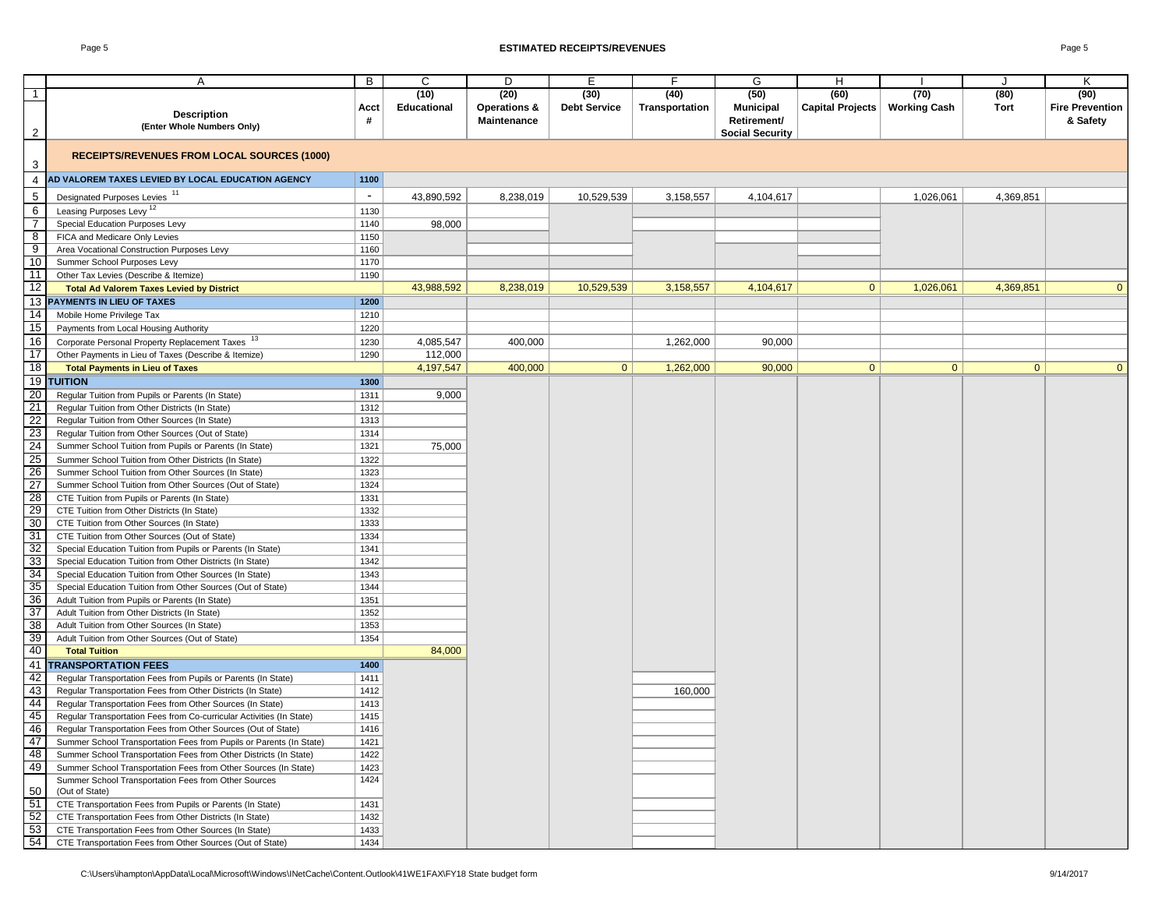### Page 5 **ESTIMATED RECEIPTS/REVENUES** Page 5

|                         | Α                                                                    | B      | $\mathsf{C}$       | D                       | E                   | F              | G                      | Н                |                     |                | Κ                      |
|-------------------------|----------------------------------------------------------------------|--------|--------------------|-------------------------|---------------------|----------------|------------------------|------------------|---------------------|----------------|------------------------|
| $\overline{1}$          |                                                                      |        | (10)               | (20)                    | (30)                | (40)           | (50)                   | (60)             | (70)                | (80)           | (90)                   |
|                         |                                                                      | Acct   | <b>Educational</b> | <b>Operations &amp;</b> | <b>Debt Service</b> | Transportation | <b>Municipal</b>       | Capital Projects | <b>Working Cash</b> | Tort           | <b>Fire Prevention</b> |
|                         | <b>Description</b>                                                   | #      |                    | <b>Maintenance</b>      |                     |                | Retirement/            |                  |                     |                | & Safety               |
| $\overline{2}$          | (Enter Whole Numbers Only)                                           |        |                    |                         |                     |                | <b>Social Security</b> |                  |                     |                |                        |
|                         |                                                                      |        |                    |                         |                     |                |                        |                  |                     |                |                        |
| $\mathbf{3}$            | <b>RECEIPTS/REVENUES FROM LOCAL SOURCES (1000)</b>                   |        |                    |                         |                     |                |                        |                  |                     |                |                        |
| $\overline{4}$          | AD VALOREM TAXES LEVIED BY LOCAL EDUCATION AGENCY                    | 1100   |                    |                         |                     |                |                        |                  |                     |                |                        |
| 5                       | Designated Purposes Levies <sup>11</sup>                             | $\sim$ | 43,890,592         | 8,238,019               | 10,529,539          | 3,158,557      | 4,104,617              |                  | 1,026,061           | 4,369,851      |                        |
| $\overline{6}$          | Leasing Purposes Levy <sup>12</sup>                                  | 1130   |                    |                         |                     |                |                        |                  |                     |                |                        |
| $\overline{7}$          | <b>Special Education Purposes Levy</b>                               | 1140   | 98,000             |                         |                     |                |                        |                  |                     |                |                        |
| $\overline{\mathbf{8}}$ | FICA and Medicare Only Levies                                        | 1150   |                    |                         |                     |                |                        |                  |                     |                |                        |
| ୍ତ                      | Area Vocational Construction Purposes Levy                           | 1160   |                    |                         |                     |                |                        |                  |                     |                |                        |
| 10                      | Summer School Purposes Levy                                          | 1170   |                    |                         |                     |                |                        |                  |                     |                |                        |
| 11                      | Other Tax Levies (Describe & Itemize)                                | 1190   |                    |                         |                     |                |                        |                  |                     |                |                        |
| 12                      | <b>Total Ad Valorem Taxes Levied by District</b>                     |        | 43,988,592         | 8,238,019               | 10,529,539          | 3,158,557      | 4,104,617              | $\mathbf{0}$     | 1,026,061           | 4,369,851      | $\Omega$               |
|                         | 13 PAYMENTS IN LIEU OF TAXES                                         | 1200   |                    |                         |                     |                |                        |                  |                     |                |                        |
| 14                      | Mobile Home Privilege Tax                                            | 1210   |                    |                         |                     |                |                        |                  |                     |                |                        |
| 15                      | Payments from Local Housing Authority                                | 1220   |                    |                         |                     |                |                        |                  |                     |                |                        |
| 16                      | Corporate Personal Property Replacement Taxes <sup>13</sup>          | 1230   | 4,085,547          | 400,000                 |                     | 1,262,000      | 90,000                 |                  |                     |                |                        |
| 17                      | Other Payments in Lieu of Taxes (Describe & Itemize)                 | 1290   | 112,000            |                         |                     |                |                        |                  |                     |                |                        |
| 18                      | <b>Total Payments in Lieu of Taxes</b>                               |        | 4,197,547          | 400,000                 | $\mathbf{0}$        | 1,262,000      | 90,000                 | $\mathbf{0}$     | $\mathbf{0}$        | $\overline{0}$ | $\overline{0}$         |
|                         | 19 TUITION                                                           | 1300   |                    |                         |                     |                |                        |                  |                     |                |                        |
| $\overline{20}$         | Regular Tuition from Pupils or Parents (In State)                    | 1311   | 9,000              |                         |                     |                |                        |                  |                     |                |                        |
| $\overline{21}$         | Regular Tuition from Other Districts (In State)                      | 1312   |                    |                         |                     |                |                        |                  |                     |                |                        |
| $\overline{22}$         | Regular Tuition from Other Sources (In State)                        | 1313   |                    |                         |                     |                |                        |                  |                     |                |                        |
| 23                      | Regular Tuition from Other Sources (Out of State)                    | 1314   |                    |                         |                     |                |                        |                  |                     |                |                        |
| $\overline{24}$         | Summer School Tuition from Pupils or Parents (In State)              | 1321   | 75,000             |                         |                     |                |                        |                  |                     |                |                        |
| 25                      | Summer School Tuition from Other Districts (In State)                | 1322   |                    |                         |                     |                |                        |                  |                     |                |                        |
| 26                      | Summer School Tuition from Other Sources (In State)                  | 1323   |                    |                         |                     |                |                        |                  |                     |                |                        |
| $\overline{27}$         | Summer School Tuition from Other Sources (Out of State)              | 1324   |                    |                         |                     |                |                        |                  |                     |                |                        |
| 28                      | CTE Tuition from Pupils or Parents (In State)                        | 1331   |                    |                         |                     |                |                        |                  |                     |                |                        |
| 29                      | CTE Tuition from Other Districts (In State)                          | 1332   |                    |                         |                     |                |                        |                  |                     |                |                        |
| 30                      | CTE Tuition from Other Sources (In State)                            | 1333   |                    |                         |                     |                |                        |                  |                     |                |                        |
| 31                      | CTE Tuition from Other Sources (Out of State)                        | 1334   |                    |                         |                     |                |                        |                  |                     |                |                        |
| 32                      | Special Education Tuition from Pupils or Parents (In State)          | 1341   |                    |                         |                     |                |                        |                  |                     |                |                        |
| -33                     | Special Education Tuition from Other Districts (In State)            | 1342   |                    |                         |                     |                |                        |                  |                     |                |                        |
| 34                      | Special Education Tuition from Other Sources (In State)              | 1343   |                    |                         |                     |                |                        |                  |                     |                |                        |
| 35                      | Special Education Tuition from Other Sources (Out of State)          | 1344   |                    |                         |                     |                |                        |                  |                     |                |                        |
| 36                      | Adult Tuition from Pupils or Parents (In State)                      | 1351   |                    |                         |                     |                |                        |                  |                     |                |                        |
| 37                      | Adult Tuition from Other Districts (In State)                        | 1352   |                    |                         |                     |                |                        |                  |                     |                |                        |
| 38                      | Adult Tuition from Other Sources (In State)                          | 1353   |                    |                         |                     |                |                        |                  |                     |                |                        |
| 39                      | Adult Tuition from Other Sources (Out of State)                      | 1354   |                    |                         |                     |                |                        |                  |                     |                |                        |
| 40                      | <b>Total Tuition</b>                                                 |        | 84,000             |                         |                     |                |                        |                  |                     |                |                        |
| 41                      | <b>TRANSPORTATION FEES</b>                                           | 1400   |                    |                         |                     |                |                        |                  |                     |                |                        |
| 42                      | Regular Transportation Fees from Pupils or Parents (In State)        | 1411   |                    |                         |                     |                |                        |                  |                     |                |                        |
| 43                      | Regular Transportation Fees from Other Districts (In State)          | 1412   |                    |                         |                     | 160,000        |                        |                  |                     |                |                        |
| 44                      | Regular Transportation Fees from Other Sources (In State)            | 1413   |                    |                         |                     |                |                        |                  |                     |                |                        |
| 45                      | Regular Transportation Fees from Co-curricular Activities (In State) | 1415   |                    |                         |                     |                |                        |                  |                     |                |                        |
| 46                      | Regular Transportation Fees from Other Sources (Out of State)        | 1416   |                    |                         |                     |                |                        |                  |                     |                |                        |
| 47                      | Summer School Transportation Fees from Pupils or Parents (In State)  | 1421   |                    |                         |                     |                |                        |                  |                     |                |                        |
| 48                      | Summer School Transportation Fees from Other Districts (In State)    | 1422   |                    |                         |                     |                |                        |                  |                     |                |                        |
| 49                      | Summer School Transportation Fees from Other Sources (In State)      | 1423   |                    |                         |                     |                |                        |                  |                     |                |                        |
|                         | Summer School Transportation Fees from Other Sources                 | 1424   |                    |                         |                     |                |                        |                  |                     |                |                        |
| 50                      | (Out of State)                                                       |        |                    |                         |                     |                |                        |                  |                     |                |                        |
| 51                      | CTE Transportation Fees from Pupils or Parents (In State)            | 1431   |                    |                         |                     |                |                        |                  |                     |                |                        |
| 52                      | CTE Transportation Fees from Other Districts (In State)              | 1432   |                    |                         |                     |                |                        |                  |                     |                |                        |
| 53                      | CTE Transportation Fees from Other Sources (In State)                | 1433   |                    |                         |                     |                |                        |                  |                     |                |                        |
| 54                      | CTE Transportation Fees from Other Sources (Out of State)            | 1434   |                    |                         |                     |                |                        |                  |                     |                |                        |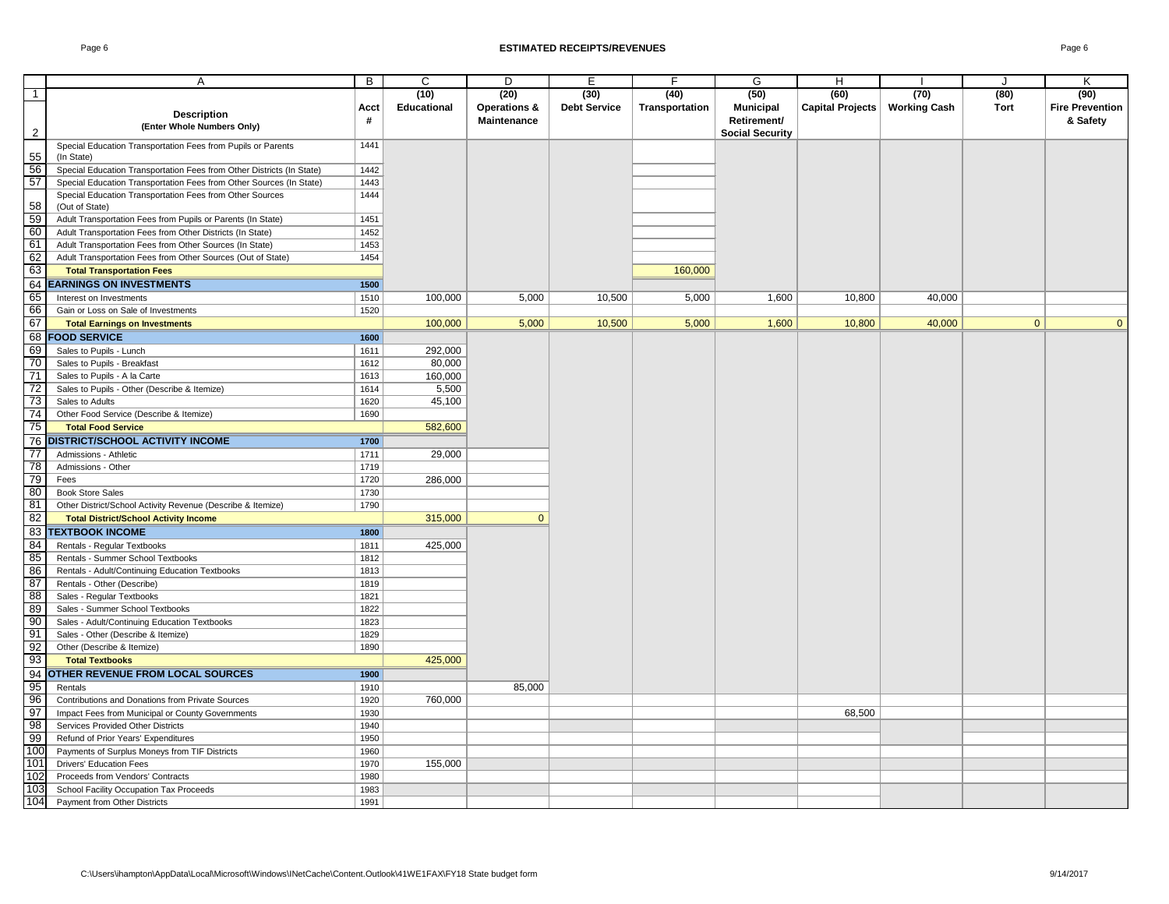### Page 6 **ESTIMATED RECEIPTS/REVENUES** Page 6

|                 |                                                                       | B    | C                  | D                       | E                   | F.             | G                      | H                       |                     |              | K                      |
|-----------------|-----------------------------------------------------------------------|------|--------------------|-------------------------|---------------------|----------------|------------------------|-------------------------|---------------------|--------------|------------------------|
|                 |                                                                       |      | (10)               | (20)                    | (30)                | (40)           | (50)                   | (60)                    | (70)                | (80)         | (90)                   |
|                 | <b>Description</b>                                                    | Acct | <b>Educational</b> | <b>Operations &amp;</b> | <b>Debt Service</b> | Transportation | <b>Municipal</b>       | <b>Capital Projects</b> | <b>Working Cash</b> | Tort         | <b>Fire Prevention</b> |
|                 | (Enter Whole Numbers Only)                                            | #    |                    | <b>Maintenance</b>      |                     |                | Retirement/            |                         |                     |              | & Safety               |
| $\overline{2}$  |                                                                       |      |                    |                         |                     |                | <b>Social Security</b> |                         |                     |              |                        |
|                 | Special Education Transportation Fees from Pupils or Parents          | 1441 |                    |                         |                     |                |                        |                         |                     |              |                        |
| 55              | (In State)                                                            |      |                    |                         |                     |                |                        |                         |                     |              |                        |
| 56              | Special Education Transportation Fees from Other Districts (In State) | 1442 |                    |                         |                     |                |                        |                         |                     |              |                        |
| 57              | Special Education Transportation Fees from Other Sources (In State)   | 1443 |                    |                         |                     |                |                        |                         |                     |              |                        |
|                 | Special Education Transportation Fees from Other Sources              | 1444 |                    |                         |                     |                |                        |                         |                     |              |                        |
| 58              | (Out of State)                                                        |      |                    |                         |                     |                |                        |                         |                     |              |                        |
| 59              | Adult Transportation Fees from Pupils or Parents (In State)           | 1451 |                    |                         |                     |                |                        |                         |                     |              |                        |
| 60              | Adult Transportation Fees from Other Districts (In State)             | 1452 |                    |                         |                     |                |                        |                         |                     |              |                        |
| 61              | Adult Transportation Fees from Other Sources (In State)               | 1453 |                    |                         |                     |                |                        |                         |                     |              |                        |
| 62              | Adult Transportation Fees from Other Sources (Out of State)           | 1454 |                    |                         |                     |                |                        |                         |                     |              |                        |
| 63              |                                                                       |      |                    |                         |                     |                |                        |                         |                     |              |                        |
|                 | <b>Total Transportation Fees</b>                                      |      |                    |                         |                     | 160,000        |                        |                         |                     |              |                        |
|                 | 64 EARNINGS ON INVESTMENTS                                            | 1500 |                    |                         |                     |                |                        |                         |                     |              |                        |
| 65              | Interest on Investments                                               | 1510 | 100,000            | 5,000                   | 10,500              | 5,000          | 1,600                  | 10,800                  | 40,000              |              |                        |
| 66              | Gain or Loss on Sale of Investments                                   | 1520 |                    |                         |                     |                |                        |                         |                     |              |                        |
| 67              | <b>Total Earnings on Investments</b>                                  |      | 100,000            | 5,000                   | 10,500              | 5,000          | 1,600                  | 10,800                  | 40,000              | $\mathbf{0}$ | $\Omega$               |
|                 | 68 FOOD SERVICE                                                       | 1600 |                    |                         |                     |                |                        |                         |                     |              |                        |
| 69              | Sales to Pupils - Lunch                                               | 1611 | 292,000            |                         |                     |                |                        |                         |                     |              |                        |
| 70              | Sales to Pupils - Breakfast                                           | 1612 | 80,000             |                         |                     |                |                        |                         |                     |              |                        |
| $\overline{71}$ | Sales to Pupils - A la Carte                                          | 1613 | 160,000            |                         |                     |                |                        |                         |                     |              |                        |
| 72              | Sales to Pupils - Other (Describe & Itemize)                          | 1614 | 5,500              |                         |                     |                |                        |                         |                     |              |                        |
| 73              | Sales to Adults                                                       | 1620 |                    |                         |                     |                |                        |                         |                     |              |                        |
| $\overline{74}$ |                                                                       |      | 45,100             |                         |                     |                |                        |                         |                     |              |                        |
|                 | Other Food Service (Describe & Itemize)                               | 1690 |                    |                         |                     |                |                        |                         |                     |              |                        |
| 75              | <b>Total Food Service</b>                                             |      | 582,600            |                         |                     |                |                        |                         |                     |              |                        |
| 76              | <b>DISTRICT/SCHOOL ACTIVITY INCOME</b>                                | 1700 |                    |                         |                     |                |                        |                         |                     |              |                        |
| 77              | <b>Admissions - Athletic</b>                                          | 1711 | 29,000             |                         |                     |                |                        |                         |                     |              |                        |
| 78              | Admissions - Other                                                    | 1719 |                    |                         |                     |                |                        |                         |                     |              |                        |
| 79              | Fees                                                                  | 1720 | 286,000            |                         |                     |                |                        |                         |                     |              |                        |
| 80              | <b>Book Store Sales</b>                                               | 1730 |                    |                         |                     |                |                        |                         |                     |              |                        |
| $\overline{81}$ | Other District/School Activity Revenue (Describe & Itemize)           | 1790 |                    |                         |                     |                |                        |                         |                     |              |                        |
| 82              | <b>Total District/School Activity Income</b>                          |      | 315,000            | $\Omega$                |                     |                |                        |                         |                     |              |                        |
|                 | 83 TEXTBOOK INCOME                                                    | 1800 |                    |                         |                     |                |                        |                         |                     |              |                        |
| 84              | Rentals - Regular Textbooks                                           | 1811 | 425,000            |                         |                     |                |                        |                         |                     |              |                        |
| 85              | Rentals - Summer School Textbooks                                     | 1812 |                    |                         |                     |                |                        |                         |                     |              |                        |
|                 |                                                                       |      |                    |                         |                     |                |                        |                         |                     |              |                        |
| 86              | Rentals - Adult/Continuing Education Textbooks                        | 1813 |                    |                         |                     |                |                        |                         |                     |              |                        |
| 87              | Rentals - Other (Describe)                                            | 1819 |                    |                         |                     |                |                        |                         |                     |              |                        |
| 88              | Sales - Regular Textbooks                                             | 1821 |                    |                         |                     |                |                        |                         |                     |              |                        |
| 89              | Sales - Summer School Textbooks                                       | 1822 |                    |                         |                     |                |                        |                         |                     |              |                        |
| 90              | Sales - Adult/Continuing Education Textbooks                          | 1823 |                    |                         |                     |                |                        |                         |                     |              |                        |
| 91              | Sales - Other (Describe & Itemize)                                    | 1829 |                    |                         |                     |                |                        |                         |                     |              |                        |
| 92              | Other (Describe & Itemize)                                            | 1890 |                    |                         |                     |                |                        |                         |                     |              |                        |
| 93              | <b>Total Textbooks</b>                                                |      | 425,000            |                         |                     |                |                        |                         |                     |              |                        |
| 94              | <b>OTHER REVENUE FROM LOCAL SOURCES</b>                               | 1900 |                    |                         |                     |                |                        |                         |                     |              |                        |
| 95              | Rentals                                                               | 1910 |                    | 85,000                  |                     |                |                        |                         |                     |              |                        |
| $-96$           | <b>Contributions and Donations from Private Sources</b>               | 1920 | 760,000            |                         |                     |                |                        |                         |                     |              |                        |
| 97              | Impact Fees from Municipal or County Governments                      | 1930 |                    |                         |                     |                |                        | 68,500                  |                     |              |                        |
| 98              | <b>Services Provided Other Districts</b>                              | 1940 |                    |                         |                     |                |                        |                         |                     |              |                        |
| 99              | Refund of Prior Years' Expenditures                                   | 1950 |                    |                         |                     |                |                        |                         |                     |              |                        |
| 100             | Payments of Surplus Moneys from TIF Districts                         | 1960 |                    |                         |                     |                |                        |                         |                     |              |                        |
| 101             | <b>Drivers' Education Fees</b>                                        | 1970 | 155,000            |                         |                     |                |                        |                         |                     |              |                        |
| 102             |                                                                       |      |                    |                         |                     |                |                        |                         |                     |              |                        |
|                 | Proceeds from Vendors' Contracts                                      | 1980 |                    |                         |                     |                |                        |                         |                     |              |                        |
| 103             | <b>School Facility Occupation Tax Proceeds</b>                        | 1983 |                    |                         |                     |                |                        |                         |                     |              |                        |
| 104             | <b>Payment from Other Districts</b>                                   | 1991 |                    |                         |                     |                |                        |                         |                     |              |                        |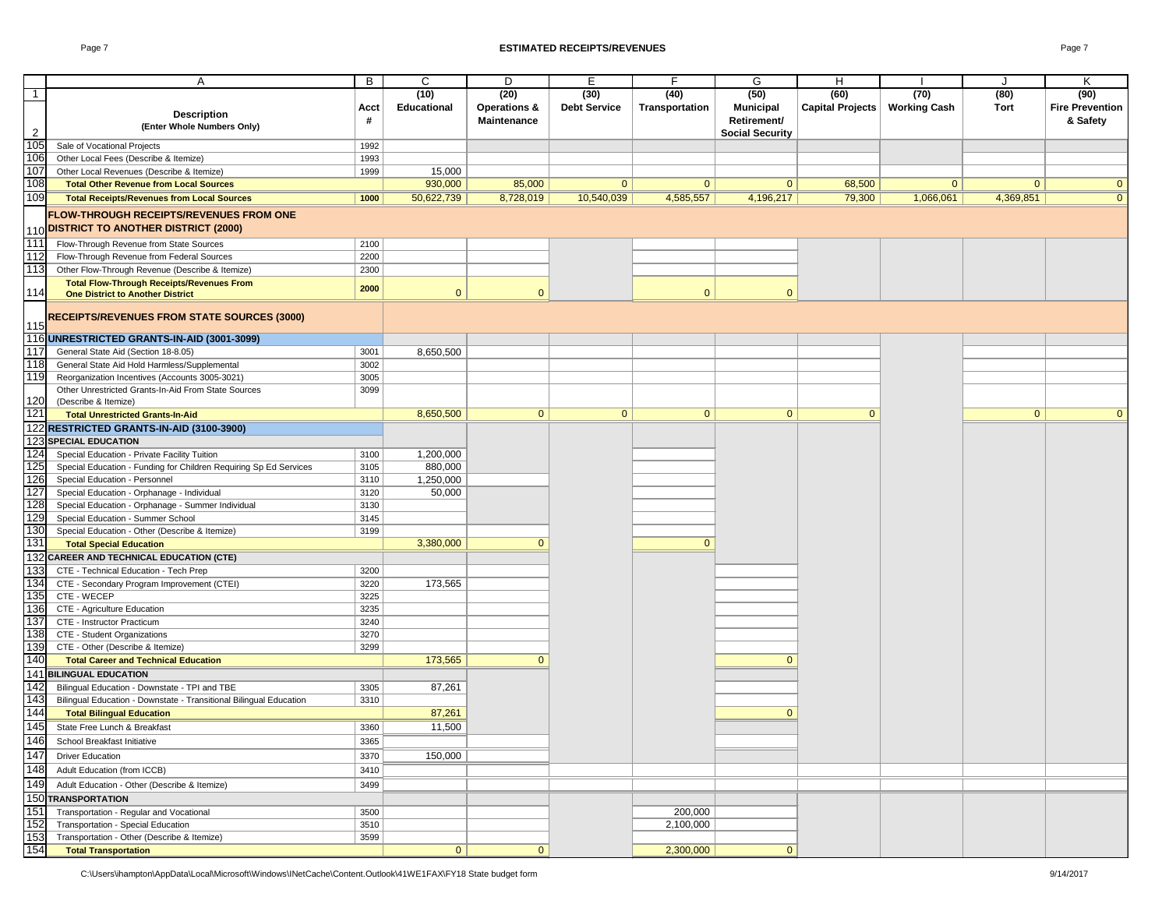## Page 7 **ESTIMATED RECEIPTS/REVENUES** Page 7

|                |                                                                    |      |                    |                         |                     | F              |                        |                  |                     |                |                        |
|----------------|--------------------------------------------------------------------|------|--------------------|-------------------------|---------------------|----------------|------------------------|------------------|---------------------|----------------|------------------------|
|                |                                                                    | B    | $\mathsf{C}$       | D                       | E                   |                | G                      | H                |                     |                | Κ                      |
| -1             |                                                                    |      | (10)               | (20)                    | (30)                | (40)           | (50)                   | (60)             | (70)                | (80)           | (90)                   |
|                | <b>Description</b>                                                 | Acct | <b>Educational</b> | <b>Operations &amp;</b> | <b>Debt Service</b> | Transportation | <b>Municipal</b>       | Capital Projects | <b>Working Cash</b> | Tort           | <b>Fire Prevention</b> |
|                | (Enter Whole Numbers Only)                                         | #    |                    | <b>Maintenance</b>      |                     |                | Retirement/            |                  |                     |                | & Safety               |
| $\overline{2}$ |                                                                    |      |                    |                         |                     |                | <b>Social Security</b> |                  |                     |                |                        |
| 105            | Sale of Vocational Projects                                        | 1992 |                    |                         |                     |                |                        |                  |                     |                |                        |
| 106            | Other Local Fees (Describe & Itemize)                              | 1993 |                    |                         |                     |                |                        |                  |                     |                |                        |
| 107            | Other Local Revenues (Describe & Itemize)                          | 1999 | 15,000             |                         |                     |                |                        |                  |                     |                |                        |
| 108            | <b>Total Other Revenue from Local Sources</b>                      |      | 930,000            | 85,000                  | $\mathbf 0$         | $\mathbf{0}$   | $\mathbf{0}$           | 68,500           | $\overline{0}$      | $\Omega$       | $\mathbf{0}$           |
| 109            | <b>Total Receipts/Revenues from Local Sources</b>                  | 1000 | 50,622,739         | 8,728,019               | 10,540,039          | 4,585,557      | 4,196,217              | 79,300           | 1,066,061           | 4,369,851      | $\overline{0}$         |
|                | <b>FLOW-THROUGH RECEIPTS/REVENUES FROM ONE</b>                     |      |                    |                         |                     |                |                        |                  |                     |                |                        |
|                | 110 DISTRICT TO ANOTHER DISTRICT (2000)                            |      |                    |                         |                     |                |                        |                  |                     |                |                        |
| 111            | Flow-Through Revenue from State Sources                            | 2100 |                    |                         |                     |                |                        |                  |                     |                |                        |
| 112            | Flow-Through Revenue from Federal Sources                          | 2200 |                    |                         |                     |                |                        |                  |                     |                |                        |
| 113            | Other Flow-Through Revenue (Describe & Itemize)                    | 2300 |                    |                         |                     |                |                        |                  |                     |                |                        |
|                | <b>Total Flow-Through Receipts/Revenues From</b>                   |      |                    |                         |                     |                |                        |                  |                     |                |                        |
| 114            | <b>One District to Another District</b>                            | 2000 | $\mathbf{0}$       | $\mathbf 0$             |                     | $\mathbf{0}$   | $\mathbf 0$            |                  |                     |                |                        |
|                |                                                                    |      |                    |                         |                     |                |                        |                  |                     |                |                        |
|                | <b>RECEIPTS/REVENUES FROM STATE SOURCES (3000)</b>                 |      |                    |                         |                     |                |                        |                  |                     |                |                        |
| 115            |                                                                    |      |                    |                         |                     |                |                        |                  |                     |                |                        |
|                | 116 UNRESTRICTED GRANTS-IN-AID (3001-3099)                         |      |                    |                         |                     |                |                        |                  |                     |                |                        |
| 117            | General State Aid (Section 18-8.05)                                | 3001 | 8,650,500          |                         |                     |                |                        |                  |                     |                |                        |
| 118            | General State Aid Hold Harmless/Supplemental                       | 3002 |                    |                         |                     |                |                        |                  |                     |                |                        |
| 119            | Reorganization Incentives (Accounts 3005-3021)                     | 3005 |                    |                         |                     |                |                        |                  |                     |                |                        |
|                | Other Unrestricted Grants-In-Aid From State Sources                | 3099 |                    |                         |                     |                |                        |                  |                     |                |                        |
| 120            | (Describe & Itemize)                                               |      |                    |                         |                     |                |                        |                  |                     |                |                        |
| 121            | <b>Total Unrestricted Grants-In-Aid</b>                            |      | 8,650,500          | 0                       | $\mathbf{0}$        | $\overline{0}$ | $\overline{0}$         | $\overline{0}$   |                     | $\overline{0}$ | $\overline{0}$         |
|                | 122 RESTRICTED GRANTS-IN-AID (3100-3900)                           |      |                    |                         |                     |                |                        |                  |                     |                |                        |
|                | 123 SPECIAL EDUCATION                                              |      |                    |                         |                     |                |                        |                  |                     |                |                        |
| 124            | Special Education - Private Facility Tuition                       | 3100 | 1,200,000          |                         |                     |                |                        |                  |                     |                |                        |
| 125            | Special Education - Funding for Children Requiring Sp Ed Services  | 3105 | 880,000            |                         |                     |                |                        |                  |                     |                |                        |
| 126            | <b>Special Education - Personnel</b>                               | 3110 | 1,250,000          |                         |                     |                |                        |                  |                     |                |                        |
| 127            | Special Education - Orphanage - Individual                         | 3120 | 50,000             |                         |                     |                |                        |                  |                     |                |                        |
| 128            | Special Education - Orphanage - Summer Individual                  | 3130 |                    |                         |                     |                |                        |                  |                     |                |                        |
| 129            | Special Education - Summer School                                  | 3145 |                    |                         |                     |                |                        |                  |                     |                |                        |
| 130            | Special Education - Other (Describe & Itemize)                     | 3199 |                    |                         |                     |                |                        |                  |                     |                |                        |
| 131            | <b>Total Special Education</b>                                     |      | 3,380,000          | 0                       |                     |                |                        |                  |                     |                |                        |
|                | 132 CAREER AND TECHNICAL EDUCATION (CTE)                           |      |                    |                         |                     |                |                        |                  |                     |                |                        |
| $133$          | CTE - Technical Education - Tech Prep                              | 3200 |                    |                         |                     |                |                        |                  |                     |                |                        |
| 134            | CTE - Secondary Program Improvement (CTEI)                         | 3220 | 173,565            |                         |                     |                |                        |                  |                     |                |                        |
| $135$          | CTE - WECEP                                                        | 3225 |                    |                         |                     |                |                        |                  |                     |                |                        |
| 136            | CTE - Agriculture Education                                        | 3235 |                    |                         |                     |                |                        |                  |                     |                |                        |
| 137            | CTE - Instructor Practicum                                         | 3240 |                    |                         |                     |                |                        |                  |                     |                |                        |
| 138            | CTE - Student Organizations                                        | 3270 |                    |                         |                     |                |                        |                  |                     |                |                        |
| 139            | CTE - Other (Describe & Itemize)                                   | 3299 |                    |                         |                     |                |                        |                  |                     |                |                        |
| 140            | <b>Total Career and Technical Education</b>                        |      | 173,565            | 0                       |                     |                | $\Omega$               |                  |                     |                |                        |
|                | <b>141 BILINGUAL EDUCATION</b>                                     |      |                    |                         |                     |                |                        |                  |                     |                |                        |
| 142            | Bilingual Education - Downstate - TPI and TBE                      | 3305 | 87,261             |                         |                     |                |                        |                  |                     |                |                        |
| 143            | Bilingual Education - Downstate - Transitional Bilingual Education | 3310 |                    |                         |                     |                |                        |                  |                     |                |                        |
| 144            | <b>Total Bilingual Education</b>                                   |      | 87,261             |                         |                     |                |                        |                  |                     |                |                        |
| 145            | State Free Lunch & Breakfast                                       | 3360 | 11,500             |                         |                     |                |                        |                  |                     |                |                        |
| 146            | <b>School Breakfast Initiative</b>                                 | 3365 |                    |                         |                     |                |                        |                  |                     |                |                        |
| 147            | <b>Driver Education</b>                                            | 3370 | 150,000            |                         |                     |                |                        |                  |                     |                |                        |
| 148            | <b>Adult Education (from ICCB)</b>                                 | 3410 |                    |                         |                     |                |                        |                  |                     |                |                        |
| 149            | Adult Education - Other (Describe & Itemize)                       | 3499 |                    |                         |                     |                |                        |                  |                     |                |                        |
|                | 150 TRANSPORTATION                                                 |      |                    |                         |                     |                |                        |                  |                     |                |                        |
| 151            | Transportation - Regular and Vocational                            | 3500 |                    |                         |                     | 200,000        |                        |                  |                     |                |                        |
| 152            | Transportation - Special Education                                 | 3510 |                    |                         |                     | 2,100,000      |                        |                  |                     |                |                        |
| 153            | Transportation - Other (Describe & Itemize)                        | 3599 |                    |                         |                     |                |                        |                  |                     |                |                        |
| 154            | <b>Total Transportation</b>                                        |      | $\mathbf{0}$       | $\mathbf{0}$            |                     | 2,300,000      | $\overline{0}$         |                  |                     |                |                        |
|                |                                                                    |      |                    |                         |                     |                |                        |                  |                     |                |                        |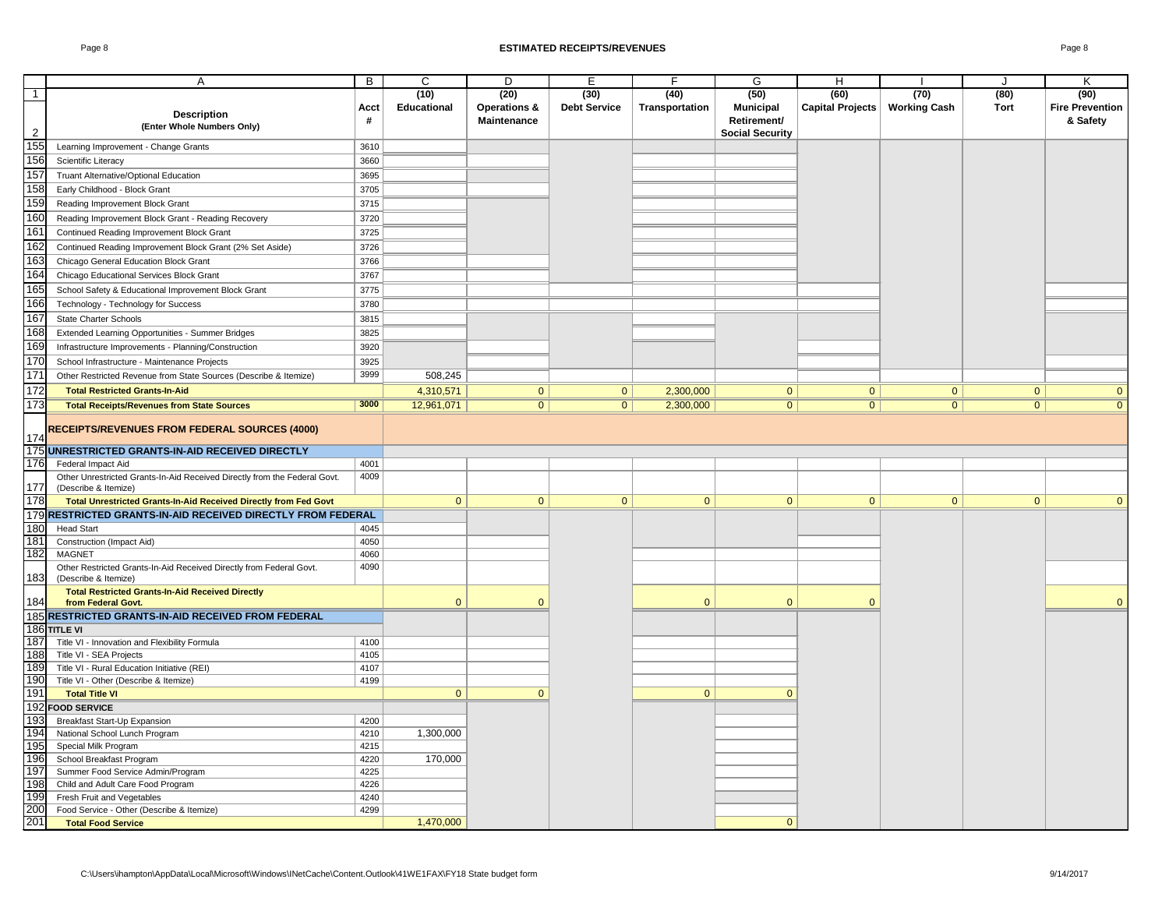### Page 8 **ESTIMATED RECEIPTS/REVENUES** Page 8

| $\overline{1}$ |                                                                                             | B            | $\mathsf{C}$<br>(10) | D<br>(20)               | E<br>(30)           | F.<br>(40)     | G<br>(50)              | H<br>(60)        | (70)                | (80)           | K<br>(90)              |
|----------------|---------------------------------------------------------------------------------------------|--------------|----------------------|-------------------------|---------------------|----------------|------------------------|------------------|---------------------|----------------|------------------------|
|                |                                                                                             | <b>Acct</b>  | <b>Educational</b>   | <b>Operations &amp;</b> | <b>Debt Service</b> | Transportation | <b>Municipal</b>       | Capital Projects | <b>Working Cash</b> | <b>Tort</b>    | <b>Fire Prevention</b> |
|                | <b>Description</b>                                                                          | #            |                      | <b>Maintenance</b>      |                     |                | Retirement/            |                  |                     |                | & Safety               |
| $\overline{2}$ | (Enter Whole Numbers Only)                                                                  |              |                      |                         |                     |                | <b>Social Security</b> |                  |                     |                |                        |
| 155            | Learning Improvement - Change Grants                                                        | 3610         |                      |                         |                     |                |                        |                  |                     |                |                        |
| 156            | <b>Scientific Literacy</b>                                                                  | 3660         |                      |                         |                     |                |                        |                  |                     |                |                        |
| 157            | <b>Truant Alternative/Optional Education</b>                                                | 3695         |                      |                         |                     |                |                        |                  |                     |                |                        |
| 158            | Early Childhood - Block Grant                                                               | 3705         |                      |                         |                     |                |                        |                  |                     |                |                        |
| 159            | Reading Improvement Block Grant                                                             | 3715         |                      |                         |                     |                |                        |                  |                     |                |                        |
| 160            | Reading Improvement Block Grant - Reading Recovery                                          | 3720         |                      |                         |                     |                |                        |                  |                     |                |                        |
| 161            | <b>Continued Reading Improvement Block Grant</b>                                            | 3725         |                      |                         |                     |                |                        |                  |                     |                |                        |
| 162            | Continued Reading Improvement Block Grant (2% Set Aside)                                    | 3726         |                      |                         |                     |                |                        |                  |                     |                |                        |
| 163            | Chicago General Education Block Grant                                                       | 3766         |                      |                         |                     |                |                        |                  |                     |                |                        |
| 164            | <b>Chicago Educational Services Block Grant</b>                                             | 3767         |                      |                         |                     |                |                        |                  |                     |                |                        |
| 165            | School Safety & Educational Improvement Block Grant                                         | 3775         |                      |                         |                     |                |                        |                  |                     |                |                        |
| 166            | Technology - Technology for Success                                                         | 3780         |                      |                         |                     |                |                        |                  |                     |                |                        |
| 167            | <b>State Charter Schools</b>                                                                | 3815         |                      |                         |                     |                |                        |                  |                     |                |                        |
| 168            | Extended Learning Opportunities - Summer Bridges                                            | 3825         |                      |                         |                     |                |                        |                  |                     |                |                        |
| 169            | Infrastructure Improvements - Planning/Construction                                         | 3920         |                      |                         |                     |                |                        |                  |                     |                |                        |
| 170            | School Infrastructure - Maintenance Projects                                                |              |                      |                         |                     |                |                        |                  |                     |                |                        |
| 171            |                                                                                             | 3925<br>3999 | 508,245              |                         |                     |                |                        |                  |                     |                |                        |
|                | Other Restricted Revenue from State Sources (Describe & Itemize)                            |              |                      |                         |                     |                |                        |                  |                     |                |                        |
| 172            | <b>Total Restricted Grants-In-Aid</b>                                                       |              | 4,310,571            | $\mathbf{0}$            | $\overline{0}$      | 2,300,000      | $\overline{0}$         | $\mathbf{0}$     | $\overline{0}$      | $\overline{0}$ | $\mathbf{0}$           |
| 173            | <b>Total Receipts/Revenues from State Sources</b>                                           | 3000         | 12,961,071           | $\overline{0}$          | 0                   | 2,300,000      | 0                      | $\overline{0}$   | $\overline{0}$      | 0 <sup>1</sup> | $\Omega$               |
|                | <b>RECEIPTS/REVENUES FROM FEDERAL SOURCES (4000)</b>                                        |              |                      |                         |                     |                |                        |                  |                     |                |                        |
| 174            |                                                                                             |              |                      |                         |                     |                |                        |                  |                     |                |                        |
|                | 175 UNRESTRICTED GRANTS-IN-AID RECEIVED DIRECTLY                                            |              |                      |                         |                     |                |                        |                  |                     |                |                        |
| 176            | Federal Impact Aid                                                                          | 4001         |                      |                         |                     |                |                        |                  |                     |                |                        |
|                | Other Unrestricted Grants-In-Aid Received Directly from the Federal Govt.                   | 4009         |                      |                         |                     |                |                        |                  |                     |                |                        |
| 177            | (Describe & Itemize)                                                                        |              |                      |                         |                     |                |                        |                  |                     |                |                        |
| 178            | Total Unrestricted Grants-In-Aid Received Directly from Fed Govt                            |              | $\mathbf{0}$         | $\mathbf{0}$            | $\mathbf{0}$        | $\overline{0}$ | $\overline{0}$         | $\mathbf{0}$     | $\overline{0}$      | $\overline{0}$ | $\mathbf{0}$           |
|                | 179 RESTRICTED GRANTS-IN-AID RECEIVED DIRECTLY FROM FEDERAL                                 |              |                      |                         |                     |                |                        |                  |                     |                |                        |
| 180            | <b>Head Start</b>                                                                           | 4045         |                      |                         |                     |                |                        |                  |                     |                |                        |
| 181            | <b>Construction (Impact Aid)</b>                                                            | 4050         |                      |                         |                     |                |                        |                  |                     |                |                        |
| 182            | <b>MAGNET</b>                                                                               | 4060         |                      |                         |                     |                |                        |                  |                     |                |                        |
| 183            | Other Restricted Grants-In-Aid Received Directly from Federal Govt.<br>(Describe & Itemize) | 4090         |                      |                         |                     |                |                        |                  |                     |                |                        |
|                | <b>Total Restricted Grants-In-Aid Received Directly</b>                                     |              |                      |                         |                     |                |                        |                  |                     |                |                        |
| 184            | from Federal Govt.                                                                          |              | $\mathbf{0}$         | $\Omega$                |                     | $\overline{0}$ | $\mathbf{0}$           | $\Omega$         |                     |                | $\mathbf{0}$           |
|                | 185 RESTRICTED GRANTS-IN-AID RECEIVED FROM FEDERAL                                          |              |                      |                         |                     |                |                        |                  |                     |                |                        |
|                | 186 TITLE VI                                                                                |              |                      |                         |                     |                |                        |                  |                     |                |                        |
| 187            | Title VI - Innovation and Flexibility Formula                                               | 4100         |                      |                         |                     |                |                        |                  |                     |                |                        |
| 188            | Title VI - SEA Projects                                                                     | 4105         |                      |                         |                     |                |                        |                  |                     |                |                        |
| 189            | Title VI - Rural Education Initiative (REI)                                                 | 4107         |                      |                         |                     |                |                        |                  |                     |                |                        |
| 190            | Title VI - Other (Describe & Itemize)                                                       | 4199         |                      |                         |                     |                |                        |                  |                     |                |                        |
| 191            | <b>Total Title VI</b>                                                                       |              | $\mathbf{0}$         | $\Omega$                |                     | $\overline{0}$ | $\Omega$               |                  |                     |                |                        |
|                | 192 FOOD SERVICE                                                                            |              |                      |                         |                     |                |                        |                  |                     |                |                        |
| 193            | <b>Breakfast Start-Up Expansion</b>                                                         | 4200         |                      |                         |                     |                |                        |                  |                     |                |                        |
| 194<br>195     | National School Lunch Program<br>Special Milk Program                                       | 4210         | 1,300,000            |                         |                     |                |                        |                  |                     |                |                        |
| 196            | School Breakfast Program                                                                    | 4215<br>4220 | 170,000              |                         |                     |                |                        |                  |                     |                |                        |
| 197            | Summer Food Service Admin/Program                                                           | 4225         |                      |                         |                     |                |                        |                  |                     |                |                        |
| 198            | Child and Adult Care Food Program                                                           | 4226         |                      |                         |                     |                |                        |                  |                     |                |                        |
| 199            | Fresh Fruit and Vegetables                                                                  | 4240         |                      |                         |                     |                |                        |                  |                     |                |                        |
| 200            | Food Service - Other (Describe & Itemize)                                                   | 4299         |                      |                         |                     |                |                        |                  |                     |                |                        |
| 201            | <b>Total Food Service</b>                                                                   |              | 1,470,000            |                         |                     |                | $\mathbf{0}$           |                  |                     |                |                        |
|                |                                                                                             |              |                      |                         |                     |                |                        |                  |                     |                |                        |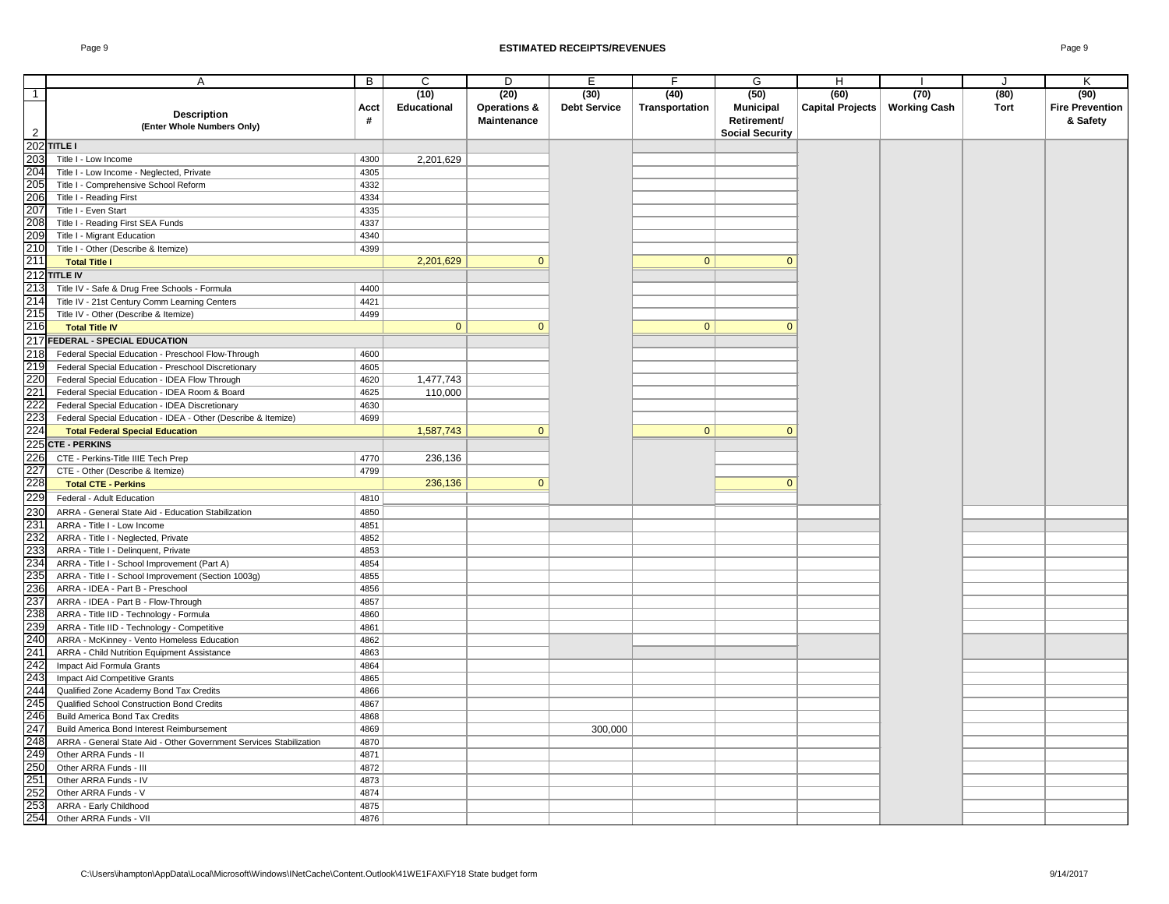#### Page 9 **ESTIMATED RECEIPTS/REVENUES** Page 9

|                                                                          |                                                                    |             |                    |                         |                     | F.             |                        |                         |                     |             |                        |
|--------------------------------------------------------------------------|--------------------------------------------------------------------|-------------|--------------------|-------------------------|---------------------|----------------|------------------------|-------------------------|---------------------|-------------|------------------------|
|                                                                          | Α                                                                  | B           | C                  | D                       | E                   |                | G                      | н                       |                     |             | K                      |
| $\overline{1}$                                                           |                                                                    |             | (10)               | (20)                    | (30)                | (40)           | (50)                   | (60)                    | (70)                | (80)        | (90)                   |
|                                                                          | <b>Description</b>                                                 | <b>Acct</b> | <b>Educational</b> | <b>Operations &amp;</b> | <b>Debt Service</b> | Transportation | <b>Municipal</b>       | <b>Capital Projects</b> | <b>Working Cash</b> | <b>Tort</b> | <b>Fire Prevention</b> |
|                                                                          | (Enter Whole Numbers Only)                                         | #           |                    | <b>Maintenance</b>      |                     |                | Retirement/            |                         |                     |             | & Safety               |
| $\overline{2}$                                                           |                                                                    |             |                    |                         |                     |                | <b>Social Security</b> |                         |                     |             |                        |
|                                                                          | $\frac{1}{202}$ TITLE I                                            |             |                    |                         |                     |                |                        |                         |                     |             |                        |
|                                                                          | Title I - Low Income                                               | 4300        | 2,201,629          |                         |                     |                |                        |                         |                     |             |                        |
| $\frac{204}{205}$<br>$\frac{205}{206}$                                   | Title I - Low Income - Neglected, Private                          | 4305        |                    |                         |                     |                |                        |                         |                     |             |                        |
|                                                                          | Title I - Comprehensive School Reform                              | 4332        |                    |                         |                     |                |                        |                         |                     |             |                        |
|                                                                          | Title I - Reading First                                            | 4334        |                    |                         |                     |                |                        |                         |                     |             |                        |
|                                                                          | Title I - Even Start                                               | 4335        |                    |                         |                     |                |                        |                         |                     |             |                        |
|                                                                          | Title I - Reading First SEA Funds                                  | 4337        |                    |                         |                     |                |                        |                         |                     |             |                        |
| 208<br>209                                                               | Title I - Migrant Education                                        | 4340        |                    |                         |                     |                |                        |                         |                     |             |                        |
|                                                                          | Title I - Other (Describe & Itemize)                               | 4399        |                    |                         |                     |                |                        |                         |                     |             |                        |
| $\frac{210}{211}$                                                        | <b>Total Title I</b>                                               |             | 2,201,629          |                         |                     | $\overline{0}$ | $\overline{0}$         |                         |                     |             |                        |
|                                                                          | 212 TITLE IV                                                       |             |                    |                         |                     |                |                        |                         |                     |             |                        |
|                                                                          |                                                                    |             |                    |                         |                     |                |                        |                         |                     |             |                        |
| 213                                                                      | Title IV - Safe & Drug Free Schools - Formula                      | 4400        |                    |                         |                     |                |                        |                         |                     |             |                        |
| 214                                                                      | Title IV - 21st Century Comm Learning Centers                      | 4421        |                    |                         |                     |                |                        |                         |                     |             |                        |
| 215                                                                      | Title IV - Other (Describe & Itemize)                              | 4499        |                    |                         |                     |                |                        |                         |                     |             |                        |
| 216                                                                      | <b>Total Title IV</b>                                              |             | $\mathbf{0}$       |                         |                     | $\overline{0}$ | $\overline{0}$         |                         |                     |             |                        |
|                                                                          | 217 FEDERAL - SPECIAL EDUCATION                                    |             |                    |                         |                     |                |                        |                         |                     |             |                        |
| 218                                                                      | Federal Special Education - Preschool Flow-Through                 | 4600        |                    |                         |                     |                |                        |                         |                     |             |                        |
| 219                                                                      | Federal Special Education - Preschool Discretionary                | 4605        |                    |                         |                     |                |                        |                         |                     |             |                        |
|                                                                          | Federal Special Education - IDEA Flow Through                      | 4620        | 1,477,743          |                         |                     |                |                        |                         |                     |             |                        |
|                                                                          | Federal Special Education - IDEA Room & Board                      | 4625        | 110,000            |                         |                     |                |                        |                         |                     |             |                        |
|                                                                          | Federal Special Education - IDEA Discretionary                     | 4630        |                    |                         |                     |                |                        |                         |                     |             |                        |
|                                                                          | Federal Special Education - IDEA - Other (Describe & Itemize)      | 4699        |                    |                         |                     |                |                        |                         |                     |             |                        |
| $\frac{220}{222}$<br>$\frac{222}{223}$<br>$\frac{223}{224}$              | <b>Total Federal Special Education</b>                             |             | 1,587,743          | $\Omega$                |                     | $\mathbf{0}$   | $\overline{0}$         |                         |                     |             |                        |
|                                                                          |                                                                    |             |                    |                         |                     |                |                        |                         |                     |             |                        |
| $\frac{11}{225}$<br>$\frac{225}{227}$<br>$\frac{227}{228}$               | <b>CTE - PERKINS</b>                                               |             |                    |                         |                     |                |                        |                         |                     |             |                        |
|                                                                          | CTE - Perkins-Title IIIE Tech Prep                                 | 4770        | 236,136            |                         |                     |                |                        |                         |                     |             |                        |
|                                                                          | CTE - Other (Describe & Itemize)                                   | 4799        |                    |                         |                     |                |                        |                         |                     |             |                        |
|                                                                          | <b>Total CTE - Perkins</b>                                         |             | 236,136            |                         |                     |                | $\Omega$               |                         |                     |             |                        |
| $\overline{229}$                                                         | Federal - Adult Education                                          | 4810        |                    |                         |                     |                |                        |                         |                     |             |                        |
| $\frac{230}{231}$                                                        | ARRA - General State Aid - Education Stabilization                 | 4850        |                    |                         |                     |                |                        |                         |                     |             |                        |
|                                                                          | ARRA - Title I - Low Income                                        | 4851        |                    |                         |                     |                |                        |                         |                     |             |                        |
|                                                                          | ARRA - Title I - Neglected, Private                                | 4852        |                    |                         |                     |                |                        |                         |                     |             |                        |
|                                                                          | ARRA - Title I - Delinquent, Private                               | 4853        |                    |                         |                     |                |                        |                         |                     |             |                        |
|                                                                          | ARRA - Title I - School Improvement (Part A)                       | 4854        |                    |                         |                     |                |                        |                         |                     |             |                        |
|                                                                          | ARRA - Title I - School Improvement (Section 1003g)                | 4855        |                    |                         |                     |                |                        |                         |                     |             |                        |
|                                                                          | ARRA - IDEA - Part B - Preschool                                   | 4856        |                    |                         |                     |                |                        |                         |                     |             |                        |
|                                                                          | ARRA - IDEA - Part B - Flow-Through                                | 4857        |                    |                         |                     |                |                        |                         |                     |             |                        |
|                                                                          |                                                                    |             |                    |                         |                     |                |                        |                         |                     |             |                        |
|                                                                          | ARRA - Title IID - Technology - Formula                            | 4860        |                    |                         |                     |                |                        |                         |                     |             |                        |
|                                                                          | ARRA - Title IID - Technology - Competitive                        | 4861        |                    |                         |                     |                |                        |                         |                     |             |                        |
|                                                                          | ARRA - McKinney - Vento Homeless Education                         | 4862        |                    |                         |                     |                |                        |                         |                     |             |                        |
|                                                                          | ARRA - Child Nutrition Equipment Assistance                        | 4863        |                    |                         |                     |                |                        |                         |                     |             |                        |
|                                                                          | Impact Aid Formula Grants                                          | 4864        |                    |                         |                     |                |                        |                         |                     |             |                        |
|                                                                          | Impact Aid Competitive Grants                                      | 4865        |                    |                         |                     |                |                        |                         |                     |             |                        |
|                                                                          | Qualified Zone Academy Bond Tax Credits                            | 4866        |                    |                         |                     |                |                        |                         |                     |             |                        |
|                                                                          | Qualified School Construction Bond Credits                         | 4867        |                    |                         |                     |                |                        |                         |                     |             |                        |
|                                                                          | <b>Build America Bond Tax Credits</b>                              | 4868        |                    |                         |                     |                |                        |                         |                     |             |                        |
|                                                                          | <b>Build America Bond Interest Reimbursement</b>                   | 4869        |                    |                         | 300,000             |                |                        |                         |                     |             |                        |
|                                                                          | ARRA - General State Aid - Other Government Services Stabilization | 4870        |                    |                         |                     |                |                        |                         |                     |             |                        |
|                                                                          | Other ARRA Funds - II                                              | 4871        |                    |                         |                     |                |                        |                         |                     |             |                        |
|                                                                          | Other ARRA Funds - III                                             | 4872        |                    |                         |                     |                |                        |                         |                     |             |                        |
|                                                                          | Other ARRA Funds - IV                                              | 4873        |                    |                         |                     |                |                        |                         |                     |             |                        |
|                                                                          | Other ARRA Funds - V                                               | 4874        |                    |                         |                     |                |                        |                         |                     |             |                        |
| $\begin{array}{r}\n 252 \\  \hline\n 253 \\  \hline\n 254\n \end{array}$ | <b>ARRA - Early Childhood</b>                                      | 4875        |                    |                         |                     |                |                        |                         |                     |             |                        |
|                                                                          | Other ARRA Funds - VII                                             | 4876        |                    |                         |                     |                |                        |                         |                     |             |                        |
|                                                                          |                                                                    |             |                    |                         |                     |                |                        |                         |                     |             |                        |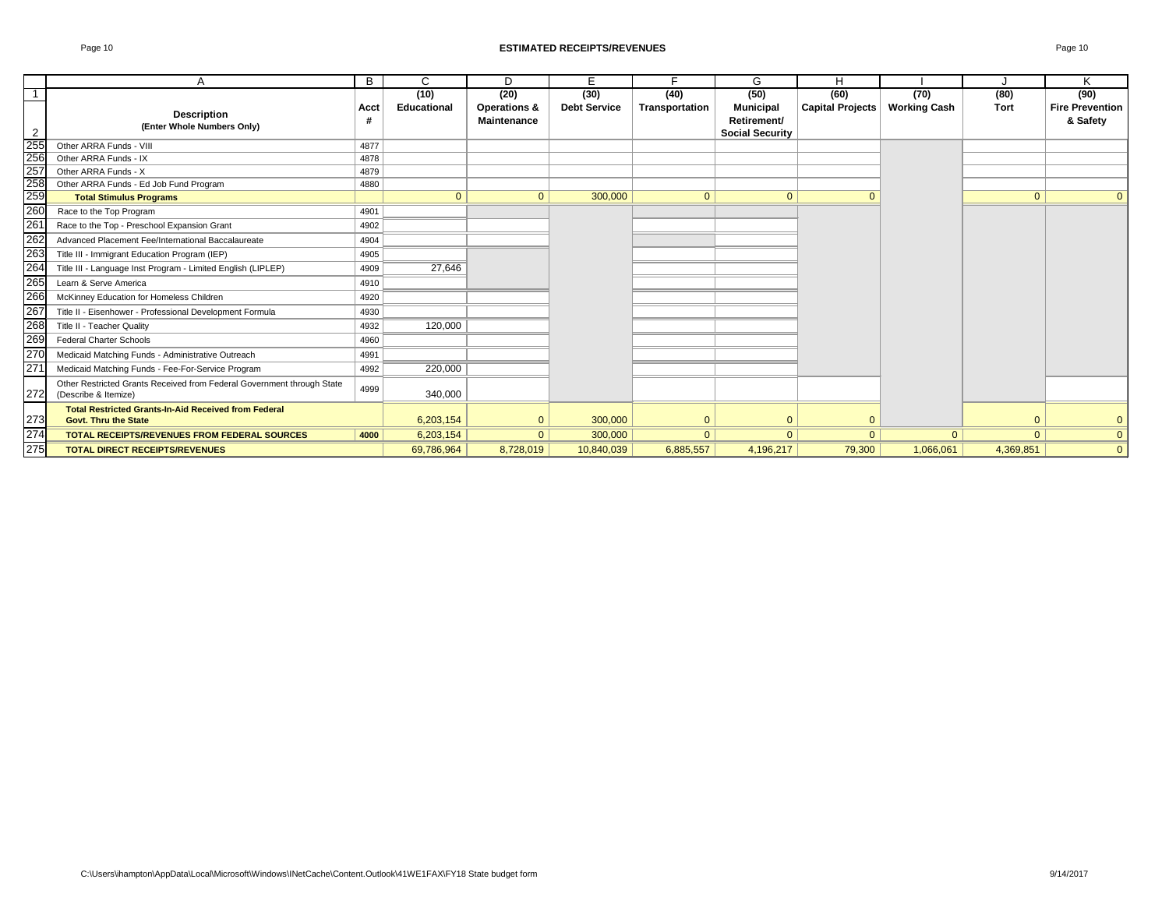## Page 10 **ESTIMATED RECEIPTS/REVENUES** Page 10

|                                 |                                                                                                | B    | $\mathsf{C}$       | D                       | E                   |                | G                                     | H                       |                     |             | K                      |
|---------------------------------|------------------------------------------------------------------------------------------------|------|--------------------|-------------------------|---------------------|----------------|---------------------------------------|-------------------------|---------------------|-------------|------------------------|
|                                 |                                                                                                |      | (10)               | (20)                    | (30)                | (40)           | (50)                                  | (60)                    | (70)                | (80)        | (90)                   |
|                                 | <b>Description</b>                                                                             | Acct | <b>Educational</b> | <b>Operations &amp;</b> | <b>Debt Service</b> | Transportation | <b>Municipal</b>                      | <b>Capital Projects</b> | <b>Working Cash</b> | <b>Tort</b> | <b>Fire Prevention</b> |
| $\overline{2}$                  | (Enter Whole Numbers Only)                                                                     |      |                    | <b>Maintenance</b>      |                     |                | Retirement/<br><b>Social Security</b> |                         |                     |             | & Safety               |
|                                 | Other ARRA Funds - VIII                                                                        | 4877 |                    |                         |                     |                |                                       |                         |                     |             |                        |
|                                 | Other ARRA Funds - IX                                                                          | 4878 |                    |                         |                     |                |                                       |                         |                     |             |                        |
|                                 | Other ARRA Funds - X                                                                           | 4879 |                    |                         |                     |                |                                       |                         |                     |             |                        |
|                                 | Other ARRA Funds - Ed Job Fund Program                                                         | 4880 |                    |                         |                     |                |                                       |                         |                     |             |                        |
| 255<br>256<br>257<br>258<br>259 | <b>Total Stimulus Programs</b>                                                                 |      | $\overline{0}$     | $\overline{0}$          | 300,000             | 0              | $\mathbf{0}$                          | $\Omega$                |                     | $\Omega$    | $\overline{0}$         |
| 260                             | Race to the Top Program                                                                        | 4901 |                    |                         |                     |                |                                       |                         |                     |             |                        |
| $\overline{261}$                | Race to the Top - Preschool Expansion Grant                                                    | 4902 |                    |                         |                     |                |                                       |                         |                     |             |                        |
| 262                             | Advanced Placement Fee/International Baccalaureate                                             | 4904 |                    |                         |                     |                |                                       |                         |                     |             |                        |
| 263                             | Title III - Immigrant Education Program (IEP)                                                  | 4905 |                    |                         |                     |                |                                       |                         |                     |             |                        |
|                                 | Title III - Language Inst Program - Limited English (LIPLEP)                                   | 4909 | 27,646             |                         |                     |                |                                       |                         |                     |             |                        |
| 264<br>265<br>266               | Learn & Serve America                                                                          | 4910 |                    |                         |                     |                |                                       |                         |                     |             |                        |
|                                 | McKinney Education for Homeless Children                                                       | 4920 |                    |                         |                     |                |                                       |                         |                     |             |                        |
| 267                             | Title II - Eisenhower - Professional Development Formula                                       | 4930 |                    |                         |                     |                |                                       |                         |                     |             |                        |
| 268                             | Title II - Teacher Quality                                                                     | 4932 | 120,000            |                         |                     |                |                                       |                         |                     |             |                        |
| 269                             | <b>Federal Charter Schools</b>                                                                 | 4960 |                    |                         |                     |                |                                       |                         |                     |             |                        |
| 270                             | Medicaid Matching Funds - Administrative Outreach                                              | 4991 |                    |                         |                     |                |                                       |                         |                     |             |                        |
| 271                             | Medicaid Matching Funds - Fee-For-Service Program                                              | 4992 | 220,000            |                         |                     |                |                                       |                         |                     |             |                        |
| 272                             | Other Restricted Grants Received from Federal Government through State<br>(Describe & Itemize) | 4999 | 340,000            |                         |                     |                |                                       |                         |                     |             |                        |
| 273                             | <b>Total Restricted Grants-In-Aid Received from Federal</b><br><b>Govt. Thru the State</b>     |      | 6,203,154          | $\overline{0}$          | 300,000             | $\mathbf{0}$   |                                       | $\overline{0}$          |                     |             | $\mathbf{0}$           |
| 274                             | <b>TOTAL RECEIPTS/REVENUES FROM FEDERAL SOURCES</b>                                            | 4000 | 6,203,154          | 0 <sup>1</sup>          | 300,000             | $\overline{0}$ | $\Omega$                              | $\Omega$                | $\overline{0}$      |             | $\overline{0}$         |
| 275                             | <b>TOTAL DIRECT RECEIPTS/REVENUES</b>                                                          |      | 69,786,964         | 8,728,019               | 10,840,039          | 6,885,557      | 4,196,217                             | 79,300                  | 1,066,061           | 4,369,851   | $\mathbf{0}$           |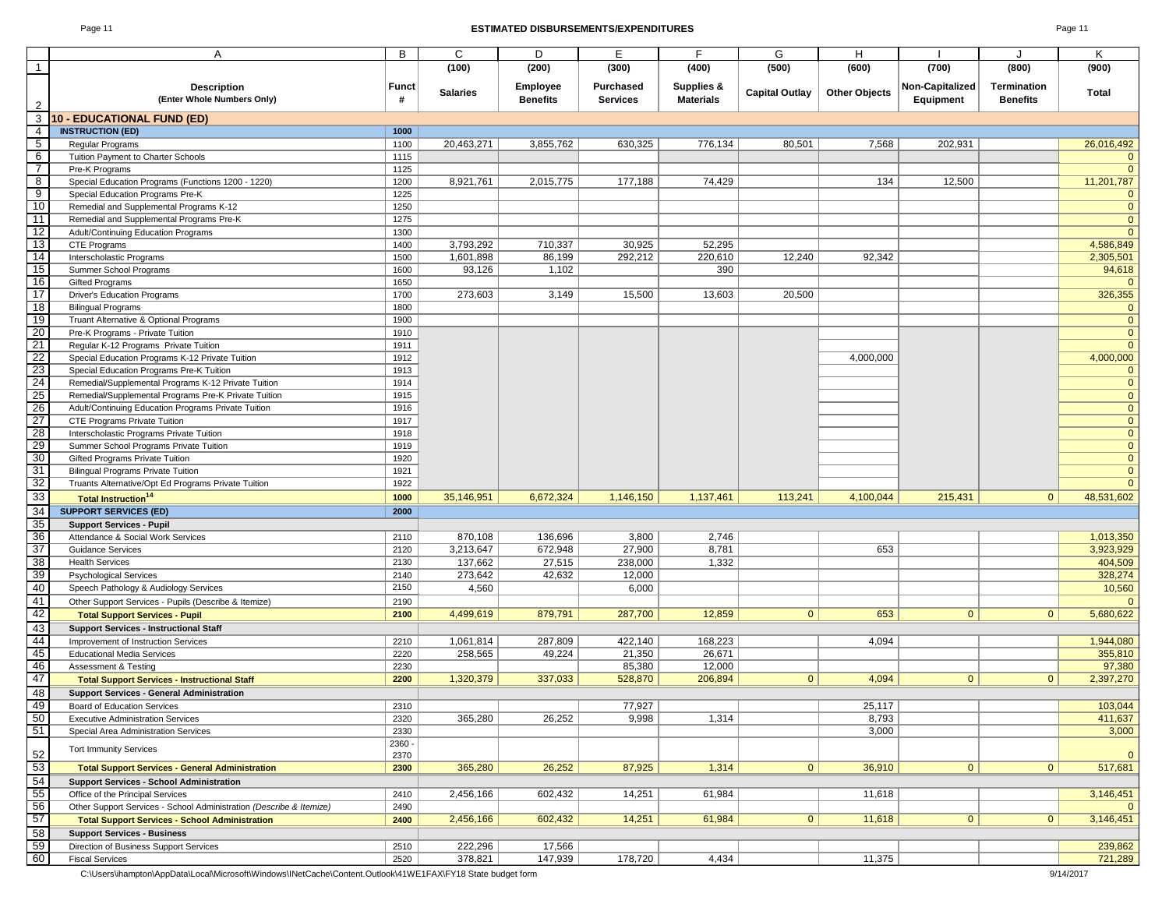1

#### Page 11 **ESTIMATED DISBURSEMENTS/EXPENDITURES** Page 11

A B | C | D | E | F | G | H | I | J | K

|                                                                     |                   | (100)              | (200)                              | (300)                               | (400)                                     | (500)                 | (600)                | (700)                        | (800)                          | (900)              |
|---------------------------------------------------------------------|-------------------|--------------------|------------------------------------|-------------------------------------|-------------------------------------------|-----------------------|----------------------|------------------------------|--------------------------------|--------------------|
| <b>Description</b><br>(Enter Whole Numbers Only)                    | <b>Funct</b><br># | <b>Salaries</b>    | <b>Employee</b><br><b>Benefits</b> | <b>Purchased</b><br><b>Services</b> | <b>Supplies &amp;</b><br><b>Materials</b> | <b>Capital Outlay</b> | <b>Other Objects</b> | Non-Capitalized<br>Equipment | Termination<br><b>Benefits</b> | <b>Total</b>       |
| <b>10 - EDUCATIONAL FUND (ED)</b>                                   |                   |                    |                                    |                                     |                                           |                       |                      |                              |                                |                    |
| <b>INSTRUCTION (ED)</b>                                             | 1000              |                    |                                    |                                     |                                           |                       |                      |                              |                                |                    |
| Regular Programs                                                    | 1100              | 20,463,271         | 3,855,762                          | 630,325                             | 776,134                                   | 80,501                | 7,568                | 202,931                      |                                | 26,016,492         |
| Tuition Payment to Charter Schools                                  | 1115              |                    |                                    |                                     |                                           |                       |                      |                              |                                | $\overline{0}$     |
| Pre-K Programs                                                      | 1125              |                    |                                    |                                     |                                           |                       |                      |                              |                                | $\overline{0}$     |
| Special Education Programs (Functions 1200 - 1220)                  | 1200              | 8,921,761          | 2,015,775                          | 177,188                             | 74,429                                    |                       | 134                  | 12,500                       |                                | 11,201,787         |
| Special Education Programs Pre-K                                    | 1225              |                    |                                    |                                     |                                           |                       |                      |                              |                                | $\overline{0}$     |
| Remedial and Supplemental Programs K-12                             | 1250              |                    |                                    |                                     |                                           |                       |                      |                              |                                | $\overline{0}$     |
| Remedial and Supplemental Programs Pre-K                            | 1275              |                    |                                    |                                     |                                           |                       |                      |                              |                                | $\overline{0}$     |
| Adult/Continuing Education Programs                                 | 1300              |                    |                                    |                                     |                                           |                       |                      |                              |                                | $\overline{0}$     |
| CTE Programs                                                        | 1400              | 3,793,292          | 710,337                            | 30,925                              | 52,295                                    |                       |                      |                              |                                | 4,586,849          |
| Interscholastic Programs                                            | 1500              | 1,601,898          | 86,199                             | 292,212                             | 220,610                                   | 12,240                | 92,342               |                              |                                | 2,305,501          |
| Summer School Programs                                              | 1600              | 93,126             | 1,102                              |                                     | 390                                       |                       |                      |                              |                                | 94,618             |
| <b>Gifted Programs</b>                                              | 1650              |                    |                                    |                                     |                                           |                       |                      |                              |                                | $\overline{0}$     |
| <b>Driver's Education Programs</b>                                  | 1700              | 273,603            | 3,149                              | 15,500                              | 13,603                                    | 20,500                |                      |                              |                                | 326,355            |
| <b>Bilingual Programs</b>                                           | 1800              |                    |                                    |                                     |                                           |                       |                      |                              |                                | $\overline{0}$     |
| Truant Alternative & Optional Programs                              | 1900              |                    |                                    |                                     |                                           |                       |                      |                              |                                | $\overline{0}$     |
| Pre-K Programs - Private Tuition                                    | 1910              |                    |                                    |                                     |                                           |                       |                      |                              |                                | $\overline{0}$     |
| Regular K-12 Programs Private Tuition                               | 1911              |                    |                                    |                                     |                                           |                       |                      |                              |                                | $\boxed{0}$        |
| Special Education Programs K-12 Private Tuition                     | 1912              |                    |                                    |                                     |                                           |                       | 4,000,000            |                              |                                | 4,000,000          |
| Special Education Programs Pre-K Tuition                            | 1913              |                    |                                    |                                     |                                           |                       |                      |                              |                                | $\overline{0}$     |
| Remedial/Supplemental Programs K-12 Private Tuition                 | 1914              |                    |                                    |                                     |                                           |                       |                      |                              |                                | $\overline{0}$     |
| Remedial/Supplemental Programs Pre-K Private Tuition                | 1915              |                    |                                    |                                     |                                           |                       |                      |                              |                                | $\overline{0}$     |
| Adult/Continuing Education Programs Private Tuition                 | 1916              |                    |                                    |                                     |                                           |                       |                      |                              |                                | $\overline{0}$     |
| CTE Programs Private Tuition                                        | 1917              |                    |                                    |                                     |                                           |                       |                      |                              |                                | $\overline{0}$     |
| Interscholastic Programs Private Tuition                            | 1918              |                    |                                    |                                     |                                           |                       |                      |                              |                                | $\overline{0}$     |
| Summer School Programs Private Tuition                              | 1919              |                    |                                    |                                     |                                           |                       |                      |                              |                                | $\overline{0}$     |
| <b>Gifted Programs Private Tuition</b>                              | 1920              |                    |                                    |                                     |                                           |                       |                      |                              |                                | $\overline{0}$     |
| <b>Bilingual Programs Private Tuition</b>                           | 1921              |                    |                                    |                                     |                                           |                       |                      |                              |                                | $\boxed{0}$        |
| Truants Alternative/Opt Ed Programs Private Tuition                 | 1922              |                    |                                    |                                     |                                           |                       |                      |                              |                                | $\overline{0}$     |
| <b>Total Instruction<sup>14</sup></b>                               | 1000              | 35,146,951         | 6,672,324                          | 1,146,150                           | 1,137,461                                 | 113,241               | 4,100,044            | 215,431                      | $\mathbf{0}$                   | 48,531,602         |
| <b>SUPPORT SERVICES (ED)</b>                                        | 2000              |                    |                                    |                                     |                                           |                       |                      |                              |                                |                    |
| <b>Support Services - Pupil</b>                                     |                   |                    |                                    |                                     |                                           |                       |                      |                              |                                |                    |
| Attendance & Social Work Services                                   | 2110              | 870,108            | 136,696                            | 3,800                               | 2,746                                     |                       |                      |                              |                                | 1,013,350          |
| <b>Guidance Services</b>                                            | 2120              | 3,213,647          | 672,948                            | 27,900                              | 8,781                                     |                       | 653                  |                              |                                | 3,923,929          |
| <b>Health Services</b>                                              | 2130              | 137,662            | 27,515                             | 238,000                             | 1,332                                     |                       |                      |                              |                                | 404,509            |
| <b>Psychological Services</b>                                       | 2140              | 273,642            | 42,632                             | 12,000                              |                                           |                       |                      |                              |                                | 328,274            |
| Speech Pathology & Audiology Services                               | 2150              | 4,560              |                                    | 6,000                               |                                           |                       |                      |                              |                                | 10,560             |
| Other Support Services - Pupils (Describe & Itemize)                | 2190              |                    |                                    |                                     |                                           |                       |                      |                              |                                | $\overline{0}$     |
| <b>Total Support Services - Pupil</b>                               | 2100              | 4,499,619          | 879,791                            | 287,700                             | 12,859                                    | $\mathbf{0}$          | 653                  | 0                            | $\overline{0}$                 | 5,680,622          |
| <b>Support Services - Instructional Staff</b>                       |                   |                    |                                    |                                     |                                           |                       |                      |                              |                                |                    |
| Improvement of Instruction Services                                 | 2210              | 1,061,814          | 287,809                            | 422,140                             | 168,223                                   |                       | 4,094                |                              |                                | 1,944,080          |
| <b>Educational Media Services</b>                                   | 2220              | 258,565            | 49,224                             | 21,350                              | 26,671                                    |                       |                      |                              |                                | 355,810            |
| <b>Assessment &amp; Testing</b>                                     | 2230              |                    |                                    | 85,380                              | 12,000                                    |                       |                      |                              |                                | 97,380             |
| <b>Total Support Services - Instructional Staff</b>                 | 2200              | 1,320,379          | 337,033                            | 528,870                             | 206,894                                   | $\mathbf{0}$          | 4,094                | 0                            | $\mathbf{0}$                   | 2,397,270          |
| <b>Support Services - General Administration</b>                    |                   |                    |                                    |                                     |                                           |                       |                      |                              |                                |                    |
| <b>Board of Education Services</b>                                  | 2310              |                    |                                    | 77,927                              |                                           |                       | 25,117               |                              |                                | 103,044            |
| <b>Executive Administration Services</b>                            | 2320              | 365,280            | 26,252                             | 9,998                               | 1,314                                     |                       | 8,793                |                              |                                | 411,637            |
| Special Area Administration Services                                | 2330              |                    |                                    |                                     |                                           |                       | 3,000                |                              |                                | 3,000              |
|                                                                     | 2360 -            |                    |                                    |                                     |                                           |                       |                      |                              |                                |                    |
| <b>Tort Immunity Services</b>                                       | 2370              |                    |                                    |                                     |                                           |                       |                      |                              |                                | $\overline{0}$     |
| <b>Total Support Services - General Administration</b>              | 2300              | 365,280            | 26,252                             | 87,925                              | 1,314                                     | 0                     | 36,910               | 0                            | 0                              | 517,681            |
| <b>Support Services - School Administration</b>                     |                   |                    |                                    |                                     |                                           |                       |                      |                              |                                |                    |
| Office of the Principal Services                                    | 2410              | 2,456,166          | 602,432                            | 14,251                              | 61,984                                    |                       | 11,618               |                              |                                | 3,146,451          |
| Other Support Services - School Administration (Describe & Itemize) | 2490              |                    |                                    |                                     |                                           |                       |                      |                              |                                | $\overline{0}$     |
|                                                                     |                   |                    |                                    |                                     |                                           |                       |                      |                              |                                | 3,146,451          |
| <b>Total Support Services - School Administration</b>               | 2400              | 2,456,166          | 602,432                            | 14,251                              | 61,984                                    | 0                     | 11,618               | 0                            | $\overline{0}$                 |                    |
| <b>Support Services - Business</b>                                  |                   |                    |                                    |                                     |                                           |                       |                      |                              |                                |                    |
| Direction of Business Support Services                              | 2510<br>2520      | 222,296<br>378,821 | 17,566<br>147,939                  | 178,720                             | 4,434                                     |                       | 11,375               |                              |                                | 239,862<br>721,289 |

C:\Users\ihampton\AppData\Local\Microsoft\Windows\INetCache\Content.Outlook\41WE1FAX\FY18 State budget form 9/14/2017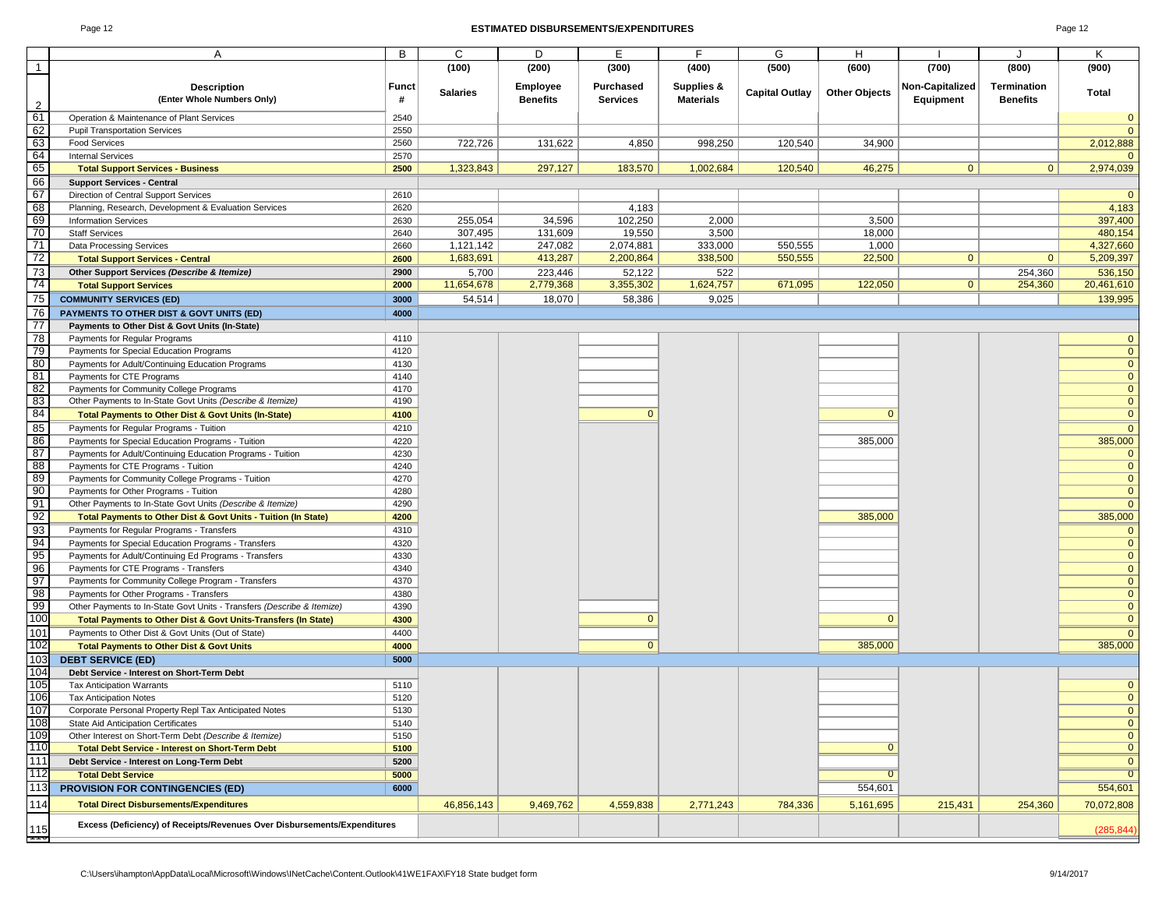## Page 12 **ESTIMATED DISBURSEMENTS/EXPENDITURES** Page 12

|                                         |                                                                          |       |                 |                 |                  | Е                     |                       |                      |                        |                 |                |
|-----------------------------------------|--------------------------------------------------------------------------|-------|-----------------|-----------------|------------------|-----------------------|-----------------------|----------------------|------------------------|-----------------|----------------|
|                                         |                                                                          | B     | $\mathsf{C}$    | D               | E.               |                       | G                     | H                    |                        |                 | K              |
| $\overline{1}$                          |                                                                          |       | (100)           | (200)           | (300)            | (400)                 | (500)                 | (600)                | (700)                  | (800)           | (900)          |
|                                         | <b>Description</b>                                                       | Funct |                 | <b>Employee</b> | <b>Purchased</b> | <b>Supplies &amp;</b> |                       |                      | <b>Non-Capitalized</b> | Termination     |                |
|                                         | (Enter Whole Numbers Only)                                               | #     | <b>Salaries</b> | <b>Benefits</b> | <b>Services</b>  | <b>Materials</b>      | <b>Capital Outlay</b> | <b>Other Objects</b> | Equipment              | <b>Benefits</b> | <b>Total</b>   |
| 2                                       |                                                                          |       |                 |                 |                  |                       |                       |                      |                        |                 |                |
| 61                                      | Operation & Maintenance of Plant Services                                | 2540  |                 |                 |                  |                       |                       |                      |                        |                 | $\mathbf{0}$   |
| $\begin{array}{c} 62 \\ 63 \end{array}$ | <b>Pupil Transportation Services</b>                                     | 2550  |                 |                 |                  |                       |                       |                      |                        |                 | $\overline{0}$ |
| 64                                      | <b>Food Services</b>                                                     | 2560  | 722,726         | 131,622         | 4,850            | 998,250               | 120,540               | 34,900               |                        |                 | 2,012,888      |
| 65                                      | <b>Internal Services</b>                                                 | 2570  |                 |                 |                  |                       |                       |                      |                        |                 | $\Omega$       |
|                                         | <b>Total Support Services - Business</b>                                 | 2500  | 1,323,843       | 297,127         | 183,570          | 1,002,684             | 120,540               | 46,275               | $\mathbf{0}$           | $\overline{0}$  | 2,974,039      |
| 66                                      | <b>Support Services - Central</b>                                        |       |                 |                 |                  |                       |                       |                      |                        |                 |                |
| 67                                      | Direction of Central Support Services                                    | 2610  |                 |                 |                  |                       |                       |                      |                        |                 | $\overline{0}$ |
| 68                                      | Planning, Research, Development & Evaluation Services                    | 2620  |                 |                 | 4,183            |                       |                       |                      |                        |                 | 4,183          |
| 69                                      | <b>Information Services</b>                                              | 2630  | 255,054         | 34,596          | 102,250          | 2,000                 |                       | 3,500                |                        |                 | 397,400        |
| $\frac{70}{71}$                         | <b>Staff Services</b>                                                    | 2640  | 307,495         | 131,609         | 19,550           | 3,500                 |                       | 18,000               |                        |                 | 480,154        |
|                                         | <b>Data Processing Services</b>                                          | 2660  | 1,121,142       | 247,082         | 2,074,881        | 333,000               | 550,555               | 1,000                |                        |                 | 4,327,660      |
| 72                                      | <b>Total Support Services - Central</b>                                  | 2600  | 1,683,691       | 413,287         | 2,200,864        | 338,500               | 550,555               | 22,500               | $\mathbf{0}$           | $\overline{0}$  | 5,209,397      |
| 73                                      | Other Support Services (Describe & Itemize)                              | 2900  | 5,700           | 223,446         | 52,122           | 522                   |                       |                      |                        | 254,360         | 536,150        |
| $\overline{74}$                         | <b>Total Support Services</b>                                            | 2000  | 11,654,678      | 2,779,368       | 3,355,302        | 1,624,757             | 671,095               | 122,050              | $\mathbf{0}$           | 254,360         | 20,461,610     |
| 75                                      | <b>COMMUNITY SERVICES (ED)</b>                                           | 3000  | 54,514          | 18,070          | 58,386           | 9,025                 |                       |                      |                        |                 | 139,995        |
| 76                                      | PAYMENTS TO OTHER DIST & GOVT UNITS (ED)                                 | 4000  |                 |                 |                  |                       |                       |                      |                        |                 |                |
| $\overline{77}$                         | Payments to Other Dist & Govt Units (In-State)                           |       |                 |                 |                  |                       |                       |                      |                        |                 |                |
| 78                                      | Payments for Regular Programs                                            | 4110  |                 |                 |                  |                       |                       |                      |                        |                 | $\mathbf{0}$   |
| $\frac{79}{80}$                         | Payments for Special Education Programs                                  | 4120  |                 |                 |                  |                       |                       |                      |                        |                 | $\mathbf{0}$   |
|                                         | Payments for Adult/Continuing Education Programs                         | 4130  |                 |                 |                  |                       |                       |                      |                        |                 | $\mathbf{0}$   |
| 81                                      | Payments for CTE Programs                                                | 4140  |                 |                 |                  |                       |                       |                      |                        |                 | $\mathbf{0}$   |
| 82                                      | Payments for Community College Programs                                  | 4170  |                 |                 |                  |                       |                       |                      |                        |                 | $\overline{0}$ |
| 83                                      | Other Payments to In-State Govt Units (Describe & Itemize)               | 4190  |                 |                 |                  |                       |                       |                      |                        |                 | $\mathbf{0}$   |
| 84                                      | <b>Total Payments to Other Dist &amp; Govt Units (In-State)</b>          | 4100  |                 |                 | $\Omega$         |                       |                       | $\Omega$             |                        |                 | $\mathbf{0}$   |
| $\overline{85}$                         | Payments for Regular Programs - Tuition                                  | 4210  |                 |                 |                  |                       |                       |                      |                        |                 | $\overline{0}$ |
|                                         | Payments for Special Education Programs - Tuition                        | 4220  |                 |                 |                  |                       |                       | 385,000              |                        |                 | 385,000        |
| $\frac{86}{87}$                         | Payments for Adult/Continuing Education Programs - Tuition               | 4230  |                 |                 |                  |                       |                       |                      |                        |                 | $\overline{0}$ |
| 88                                      | Payments for CTE Programs - Tuition                                      | 4240  |                 |                 |                  |                       |                       |                      |                        |                 | $\mathbf{0}$   |
| 89                                      | Payments for Community College Programs - Tuition                        | 4270  |                 |                 |                  |                       |                       |                      |                        |                 | $\mathbf{0}$   |
| $-90$                                   | Payments for Other Programs - Tuition                                    | 4280  |                 |                 |                  |                       |                       |                      |                        |                 | $\overline{0}$ |
| 91                                      | Other Payments to In-State Govt Units (Describe & Itemize)               | 4290  |                 |                 |                  |                       |                       |                      |                        |                 | $\overline{0}$ |
| $\overline{92}$                         | Total Payments to Other Dist & Govt Units - Tuition (In State)           | 4200  |                 |                 |                  |                       |                       | 385,000              |                        |                 | 385,000        |
| 93                                      | Payments for Regular Programs - Transfers                                | 4310  |                 |                 |                  |                       |                       |                      |                        |                 | $\mathbf{0}$   |
| 94                                      | Payments for Special Education Programs - Transfers                      | 4320  |                 |                 |                  |                       |                       |                      |                        |                 | $\overline{0}$ |
| $\overline{95}$                         | Payments for Adult/Continuing Ed Programs - Transfers                    | 4330  |                 |                 |                  |                       |                       |                      |                        |                 | $\mathbf{0}$   |
| 96                                      | Payments for CTE Programs - Transfers                                    | 4340  |                 |                 |                  |                       |                       |                      |                        |                 | $\mathbf{0}$   |
| 97                                      | Payments for Community College Program - Transfers                       | 4370  |                 |                 |                  |                       |                       |                      |                        |                 | $\mathbf{0}$   |
| 98                                      | Payments for Other Programs - Transfers                                  | 4380  |                 |                 |                  |                       |                       |                      |                        |                 | $\mathbf{0}$   |
| 99                                      | Other Payments to In-State Govt Units - Transfers (Describe & Itemize)   | 4390  |                 |                 |                  |                       |                       |                      |                        |                 | $\mathbf{0}$   |
| 100                                     | Total Payments to Other Dist & Govt Units-Transfers (In State)           | 4300  |                 |                 | $\Omega$         |                       |                       |                      |                        |                 | $\overline{0}$ |
| 101                                     | Payments to Other Dist & Govt Units (Out of State)                       | 4400  |                 |                 |                  |                       |                       |                      |                        |                 | $\Omega$       |
| 102                                     |                                                                          |       |                 |                 | $\overline{0}$   |                       |                       | 385,000              |                        |                 | 385,000        |
|                                         | <b>Total Payments to Other Dist &amp; Govt Units</b>                     | 4000  |                 |                 |                  |                       |                       |                      |                        |                 |                |
| 103                                     | <b>DEBT SERVICE (ED)</b>                                                 | 5000  |                 |                 |                  |                       |                       |                      |                        |                 |                |
| 104                                     | Debt Service - Interest on Short-Term Debt                               |       |                 |                 |                  |                       |                       |                      |                        |                 |                |
| 105                                     | <b>Tax Anticipation Warrants</b>                                         | 5110  |                 |                 |                  |                       |                       |                      |                        |                 | $\mathbf{0}$   |
| 106                                     | <b>Tax Anticipation Notes</b>                                            | 5120  |                 |                 |                  |                       |                       |                      |                        |                 | $\overline{0}$ |
| 107                                     | Corporate Personal Property Repl Tax Anticipated Notes                   | 5130  |                 |                 |                  |                       |                       |                      |                        |                 | $\mathbf{0}$   |
| 108                                     | <b>State Aid Anticipation Certificates</b>                               | 5140  |                 |                 |                  |                       |                       |                      |                        |                 | $\mathbf{0}$   |
| 109<br>110                              | Other Interest on Short-Term Debt (Describe & Itemize)                   | 5150  |                 |                 |                  |                       |                       |                      |                        |                 | $\mathbf{0}$   |
|                                         | <b>Total Debt Service - Interest on Short-Term Debt</b>                  | 5100  |                 |                 |                  |                       |                       |                      |                        |                 | $\mathbf{0}$   |
| 111                                     | Debt Service - Interest on Long-Term Debt                                | 5200  |                 |                 |                  |                       |                       |                      |                        |                 | $\Omega$       |
| 112                                     | <b>Total Debt Service</b>                                                | 5000  |                 |                 |                  |                       |                       |                      |                        |                 |                |
| 113                                     | <b>PROVISION FOR CONTINGENCIES (ED)</b>                                  | 6000  |                 |                 |                  |                       |                       | 554,601              |                        |                 | 554,601        |
| 114                                     | <b>Total Direct Disbursements/Expenditures</b>                           |       | 46,856,143      | 9,469,762       | 4,559,838        | 2,771,243             | 784,336               | 5,161,695            | 215,431                | 254,360         | 70,072,808     |
| 115                                     | Excess (Deficiency) of Receipts/Revenues Over Disbursements/Expenditures |       |                 |                 |                  |                       |                       |                      |                        |                 | (285, 844)     |
| o                                       |                                                                          |       |                 |                 |                  |                       |                       |                      |                        |                 |                |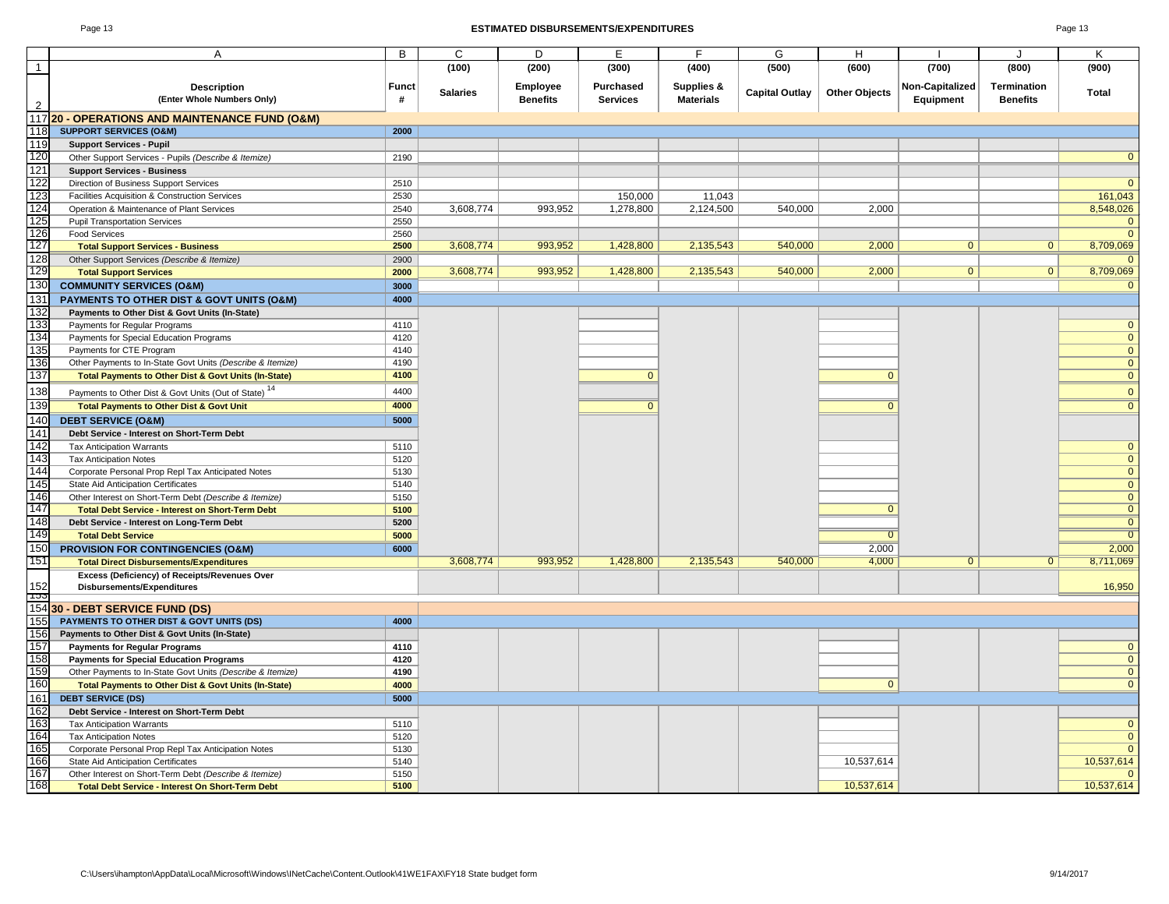## Page 13 **ESTIMATED DISBURSEMENTS/EXPENDITURES** Page 13

|                  | A                                                                                                            | B            | C               | D               | E.               | E                     | G                     | H                    |                        |                    | K          |
|------------------|--------------------------------------------------------------------------------------------------------------|--------------|-----------------|-----------------|------------------|-----------------------|-----------------------|----------------------|------------------------|--------------------|------------|
|                  |                                                                                                              |              | (100)           | (200)           | (300)            | (400)                 | (500)                 | (600)                | (700)                  | (800)              | (900)      |
|                  | <b>Description</b>                                                                                           | <b>Funct</b> | <b>Salaries</b> | <b>Employee</b> | <b>Purchased</b> | <b>Supplies &amp;</b> | <b>Capital Outlay</b> | <b>Other Objects</b> | <b>Non-Capitalized</b> | <b>Termination</b> | Total      |
| 2                | (Enter Whole Numbers Only)                                                                                   | #            |                 | <b>Benefits</b> | <b>Services</b>  | <b>Materials</b>      |                       |                      | Equipment              | <b>Benefits</b>    |            |
|                  | 11720 - OPERATIONS AND MAINTENANCE FUND (O&M)                                                                |              |                 |                 |                  |                       |                       |                      |                        |                    |            |
| $\overline{118}$ | <b>SUPPORT SERVICES (O&amp;M)</b>                                                                            | 2000         |                 |                 |                  |                       |                       |                      |                        |                    |            |
| 119              | <b>Support Services - Pupil</b>                                                                              |              |                 |                 |                  |                       |                       |                      |                        |                    |            |
| 120              | Other Support Services - Pupils (Describe & Itemize)                                                         | 2190         |                 |                 |                  |                       |                       |                      |                        |                    |            |
| 121              | <b>Support Services - Business</b>                                                                           |              |                 |                 |                  |                       |                       |                      |                        |                    |            |
| 122              | Direction of Business Support Services                                                                       | 2510         |                 |                 |                  |                       |                       |                      |                        |                    |            |
| $\overline{123}$ | Facilities Acquisition & Construction Services                                                               | 2530         |                 |                 | 150,000          | 11,043                |                       |                      |                        |                    | 161,043    |
| 124              | Operation & Maintenance of Plant Services                                                                    | 2540         | 3,608,774       | 993,952         | 1,278,800        | 2,124,500             | 540,000               | 2,000                |                        |                    | 8,548,026  |
| $\overline{125}$ | <b>Pupil Transportation Services</b>                                                                         | 2550         |                 |                 |                  |                       |                       |                      |                        |                    |            |
| 126<br>127       | <b>Food Services</b>                                                                                         | 2560         |                 |                 |                  |                       |                       |                      |                        |                    |            |
| $\overline{128}$ | <b>Total Support Services - Business</b>                                                                     | 2500         | 3,608,774       | 993,952         | 1,428,800        | 2,135,543             | 540,000               | 2,000                | $\overline{0}$         | 0 <sup>1</sup>     | 8,709,069  |
| 129              | Other Support Services (Describe & Itemize)                                                                  | 2900         | 3,608,774       | 993,952         | 1,428,800        | 2,135,543             | 540,000               | 2,000                | 0                      | 0 <sup>1</sup>     | 8,709,069  |
| 130              | <b>Total Support Services</b>                                                                                | 2000         |                 |                 |                  |                       |                       |                      |                        |                    |            |
|                  | <b>COMMUNITY SERVICES (O&amp;M)</b>                                                                          | 3000         |                 |                 |                  |                       |                       |                      |                        |                    |            |
| 131              | PAYMENTS TO OTHER DIST & GOVT UNITS (O&M)                                                                    | 4000         |                 |                 |                  |                       |                       |                      |                        |                    |            |
| 132<br>133       | Payments to Other Dist & Govt Units (In-State)                                                               |              |                 |                 |                  |                       |                       |                      |                        |                    |            |
| 134              | Payments for Regular Programs<br><b>Payments for Special Education Programs</b>                              | 4110<br>4120 |                 |                 |                  |                       |                       |                      |                        |                    |            |
| 135              | Payments for CTE Program                                                                                     | 4140         |                 |                 |                  |                       |                       |                      |                        |                    |            |
| 136              | Other Payments to In-State Govt Units (Describe & Itemize)                                                   | 4190         |                 |                 |                  |                       |                       |                      |                        |                    |            |
| 137              | Total Payments to Other Dist & Govt Units (In-State)                                                         | 4100         |                 |                 |                  |                       |                       | $\Omega$             |                        |                    |            |
| 138              |                                                                                                              | 4400         |                 |                 |                  |                       |                       |                      |                        |                    |            |
|                  | Payments to Other Dist & Govt Units (Out of State) <sup>14</sup>                                             |              |                 |                 |                  |                       |                       |                      |                        |                    |            |
| 139              | <b>Total Payments to Other Dist &amp; Govt Unit</b>                                                          | 4000         |                 |                 |                  |                       |                       | $\Omega$             |                        |                    |            |
| 140              | <b>DEBT SERVICE (O&amp;M)</b>                                                                                | 5000         |                 |                 |                  |                       |                       |                      |                        |                    |            |
| 141              | Debt Service - Interest on Short-Term Debt                                                                   |              |                 |                 |                  |                       |                       |                      |                        |                    |            |
| 142<br>143       | <b>Tax Anticipation Warrants</b>                                                                             | 5110         |                 |                 |                  |                       |                       |                      |                        |                    |            |
| 144              | <b>Tax Anticipation Notes</b><br>Corporate Personal Prop Repl Tax Anticipated Notes                          | 5120<br>5130 |                 |                 |                  |                       |                       |                      |                        |                    |            |
| 145              | <b>State Aid Anticipation Certificates</b>                                                                   | 5140         |                 |                 |                  |                       |                       |                      |                        |                    |            |
| 146              | Other Interest on Short-Term Debt (Describe & Itemize)                                                       | 5150         |                 |                 |                  |                       |                       |                      |                        |                    |            |
| 147              | <b>Total Debt Service - Interest on Short-Term Debt</b>                                                      | 5100         |                 |                 |                  |                       |                       | $\Omega$             |                        |                    |            |
| 148              | Debt Service - Interest on Long-Term Debt                                                                    | 5200         |                 |                 |                  |                       |                       |                      |                        |                    |            |
| 149              | <b>Total Debt Service</b>                                                                                    | 5000         |                 |                 |                  |                       |                       | $\Omega$             |                        |                    |            |
| 150              | <b>PROVISION FOR CONTINGENCIES (O&amp;M)</b>                                                                 | 6000         |                 |                 |                  |                       |                       | 2,000                |                        |                    | 2,000      |
| 151              | <b>Total Direct Disbursements/Expenditures</b>                                                               |              | 3,608,774       | 993,952         | 1,428,800        | 2,135,543             | 540,000               | 4,000                | $\mathbf{0}$           | 0 <sup>1</sup>     | 8,711,069  |
|                  | <b>Excess (Deficiency) of Receipts/Revenues Over</b>                                                         |              |                 |                 |                  |                       |                       |                      |                        |                    |            |
| 152              | <b>Disbursements/Expenditures</b>                                                                            |              |                 |                 |                  |                       |                       |                      |                        |                    | 16,950     |
| ၢဘ               |                                                                                                              |              |                 |                 |                  |                       |                       |                      |                        |                    |            |
|                  | 154 30 - DEBT SERVICE FUND (DS)                                                                              |              |                 |                 |                  |                       |                       |                      |                        |                    |            |
| 155              | PAYMENTS TO OTHER DIST & GOVT UNITS (DS)                                                                     | 4000         |                 |                 |                  |                       |                       |                      |                        |                    |            |
| 156<br>157       | Payments to Other Dist & Govt Units (In-State)                                                               |              |                 |                 |                  |                       |                       |                      |                        |                    |            |
| 158              | <b>Payments for Regular Programs</b>                                                                         | 4110         |                 |                 |                  |                       |                       |                      |                        |                    |            |
| 159              | <b>Payments for Special Education Programs</b><br>Other Payments to In-State Govt Units (Describe & Itemize) | 4120<br>4190 |                 |                 |                  |                       |                       |                      |                        |                    |            |
| 160              | Total Payments to Other Dist & Govt Units (In-State)                                                         | 4000         |                 |                 |                  |                       |                       | $\overline{0}$       |                        |                    |            |
| 161              | <b>DEBT SERVICE (DS)</b>                                                                                     | 5000         |                 |                 |                  |                       |                       |                      |                        |                    |            |
| 162              | Debt Service - Interest on Short-Term Debt                                                                   |              |                 |                 |                  |                       |                       |                      |                        |                    |            |
| 163              | <b>Tax Anticipation Warrants</b>                                                                             | 5110         |                 |                 |                  |                       |                       |                      |                        |                    |            |
| 164              | <b>Tax Anticipation Notes</b>                                                                                | 5120         |                 |                 |                  |                       |                       |                      |                        |                    |            |
| 165              | Corporate Personal Prop Repl Tax Anticipation Notes                                                          | 5130         |                 |                 |                  |                       |                       |                      |                        |                    |            |
| 166              | <b>State Aid Anticipation Certificates</b>                                                                   | 5140         |                 |                 |                  |                       |                       | 10,537,614           |                        |                    | 10,537,614 |
| 167              | Other Interest on Short-Term Debt (Describe & Itemize)                                                       | 5150         |                 |                 |                  |                       |                       |                      |                        |                    |            |
| 168              | Total Debt Service - Interest On Short-Term Debt                                                             | 5100         |                 |                 |                  |                       |                       | 10,537,614           |                        |                    | 10,537,614 |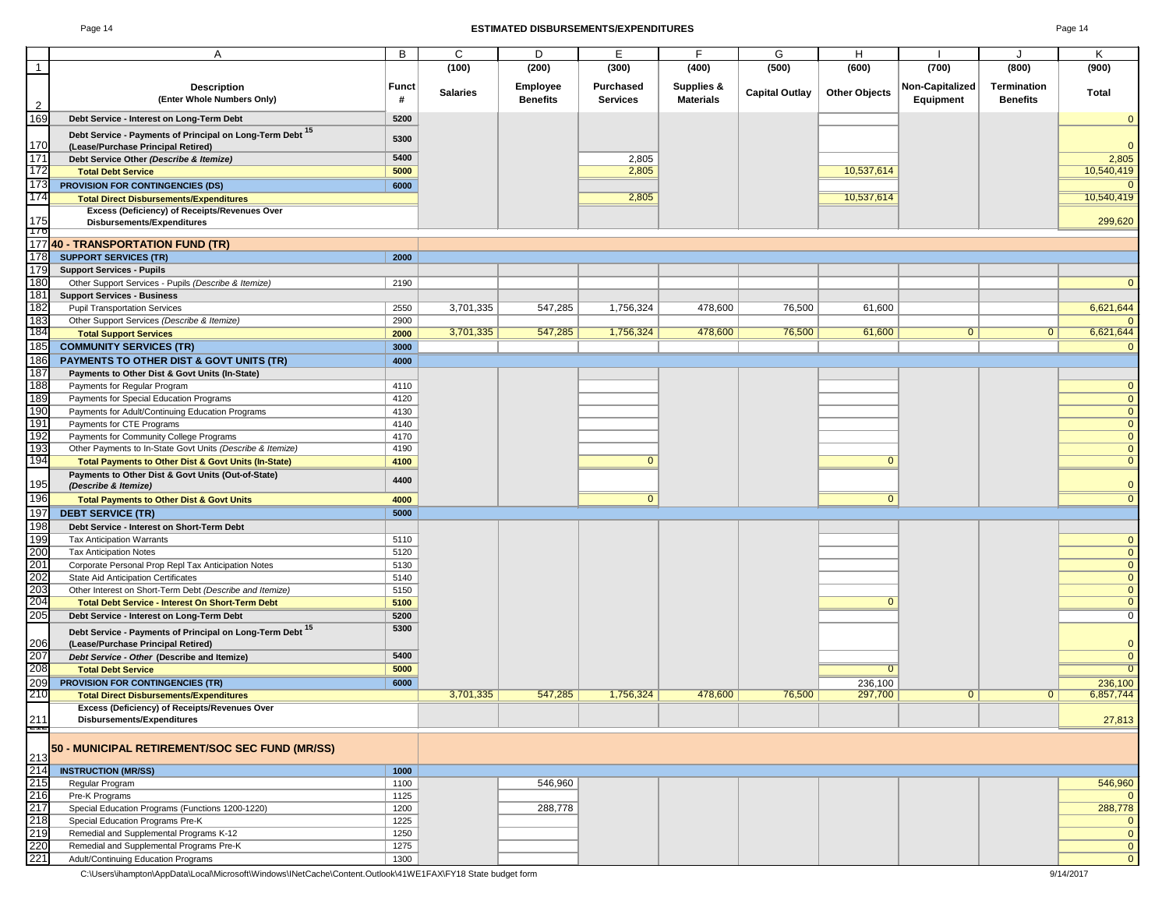#### Page 14 **ESTIMATED DISBURSEMENTS/EXPENDITURES** Page 14

|                       |                                                                                                            | B     | $\mathsf{C}$    | D               | E                | F                     | G                     |                      |                        |                    | K                    |
|-----------------------|------------------------------------------------------------------------------------------------------------|-------|-----------------|-----------------|------------------|-----------------------|-----------------------|----------------------|------------------------|--------------------|----------------------|
|                       | A                                                                                                          |       |                 |                 |                  |                       |                       | H.                   |                        |                    |                      |
|                       |                                                                                                            |       | (100)           | (200)           | (300)            | (400)                 | (500)                 | (600)                | (700)                  | (800)              | (900)                |
|                       | <b>Description</b>                                                                                         | Funct |                 | <b>Employee</b> | <b>Purchased</b> | <b>Supplies &amp;</b> |                       |                      | <b>Non-Capitalized</b> | <b>Termination</b> |                      |
|                       | (Enter Whole Numbers Only)                                                                                 | #     | <b>Salaries</b> | <b>Benefits</b> | <b>Services</b>  | <b>Materials</b>      | <b>Capital Outlay</b> | <b>Other Objects</b> | Equipment              | <b>Benefits</b>    | <b>Total</b>         |
| $\overline{2}$<br>169 |                                                                                                            | 5200  |                 |                 |                  |                       |                       |                      |                        |                    |                      |
|                       | Debt Service - Interest on Long-Term Debt                                                                  |       |                 |                 |                  |                       |                       |                      |                        |                    | 0                    |
|                       | Debt Service - Payments of Principal on Long-Term Debt 15                                                  | 5300  |                 |                 |                  |                       |                       |                      |                        |                    |                      |
| 170                   | (Lease/Purchase Principal Retired)                                                                         | 5400  |                 |                 |                  |                       |                       |                      |                        |                    | 0                    |
| $171$<br>172          | Debt Service Other (Describe & Itemize)                                                                    | 5000  |                 |                 | 2,805<br>2,805   |                       |                       | 10,537,614           |                        |                    | 2,805<br>10,540,419  |
| 173                   | <b>Total Debt Service</b><br><b>PROVISION FOR CONTINGENCIES (DS)</b>                                       |       |                 |                 |                  |                       |                       |                      |                        |                    | 0                    |
| 174                   |                                                                                                            | 6000  |                 |                 | 2,805            |                       |                       | 10,537,614           |                        |                    | 10,540,419           |
|                       | <b>Total Direct Disbursements/Expenditures</b><br><b>Excess (Deficiency) of Receipts/Revenues Over</b>     |       |                 |                 |                  |                       |                       |                      |                        |                    |                      |
| 175                   | <b>Disbursements/Expenditures</b>                                                                          |       |                 |                 |                  |                       |                       |                      |                        |                    | 299,620              |
| 170                   |                                                                                                            |       |                 |                 |                  |                       |                       |                      |                        |                    |                      |
|                       | 177 40 - TRANSPORTATION FUND (TR)                                                                          |       |                 |                 |                  |                       |                       |                      |                        |                    |                      |
| 178                   | <b>SUPPORT SERVICES (TR)</b>                                                                               | 2000  |                 |                 |                  |                       |                       |                      |                        |                    |                      |
| 179                   | <b>Support Services - Pupils</b>                                                                           |       |                 |                 |                  |                       |                       |                      |                        |                    |                      |
| 180                   | Other Support Services - Pupils (Describe & Itemize)                                                       | 2190  |                 |                 |                  |                       |                       |                      |                        |                    | 0                    |
| 181                   | <b>Support Services - Business</b>                                                                         |       |                 |                 |                  |                       |                       |                      |                        |                    |                      |
| 182                   | <b>Pupil Transportation Services</b>                                                                       | 2550  | 3,701,335       | 547,285         | 1,756,324        | 478,600               | 76,500                | 61,600               |                        |                    | 6,621,644            |
| 183                   | Other Support Services (Describe & Itemize)                                                                | 2900  |                 |                 |                  |                       |                       |                      |                        |                    | 0                    |
| 184                   | <b>Total Support Services</b>                                                                              | 2000  | 3,701,335       | 547,285         | 1,756,324        | 478,600               | 76,500                | 61,600               | $\mathbf{0}$           | $\Omega$           | 6,621,644            |
| 185                   | <b>COMMUNITY SERVICES (TR)</b>                                                                             | 3000  |                 |                 |                  |                       |                       |                      |                        |                    | 0                    |
| 186                   | PAYMENTS TO OTHER DIST & GOVT UNITS (TR)                                                                   | 4000  |                 |                 |                  |                       |                       |                      |                        |                    |                      |
| 187                   | Payments to Other Dist & Govt Units (In-State)                                                             |       |                 |                 |                  |                       |                       |                      |                        |                    |                      |
| 188                   | Payments for Regular Program                                                                               | 4110  |                 |                 |                  |                       |                       |                      |                        |                    | 0                    |
| 189                   | Payments for Special Education Programs                                                                    | 4120  |                 |                 |                  |                       |                       |                      |                        |                    | 0                    |
| 190                   | Payments for Adult/Continuing Education Programs                                                           | 4130  |                 |                 |                  |                       |                       |                      |                        |                    | 0                    |
| 191                   | Payments for CTE Programs                                                                                  | 4140  |                 |                 |                  |                       |                       |                      |                        |                    | 0                    |
| 192                   | Payments for Community College Programs                                                                    | 4170  |                 |                 |                  |                       |                       |                      |                        |                    | 0                    |
| 193<br>194            | Other Payments to In-State Govt Units (Describe & Itemize)                                                 | 4190  |                 |                 |                  |                       |                       |                      |                        |                    | 0 <br>$\overline{0}$ |
|                       | Total Payments to Other Dist & Govt Units (In-State)                                                       | 4100  |                 |                 |                  |                       |                       |                      |                        |                    |                      |
| 195                   | Payments to Other Dist & Govt Units (Out-of-State)<br>(Describe & Itemize)                                 | 4400  |                 |                 |                  |                       |                       |                      |                        |                    | 0                    |
| 196                   | <b>Total Payments to Other Dist &amp; Govt Units</b>                                                       | 4000  |                 |                 | $\Omega$         |                       |                       | $\mathbf{0}$         |                        |                    | 0                    |
| 197                   |                                                                                                            | 5000  |                 |                 |                  |                       |                       |                      |                        |                    |                      |
|                       | <b>DEBT SERVICE (TR)</b><br>Debt Service - Interest on Short-Term Debt                                     |       |                 |                 |                  |                       |                       |                      |                        |                    |                      |
| 198<br>199            | <b>Tax Anticipation Warrants</b>                                                                           | 5110  |                 |                 |                  |                       |                       |                      |                        |                    | 0                    |
| 200                   | <b>Tax Anticipation Notes</b>                                                                              | 5120  |                 |                 |                  |                       |                       |                      |                        |                    | $\overline{0}$       |
| 201                   | Corporate Personal Prop Repl Tax Anticipation Notes                                                        | 5130  |                 |                 |                  |                       |                       |                      |                        |                    | 0                    |
| 202                   | <b>State Aid Anticipation Certificates</b>                                                                 | 5140  |                 |                 |                  |                       |                       |                      |                        |                    | 0                    |
| 203                   | Other Interest on Short-Term Debt (Describe and Itemize)                                                   | 5150  |                 |                 |                  |                       |                       |                      |                        |                    | 0                    |
| 204                   | <b>Total Debt Service - Interest On Short-Term Debt</b>                                                    | 5100  |                 |                 |                  |                       |                       |                      |                        |                    | $\boxed{0}$          |
| 205                   | Debt Service - Interest on Long-Term Debt                                                                  | 5200  |                 |                 |                  |                       |                       |                      |                        |                    | $\overline{0}$       |
|                       |                                                                                                            | 5300  |                 |                 |                  |                       |                       |                      |                        |                    |                      |
| 206                   | Debt Service - Payments of Principal on Long-Term Debt <sup>15</sup><br>(Lease/Purchase Principal Retired) |       |                 |                 |                  |                       |                       |                      |                        |                    | $\overline{0}$       |
| 207                   | Debt Service - Other (Describe and Itemize)                                                                | 5400  |                 |                 |                  |                       |                       |                      |                        |                    | $\mathbf{0}$         |
| 208                   | <b>Total Debt Service</b>                                                                                  | 5000  |                 |                 |                  |                       |                       |                      |                        |                    | $\overline{0}$       |
| 209                   | <b>PROVISION FOR CONTINGENCIES (TR)</b>                                                                    | 6000  |                 |                 |                  |                       |                       | 236,100              |                        |                    | 236,100              |
| 210                   | <b>Total Direct Disbursements/Expenditures</b>                                                             |       | 3,701,335       | 547,285         | 1,756,324        | 478,600               | 76,500                | 297,700              | $\mathbf{0}$           | $\Omega$           | 6,857,744            |
|                       | <b>Excess (Deficiency) of Receipts/Revenues Over</b>                                                       |       |                 |                 |                  |                       |                       |                      |                        |                    |                      |
| 211                   | <b>Disbursements/Expenditures</b>                                                                          |       |                 |                 |                  |                       |                       |                      |                        |                    | 27,813               |
| ᆍ<br>213              | 50 - MUNICIPAL RETIREMENT/SOC SEC FUND (MR/SS)                                                             |       |                 |                 |                  |                       |                       |                      |                        |                    |                      |
| 214                   | <b>INSTRUCTION (MR/SS)</b>                                                                                 | 1000  |                 |                 |                  |                       |                       |                      |                        |                    |                      |
| 215                   | Regular Program                                                                                            | 1100  |                 | 546,960         |                  |                       |                       |                      |                        |                    | 546,960              |
| 216                   | Pre-K Programs                                                                                             | 1125  |                 |                 |                  |                       |                       |                      |                        |                    | 0                    |
| 217                   | Special Education Programs (Functions 1200-1220)                                                           | 1200  |                 | 288,778         |                  |                       |                       |                      |                        |                    | 288,778              |
| 218                   | Special Education Programs Pre-K                                                                           | 1225  |                 |                 |                  |                       |                       |                      |                        |                    | $\overline{0}$       |
| 219                   | Remedial and Supplemental Programs K-12                                                                    | 1250  |                 |                 |                  |                       |                       |                      |                        |                    | $\mathbf{0}$         |
| 220                   | Remedial and Supplemental Programs Pre-K                                                                   | 1275  |                 |                 |                  |                       |                       |                      |                        |                    | 0                    |
| 221                   | Adult/Continuing Education Programs                                                                        | 1300  |                 |                 |                  |                       |                       |                      |                        |                    | 0                    |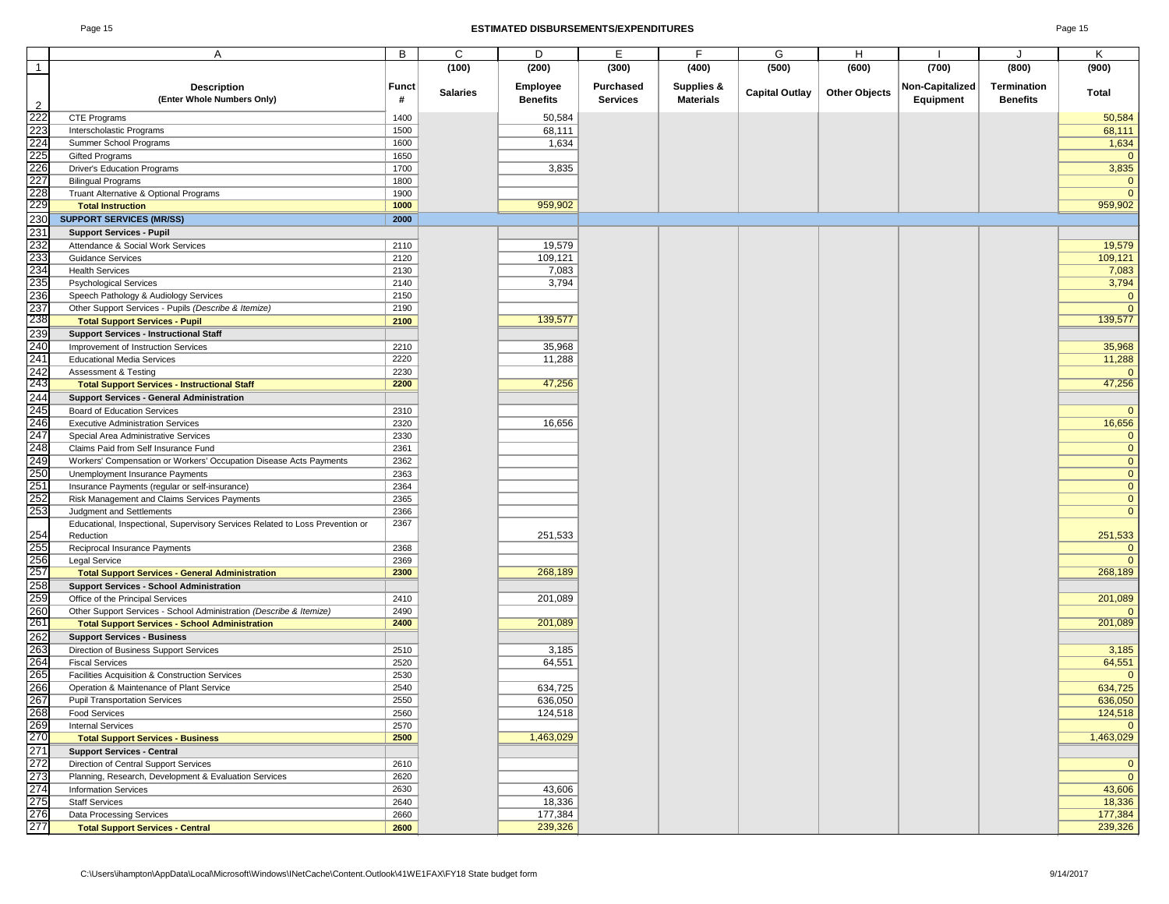## Page 15 **ESTIMATED DISBURSEMENTS/EXPENDITURES** Page 15

|                                               | A                                                                             | B            | $\mathsf{C}$    | D               | E.               | F.                    | G                     | Н                    |                        |                 | K              |
|-----------------------------------------------|-------------------------------------------------------------------------------|--------------|-----------------|-----------------|------------------|-----------------------|-----------------------|----------------------|------------------------|-----------------|----------------|
| $\mathbf{1}$                                  |                                                                               |              | (100)           | (200)           | (300)            | (400)                 | (500)                 | (600)                | (700)                  | (800)           | (900)          |
|                                               |                                                                               |              |                 |                 |                  |                       |                       |                      |                        |                 |                |
|                                               | <b>Description</b>                                                            | <b>Funct</b> | <b>Salaries</b> | <b>Employee</b> | <b>Purchased</b> | <b>Supplies &amp;</b> | <b>Capital Outlay</b> | <b>Other Objects</b> | <b>Non-Capitalized</b> | Termination     | <b>Total</b>   |
| $\overline{2}$                                | (Enter Whole Numbers Only)                                                    | #            |                 | <b>Benefits</b> | <b>Services</b>  | <b>Materials</b>      |                       |                      | Equipment              | <b>Benefits</b> |                |
|                                               | <b>CTE Programs</b>                                                           | 1400         |                 | 50,584          |                  |                       |                       |                      |                        |                 | 50,584         |
|                                               |                                                                               |              |                 |                 |                  |                       |                       |                      |                        |                 |                |
|                                               | Interscholastic Programs                                                      | 1500         |                 | 68,111          |                  |                       |                       |                      |                        |                 | 68,111         |
|                                               | Summer School Programs                                                        | 1600         |                 | 1,634           |                  |                       |                       |                      |                        |                 | 1,634          |
| 222<br>223<br>224<br>225<br>226<br>226<br>227 | <b>Gifted Programs</b>                                                        | 1650         |                 |                 |                  |                       |                       |                      |                        |                 | $\overline{0}$ |
|                                               | <b>Driver's Education Programs</b>                                            | 1700         |                 | 3,835           |                  |                       |                       |                      |                        |                 | 3,835          |
|                                               | <b>Bilingual Programs</b>                                                     | 1800         |                 |                 |                  |                       |                       |                      |                        |                 | $\mathbf{0}$   |
| 228                                           | Truant Alternative & Optional Programs                                        | 1900         |                 |                 |                  |                       |                       |                      |                        |                 | $\overline{0}$ |
| 229                                           | <b>Total Instruction</b>                                                      | 1000         |                 | 959,902         |                  |                       |                       |                      |                        |                 | 959,902        |
| 230                                           | <b>SUPPORT SERVICES (MR/SS)</b>                                               | 2000         |                 |                 |                  |                       |                       |                      |                        |                 |                |
| 231                                           | <b>Support Services - Pupil</b>                                               |              |                 |                 |                  |                       |                       |                      |                        |                 |                |
| 232                                           | Attendance & Social Work Services                                             | 2110         |                 | 19,579          |                  |                       |                       |                      |                        |                 | 19,579         |
| 233                                           |                                                                               |              |                 |                 |                  |                       |                       |                      |                        |                 |                |
|                                               | <b>Guidance Services</b>                                                      | 2120         |                 | 109,121         |                  |                       |                       |                      |                        |                 | 109,121        |
| 234                                           | <b>Health Services</b>                                                        | 2130         |                 | 7,083           |                  |                       |                       |                      |                        |                 | 7,083          |
| 235<br>236                                    | <b>Psychological Services</b>                                                 | 2140         |                 | 3,794           |                  |                       |                       |                      |                        |                 | 3,794          |
|                                               | Speech Pathology & Audiology Services                                         | 2150         |                 |                 |                  |                       |                       |                      |                        |                 | $\mathbf{0}$   |
| 237<br>238                                    | Other Support Services - Pupils (Describe & Itemize)                          | 2190         |                 |                 |                  |                       |                       |                      |                        |                 | $\mathbf{0}$   |
|                                               | <b>Total Support Services - Pupil</b>                                         | 2100         |                 | 139,577         |                  |                       |                       |                      |                        |                 | 139,577        |
| $\frac{239}{240}$<br>$\frac{240}{241}$        | <b>Support Services - Instructional Staff</b>                                 |              |                 |                 |                  |                       |                       |                      |                        |                 |                |
|                                               | Improvement of Instruction Services                                           | 2210         |                 | 35,968          |                  |                       |                       |                      |                        |                 | 35,968         |
|                                               | <b>Educational Media Services</b>                                             | 2220         |                 | 11,288          |                  |                       |                       |                      |                        |                 | 11,288         |
|                                               | <b>Assessment &amp; Testing</b>                                               | 2230         |                 |                 |                  |                       |                       |                      |                        |                 | $\Omega$       |
| $\frac{242}{243}$                             | <b>Total Support Services - Instructional Staff</b>                           | 2200         |                 | 47,256          |                  |                       |                       |                      |                        |                 | 47,256         |
| 244                                           | <b>Support Services - General Administration</b>                              |              |                 |                 |                  |                       |                       |                      |                        |                 |                |
| 245                                           | <b>Board of Education Services</b>                                            | 2310         |                 |                 |                  |                       |                       |                      |                        |                 | $\overline{0}$ |
|                                               | <b>Executive Administration Services</b>                                      | 2320         |                 | 16,656          |                  |                       |                       |                      |                        |                 | 16,656         |
| $\frac{246}{247}$                             | Special Area Administrative Services                                          | 2330         |                 |                 |                  |                       |                       |                      |                        |                 | $\overline{0}$ |
| 248                                           | Claims Paid from Self Insurance Fund                                          | 2361         |                 |                 |                  |                       |                       |                      |                        |                 | $\overline{0}$ |
|                                               | Workers' Compensation or Workers' Occupation Disease Acts Payments            | 2362         |                 |                 |                  |                       |                       |                      |                        |                 | $\mathbf{0}$   |
|                                               |                                                                               |              |                 |                 |                  |                       |                       |                      |                        |                 |                |
| 249<br>250<br>251<br>252<br>252               | Unemployment Insurance Payments                                               | 2363         |                 |                 |                  |                       |                       |                      |                        |                 | $\mathbf{0}$   |
|                                               | Insurance Payments (regular or self-insurance)                                | 2364         |                 |                 |                  |                       |                       |                      |                        |                 | $\mathbf{0}$   |
|                                               | Risk Management and Claims Services Payments                                  | 2365         |                 |                 |                  |                       |                       |                      |                        |                 | $\mathbf{0}$   |
| 253                                           | Judgment and Settlements                                                      | 2366         |                 |                 |                  |                       |                       |                      |                        |                 | $\mathbf{0}$   |
|                                               | Educational, Inspectional, Supervisory Services Related to Loss Prevention or | 2367         |                 |                 |                  |                       |                       |                      |                        |                 |                |
| 254<br>255<br>256<br>257                      | Reduction                                                                     |              |                 | 251,533         |                  |                       |                       |                      |                        |                 | 251,533        |
|                                               | Reciprocal Insurance Payments                                                 | 2368         |                 |                 |                  |                       |                       |                      |                        |                 | $\mathbf{0}$   |
|                                               | <b>Legal Service</b>                                                          | 2369         |                 |                 |                  |                       |                       |                      |                        |                 | $\Omega$       |
|                                               | <b>Total Support Services - General Administration</b>                        | 2300         |                 | 268,189         |                  |                       |                       |                      |                        |                 | 268,189        |
| 258<br>259                                    | <b>Support Services - School Administration</b>                               |              |                 |                 |                  |                       |                       |                      |                        |                 |                |
|                                               | Office of the Principal Services                                              | 2410         |                 | 201,089         |                  |                       |                       |                      |                        |                 | 201,089        |
| 260                                           | Other Support Services - School Administration (Describe & Itemize)           | 2490         |                 |                 |                  |                       |                       |                      |                        |                 | $\Omega$       |
| 261                                           | <b>Total Support Services - School Administration</b>                         | 2400         |                 | 201,089         |                  |                       |                       |                      |                        |                 | 201,089        |
| 262                                           | <b>Support Services - Business</b>                                            |              |                 |                 |                  |                       |                       |                      |                        |                 |                |
| 263                                           | Direction of Business Support Services                                        | 2510         |                 | 3,185           |                  |                       |                       |                      |                        |                 | 3,185          |
| 264                                           | <b>Fiscal Services</b>                                                        | 2520         |                 | 64,551          |                  |                       |                       |                      |                        |                 | 64,551         |
| 265                                           | Facilities Acquisition & Construction Services                                | 2530         |                 |                 |                  |                       |                       |                      |                        |                 | $\overline{0}$ |
| 266                                           | Operation & Maintenance of Plant Service                                      | 2540         |                 | 634,725         |                  |                       |                       |                      |                        |                 | 634,725        |
| 267                                           | <b>Pupil Transportation Services</b>                                          | 2550         |                 | 636,050         |                  |                       |                       |                      |                        |                 | 636,050        |
|                                               | <b>Food Services</b>                                                          | 2560         |                 | 124,518         |                  |                       |                       |                      |                        |                 | 124,518        |
|                                               |                                                                               |              |                 |                 |                  |                       |                       |                      |                        |                 | $\overline{0}$ |
| 268<br>269<br>270                             | <b>Internal Services</b>                                                      | 2570<br>2500 |                 | 1,463,029       |                  |                       |                       |                      |                        |                 | 1,463,029      |
|                                               | <b>Total Support Services - Business</b>                                      |              |                 |                 |                  |                       |                       |                      |                        |                 |                |
| 271                                           | <b>Support Services - Central</b>                                             |              |                 |                 |                  |                       |                       |                      |                        |                 |                |
| 272                                           | Direction of Central Support Services                                         | 2610         |                 |                 |                  |                       |                       |                      |                        |                 | $\mathbf{0}$   |
| 273                                           | Planning, Research, Development & Evaluation Services                         | 2620         |                 |                 |                  |                       |                       |                      |                        |                 | $\overline{0}$ |
| 274                                           | <b>Information Services</b>                                                   | 2630         |                 | 43,606          |                  |                       |                       |                      |                        |                 | 43,606         |
| 275                                           | <b>Staff Services</b>                                                         | 2640         |                 | 18,336          |                  |                       |                       |                      |                        |                 | 18,336         |
| 276                                           | <b>Data Processing Services</b>                                               | 2660         |                 | 177,384         |                  |                       |                       |                      |                        |                 | 177,384        |
| 277                                           | <b>Total Support Services - Central</b>                                       | 2600         |                 | 239,326         |                  |                       |                       |                      |                        |                 | 239,326        |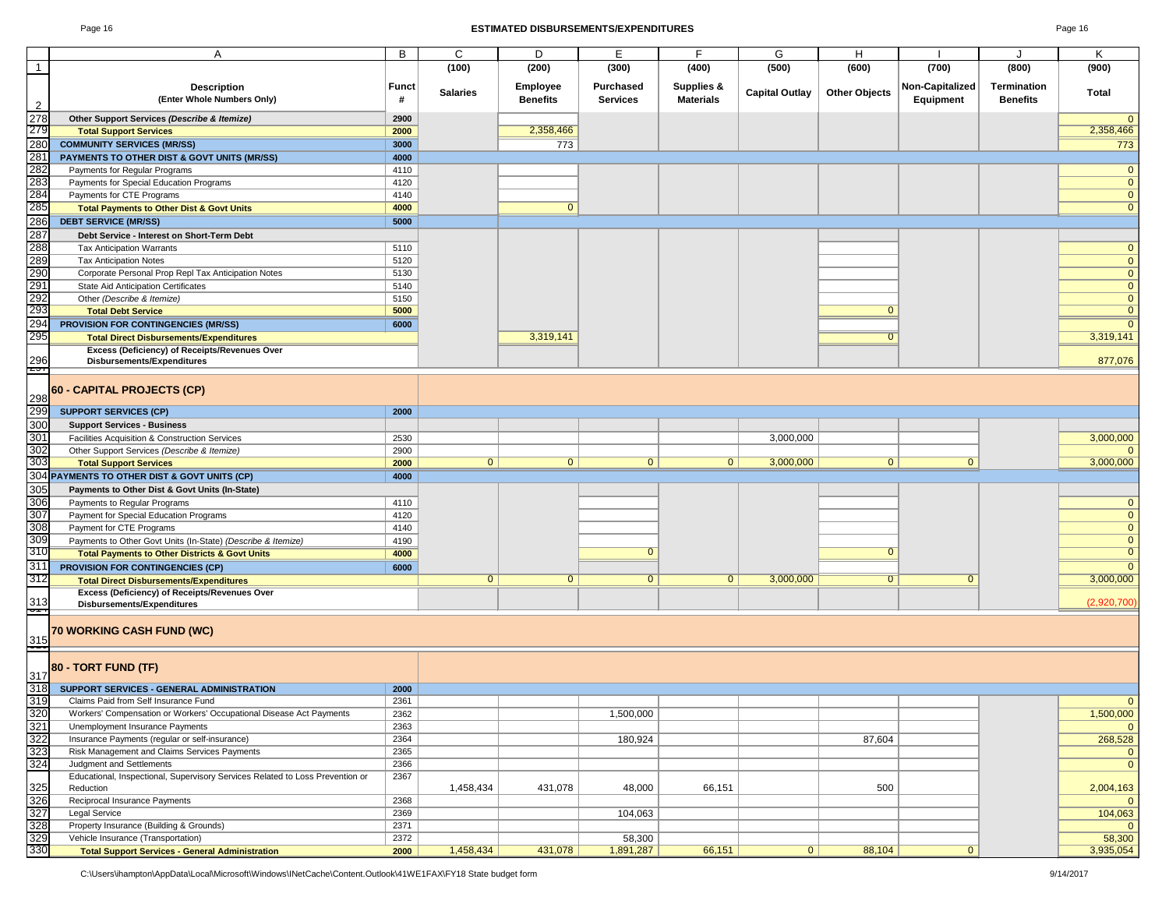#### Page 16 **ESTIMATED DISBURSEMENTS/EXPENDITURES** Page 16

| aae 16 |  |  |
|--------|--|--|
|--------|--|--|

|                                               | A                                                                                          | B                 | $\mathsf{C}$    | D                           | E.                                  | F                                         | G                     | H                    |                              |                                       | K                              |
|-----------------------------------------------|--------------------------------------------------------------------------------------------|-------------------|-----------------|-----------------------------|-------------------------------------|-------------------------------------------|-----------------------|----------------------|------------------------------|---------------------------------------|--------------------------------|
| $\mathbf 1$                                   |                                                                                            |                   | (100)           | (200)                       | (300)                               | (400)                                     | (500)                 | (600)                | (700)                        | (800)                                 | (900)                          |
|                                               |                                                                                            |                   |                 |                             |                                     |                                           |                       |                      |                              |                                       |                                |
| $\overline{2}$                                | <b>Description</b><br>(Enter Whole Numbers Only)                                           | <b>Funct</b><br># | <b>Salaries</b> | Employee<br><b>Benefits</b> | <b>Purchased</b><br><b>Services</b> | <b>Supplies &amp;</b><br><b>Materials</b> | <b>Capital Outlay</b> | <b>Other Objects</b> | Non-Capitalized<br>Equipment | <b>Termination</b><br><b>Benefits</b> | <b>Total</b>                   |
| 278<br>279                                    | Other Support Services (Describe & Itemize)                                                | 2900              |                 |                             |                                     |                                           |                       |                      |                              |                                       |                                |
|                                               | <b>Total Support Services</b>                                                              | 2000              |                 | 2,358,466                   |                                     |                                           |                       |                      |                              |                                       | 2,358,466                      |
| $\frac{280}{280}$<br>$\frac{281}{282}$        | <b>COMMUNITY SERVICES (MR/SS)</b>                                                          | 3000              |                 | $\overline{773}$            |                                     |                                           |                       |                      |                              |                                       | 773                            |
|                                               | PAYMENTS TO OTHER DIST & GOVT UNITS (MR/SS)                                                | 4000              |                 |                             |                                     |                                           |                       |                      |                              |                                       |                                |
|                                               | Payments for Regular Programs                                                              | 4110              |                 |                             |                                     |                                           |                       |                      |                              |                                       | $\mathbf 0$                    |
|                                               | Payments for Special Education Programs                                                    | 4120              |                 |                             |                                     |                                           |                       |                      |                              |                                       | $\mathbf 0$                    |
| $\frac{284}{285}$                             | Payments for CTE Programs                                                                  | 4140              |                 |                             |                                     |                                           |                       |                      |                              |                                       | $\mathbf{0}$                   |
|                                               | <b>Total Payments to Other Dist &amp; Govt Units</b>                                       | 4000              |                 | $\mathbf{0}$                |                                     |                                           |                       |                      |                              |                                       | $\overline{0}$                 |
| 286                                           | <b>DEBT SERVICE (MR/SS)</b>                                                                | 5000              |                 |                             |                                     |                                           |                       |                      |                              |                                       |                                |
| 287<br>288<br>290<br>292<br>293<br>293        | Debt Service - Interest on Short-Term Debt                                                 |                   |                 |                             |                                     |                                           |                       |                      |                              |                                       |                                |
|                                               | <b>Tax Anticipation Warrants</b>                                                           | 5110              |                 |                             |                                     |                                           |                       |                      |                              |                                       | $\mathbf 0$                    |
|                                               | <b>Tax Anticipation Notes</b>                                                              | 5120              |                 |                             |                                     |                                           |                       |                      |                              |                                       | $\overline{0}$                 |
|                                               | Corporate Personal Prop Repl Tax Anticipation Notes                                        | 5130              |                 |                             |                                     |                                           |                       |                      |                              |                                       | $\mathbf 0$                    |
|                                               | <b>State Aid Anticipation Certificates</b>                                                 | 5140              |                 |                             |                                     |                                           |                       |                      |                              |                                       | $\mathbf{0}$                   |
|                                               | Other (Describe & Itemize)                                                                 | 5150              |                 |                             |                                     |                                           |                       |                      |                              |                                       | $\mathbf{0}$                   |
|                                               | <b>Total Debt Service</b>                                                                  | 5000              |                 |                             |                                     |                                           |                       |                      |                              |                                       | $\Omega$                       |
| 294                                           | <b>PROVISION FOR CONTINGENCIES (MR/SS)</b>                                                 | 6000              |                 |                             |                                     |                                           |                       |                      |                              |                                       |                                |
| 295                                           | <b>Total Direct Disbursements/Expenditures</b>                                             |                   |                 | 3,319,141                   |                                     |                                           |                       |                      |                              |                                       | 3,319,141                      |
|                                               | <b>Excess (Deficiency) of Receipts/Revenues Over</b>                                       |                   |                 |                             |                                     |                                           |                       |                      |                              |                                       |                                |
| 296<br>251                                    | <b>Disbursements/Expenditures</b>                                                          |                   |                 |                             |                                     |                                           |                       |                      |                              |                                       | 877,076                        |
|                                               |                                                                                            |                   |                 |                             |                                     |                                           |                       |                      |                              |                                       |                                |
|                                               | 60 - CAPITAL PROJECTS (CP)                                                                 |                   |                 |                             |                                     |                                           |                       |                      |                              |                                       |                                |
| 298<br>299<br>300                             |                                                                                            |                   |                 |                             |                                     |                                           |                       |                      |                              |                                       |                                |
|                                               | <b>SUPPORT SERVICES (CP)</b>                                                               | 2000              |                 |                             |                                     |                                           |                       |                      |                              |                                       |                                |
|                                               | <b>Support Services - Business</b>                                                         |                   |                 |                             |                                     |                                           |                       |                      |                              |                                       |                                |
|                                               | Facilities Acquisition & Construction Services                                             | 2530              |                 |                             |                                     |                                           | 3,000,000             |                      |                              |                                       | 3,000,000                      |
| $\frac{301}{302}$<br>$\frac{302}{303}$        | Other Support Services (Describe & Itemize)                                                | 2900              |                 |                             |                                     | 0                                         | 3,000,000             |                      | $\Omega$                     |                                       | $\Omega$<br>3,000,000          |
|                                               | <b>Total Support Services</b>                                                              | 2000              | $\mathbf{0}$    | $\overline{0}$              | $\overline{0}$                      |                                           |                       | $\mathbf{0}$         |                              |                                       |                                |
|                                               | 304 PAYMENTS TO OTHER DIST & GOVT UNITS (CP)                                               | 4000              |                 |                             |                                     |                                           |                       |                      |                              |                                       |                                |
| 305                                           | Payments to Other Dist & Govt Units (In-State)                                             |                   |                 |                             |                                     |                                           |                       |                      |                              |                                       |                                |
| 306                                           | Payments to Regular Programs                                                               | 4110              |                 |                             |                                     |                                           |                       |                      |                              |                                       | $\mathbf 0$                    |
| 307                                           | Payment for Special Education Programs                                                     | 4120              |                 |                             |                                     |                                           |                       |                      |                              |                                       | $\mathbf{0}$                   |
| 308<br>309                                    | Payment for CTE Programs                                                                   | 4140              |                 |                             |                                     |                                           |                       |                      |                              |                                       | $\mathbf{0}$<br>$\overline{0}$ |
| 310                                           | Payments to Other Govt Units (In-State) (Describe & Itemize)                               | 4190              |                 |                             |                                     |                                           |                       |                      |                              |                                       |                                |
| 31                                            | <b>Total Payments to Other Districts &amp; Govt Units</b>                                  | 4000              |                 |                             |                                     |                                           |                       |                      |                              |                                       |                                |
| 312                                           | <b>PROVISION FOR CONTINGENCIES (CP)</b>                                                    | 6000              |                 |                             |                                     | $\overline{0}$                            |                       |                      | $\Omega$                     |                                       | $\Omega$                       |
|                                               | <b>Total Direct Disbursements/Expenditures</b>                                             |                   | $\mathbf{0}$    | $\mathbf{0}$                | $\mathbf{0}$                        |                                           | 3,000,000             | $\overline{0}$       |                              |                                       | 3,000,000                      |
| 313                                           | <b>Excess (Deficiency) of Receipts/Revenues Over</b><br><b>Disbursements/Expenditures</b>  |                   |                 |                             |                                     |                                           |                       |                      |                              |                                       | (2,920,700)                    |
| $\overline{\phantom{a}}$                      |                                                                                            |                   |                 |                             |                                     |                                           |                       |                      |                              |                                       |                                |
|                                               | 70 WORKING CASH FUND (WC)                                                                  |                   |                 |                             |                                     |                                           |                       |                      |                              |                                       |                                |
| $\frac{315}{1}$                               |                                                                                            |                   |                 |                             |                                     |                                           |                       |                      |                              |                                       |                                |
|                                               |                                                                                            |                   |                 |                             |                                     |                                           |                       |                      |                              |                                       |                                |
|                                               | 80 - TORT FUND (TF)                                                                        |                   |                 |                             |                                     |                                           |                       |                      |                              |                                       |                                |
| $\frac{317}{318}$ $\overline{319}$            |                                                                                            |                   |                 |                             |                                     |                                           |                       |                      |                              |                                       |                                |
|                                               | <b>SUPPORT SERVICES - GENERAL ADMINISTRATION</b>                                           | 2000              |                 |                             |                                     |                                           |                       |                      |                              |                                       |                                |
|                                               | Claims Paid from Self Insurance Fund                                                       | 2361              |                 |                             |                                     |                                           |                       |                      |                              |                                       |                                |
| $\frac{320}{321}$                             | Workers' Compensation or Workers' Occupational Disease Act Payments                        | 2362              |                 |                             | 1,500,000                           |                                           |                       |                      |                              |                                       | 1,500,000                      |
|                                               | Unemployment Insurance Payments                                                            | 2363              |                 |                             |                                     |                                           |                       |                      |                              |                                       | $\Omega$                       |
| 322                                           | Insurance Payments (regular or self-insurance)                                             | 2364              |                 |                             | 180,924                             |                                           |                       | 87,604               |                              |                                       | 268,528                        |
| 323                                           | Risk Management and Claims Services Payments                                               | 2365              |                 |                             |                                     |                                           |                       |                      |                              |                                       |                                |
| 324                                           | Judgment and Settlements                                                                   | 2366              |                 |                             |                                     |                                           |                       |                      |                              |                                       | $\mathbf{0}$                   |
|                                               | Educational, Inspectional, Supervisory Services Related to Loss Prevention or<br>Reduction | 2367              |                 |                             |                                     |                                           |                       |                      |                              |                                       |                                |
|                                               | Reciprocal Insurance Payments                                                              | 2368              | 1,458,434       | 431,078                     | 48,000                              | 66,151                                    |                       | 500                  |                              |                                       | 2,004,163                      |
|                                               | <b>Legal Service</b>                                                                       | 2369              |                 |                             |                                     |                                           |                       |                      |                              |                                       |                                |
|                                               | Property Insurance (Building & Grounds)                                                    | 2371              |                 |                             | 104,063                             |                                           |                       |                      |                              |                                       | 104,063                        |
|                                               | Vehicle Insurance (Transportation)                                                         | 2372              |                 |                             | 58,300                              |                                           |                       |                      |                              |                                       | 58,300                         |
| 325<br>326<br>327<br>328<br>329<br>330<br>330 | <b>Total Support Services - General Administration</b>                                     | 2000              | 1,458,434       | 431,078                     | 1,891,287                           | 66,151                                    | $\Omega$              | 88,104               | $\Omega$                     |                                       | 3,935,054                      |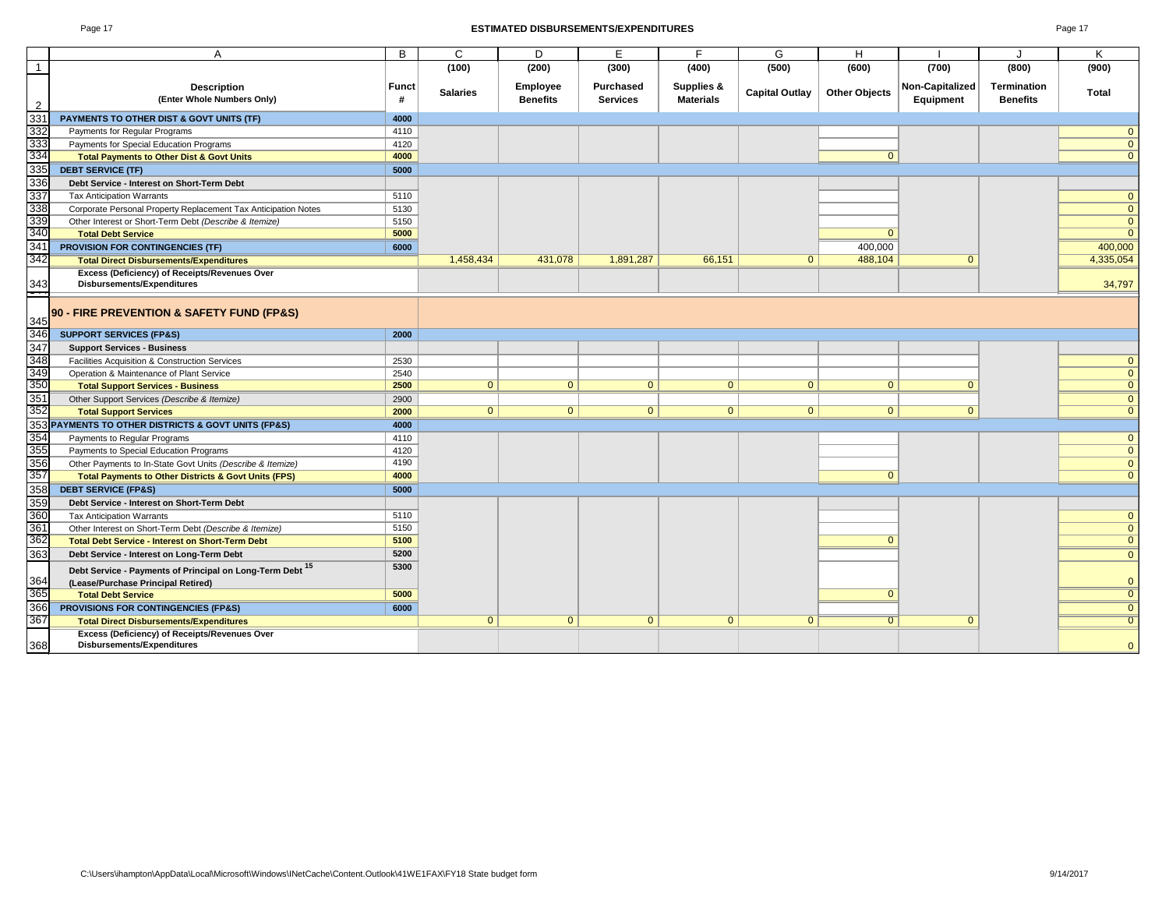#### Page 17 **ESTIMATED DISBURSEMENTS/EXPENDITURES** Page 17

| (500)<br>(100)<br>(200)<br>(300)<br>(400)<br>(600)<br>(700)<br><b>Supplies &amp;</b><br><b>Non-Capitalized</b><br><b>Employee</b><br><b>Purchased</b><br><b>Funct</b><br><b>Description</b><br><b>Salaries</b><br><b>Capital Outlay</b><br><b>Other Objects</b><br>(Enter Whole Numbers Only)<br><b>Benefits</b><br><b>Services</b><br><b>Materials</b><br>Equipment<br>#<br>$\overline{2}$<br>331<br>PAYMENTS TO OTHER DIST & GOVT UNITS (TF)<br>4000<br>332<br>Payments for Regular Programs<br>4110<br>333<br>Payments for Special Education Programs<br>4120<br>334<br>$\mathbf{0}$<br>4000<br><b>Total Payments to Other Dist &amp; Govt Units</b><br>335<br>5000<br><b>DEBT SERVICE (TF)</b><br>336<br>Debt Service - Interest on Short-Term Debt<br>337<br><b>Tax Anticipation Warrants</b><br>5110<br>338<br>Corporate Personal Property Replacement Tax Anticipation Notes<br>5130<br>339<br>5150<br>Other Interest or Short-Term Debt (Describe & Itemize)<br>340<br>5000<br>$\Omega$<br><b>Total Debt Service</b><br>341<br>400,000<br><b>PROVISION FOR CONTINGENCIES (TF)</b><br>6000<br>342<br>1,458,434<br>431,078<br>1,891,287<br>66,151<br>488,104<br>$\overline{0}$<br>$\mathbf{0}$<br><b>Total Direct Disbursements/Expenditures</b> | K                                                     | H | G | F. | F | D | $\mathsf{C}$ | B | A                                                    |
|--------------------------------------------------------------------------------------------------------------------------------------------------------------------------------------------------------------------------------------------------------------------------------------------------------------------------------------------------------------------------------------------------------------------------------------------------------------------------------------------------------------------------------------------------------------------------------------------------------------------------------------------------------------------------------------------------------------------------------------------------------------------------------------------------------------------------------------------------------------------------------------------------------------------------------------------------------------------------------------------------------------------------------------------------------------------------------------------------------------------------------------------------------------------------------------------------------------------------------------------------------|-------------------------------------------------------|---|---|----|---|---|--------------|---|------------------------------------------------------|
|                                                                                                                                                                                                                                                                                                                                                                                                                                                                                                                                                                                                                                                                                                                                                                                                                                                                                                                                                                                                                                                                                                                                                                                                                                                        | (800)<br>(900)                                        |   |   |    |   |   |              |   |                                                      |
|                                                                                                                                                                                                                                                                                                                                                                                                                                                                                                                                                                                                                                                                                                                                                                                                                                                                                                                                                                                                                                                                                                                                                                                                                                                        | <b>Termination</b><br><b>Total</b><br><b>Benefits</b> |   |   |    |   |   |              |   |                                                      |
|                                                                                                                                                                                                                                                                                                                                                                                                                                                                                                                                                                                                                                                                                                                                                                                                                                                                                                                                                                                                                                                                                                                                                                                                                                                        |                                                       |   |   |    |   |   |              |   |                                                      |
|                                                                                                                                                                                                                                                                                                                                                                                                                                                                                                                                                                                                                                                                                                                                                                                                                                                                                                                                                                                                                                                                                                                                                                                                                                                        |                                                       |   |   |    |   |   |              |   |                                                      |
|                                                                                                                                                                                                                                                                                                                                                                                                                                                                                                                                                                                                                                                                                                                                                                                                                                                                                                                                                                                                                                                                                                                                                                                                                                                        | $\mathbf{0}$                                          |   |   |    |   |   |              |   |                                                      |
|                                                                                                                                                                                                                                                                                                                                                                                                                                                                                                                                                                                                                                                                                                                                                                                                                                                                                                                                                                                                                                                                                                                                                                                                                                                        | $\overline{0}$                                        |   |   |    |   |   |              |   |                                                      |
|                                                                                                                                                                                                                                                                                                                                                                                                                                                                                                                                                                                                                                                                                                                                                                                                                                                                                                                                                                                                                                                                                                                                                                                                                                                        |                                                       |   |   |    |   |   |              |   |                                                      |
|                                                                                                                                                                                                                                                                                                                                                                                                                                                                                                                                                                                                                                                                                                                                                                                                                                                                                                                                                                                                                                                                                                                                                                                                                                                        |                                                       |   |   |    |   |   |              |   |                                                      |
|                                                                                                                                                                                                                                                                                                                                                                                                                                                                                                                                                                                                                                                                                                                                                                                                                                                                                                                                                                                                                                                                                                                                                                                                                                                        | $\mathbf{0}$                                          |   |   |    |   |   |              |   |                                                      |
|                                                                                                                                                                                                                                                                                                                                                                                                                                                                                                                                                                                                                                                                                                                                                                                                                                                                                                                                                                                                                                                                                                                                                                                                                                                        | $\mathbf 0$                                           |   |   |    |   |   |              |   |                                                      |
|                                                                                                                                                                                                                                                                                                                                                                                                                                                                                                                                                                                                                                                                                                                                                                                                                                                                                                                                                                                                                                                                                                                                                                                                                                                        | $\mathbf{0}$                                          |   |   |    |   |   |              |   |                                                      |
|                                                                                                                                                                                                                                                                                                                                                                                                                                                                                                                                                                                                                                                                                                                                                                                                                                                                                                                                                                                                                                                                                                                                                                                                                                                        | $\overline{0}$                                        |   |   |    |   |   |              |   |                                                      |
|                                                                                                                                                                                                                                                                                                                                                                                                                                                                                                                                                                                                                                                                                                                                                                                                                                                                                                                                                                                                                                                                                                                                                                                                                                                        | 400,000                                               |   |   |    |   |   |              |   |                                                      |
|                                                                                                                                                                                                                                                                                                                                                                                                                                                                                                                                                                                                                                                                                                                                                                                                                                                                                                                                                                                                                                                                                                                                                                                                                                                        | 4,335,054                                             |   |   |    |   |   |              |   |                                                      |
| <b>Disbursements/Expenditures</b><br>343                                                                                                                                                                                                                                                                                                                                                                                                                                                                                                                                                                                                                                                                                                                                                                                                                                                                                                                                                                                                                                                                                                                                                                                                               | 34,797                                                |   |   |    |   |   |              |   | <b>Excess (Deficiency) of Receipts/Revenues Over</b> |
| ļ<br>90 - FIRE PREVENTION & SAFETY FUND (FP&S)<br>345                                                                                                                                                                                                                                                                                                                                                                                                                                                                                                                                                                                                                                                                                                                                                                                                                                                                                                                                                                                                                                                                                                                                                                                                  |                                                       |   |   |    |   |   |              |   |                                                      |
| 346<br><b>SUPPORT SERVICES (FP&amp;S)</b><br>2000                                                                                                                                                                                                                                                                                                                                                                                                                                                                                                                                                                                                                                                                                                                                                                                                                                                                                                                                                                                                                                                                                                                                                                                                      |                                                       |   |   |    |   |   |              |   |                                                      |
| 347<br><b>Support Services - Business</b>                                                                                                                                                                                                                                                                                                                                                                                                                                                                                                                                                                                                                                                                                                                                                                                                                                                                                                                                                                                                                                                                                                                                                                                                              |                                                       |   |   |    |   |   |              |   |                                                      |
| 348<br>Facilities Acquisition & Construction Services<br>2530                                                                                                                                                                                                                                                                                                                                                                                                                                                                                                                                                                                                                                                                                                                                                                                                                                                                                                                                                                                                                                                                                                                                                                                          | $\mathbf{0}$                                          |   |   |    |   |   |              |   |                                                      |
| 349<br>Operation & Maintenance of Plant Service<br>2540                                                                                                                                                                                                                                                                                                                                                                                                                                                                                                                                                                                                                                                                                                                                                                                                                                                                                                                                                                                                                                                                                                                                                                                                | $\mathbf{0}$                                          |   |   |    |   |   |              |   |                                                      |
| 350<br>2500<br>$\overline{0}$<br>$\mathbf{0}$<br>$\mathbf{0}$<br>$\overline{0}$<br>0 <sup>1</sup><br><b>Total Support Services - Business</b><br>$\overline{0}$<br>$\Omega$                                                                                                                                                                                                                                                                                                                                                                                                                                                                                                                                                                                                                                                                                                                                                                                                                                                                                                                                                                                                                                                                            | $\overline{0}$                                        |   |   |    |   |   |              |   |                                                      |
| 351<br>Other Support Services (Describe & Itemize)<br>2900                                                                                                                                                                                                                                                                                                                                                                                                                                                                                                                                                                                                                                                                                                                                                                                                                                                                                                                                                                                                                                                                                                                                                                                             | $\mathbf 0$                                           |   |   |    |   |   |              |   |                                                      |
| 352<br> 0 <br>$\overline{0}$<br>$\overline{0}$<br>0 <sup>1</sup><br> 0 <br>$\overline{0}$<br>$\mathbf{0}$<br><b>Total Support Services</b><br>2000                                                                                                                                                                                                                                                                                                                                                                                                                                                                                                                                                                                                                                                                                                                                                                                                                                                                                                                                                                                                                                                                                                     | $\Omega$                                              |   |   |    |   |   |              |   |                                                      |
| 353 PAYMENTS TO OTHER DISTRICTS & GOVT UNITS (FP&S)<br>4000                                                                                                                                                                                                                                                                                                                                                                                                                                                                                                                                                                                                                                                                                                                                                                                                                                                                                                                                                                                                                                                                                                                                                                                            |                                                       |   |   |    |   |   |              |   |                                                      |
| 354<br>Payments to Regular Programs<br>4110                                                                                                                                                                                                                                                                                                                                                                                                                                                                                                                                                                                                                                                                                                                                                                                                                                                                                                                                                                                                                                                                                                                                                                                                            | $\mathbf 0$                                           |   |   |    |   |   |              |   |                                                      |
| 355<br>Payments to Special Education Programs<br>4120                                                                                                                                                                                                                                                                                                                                                                                                                                                                                                                                                                                                                                                                                                                                                                                                                                                                                                                                                                                                                                                                                                                                                                                                  | $\mathbf{0}$                                          |   |   |    |   |   |              |   |                                                      |
| 356<br>357<br>4190<br>Other Payments to In-State Govt Units (Describe & Itemize)                                                                                                                                                                                                                                                                                                                                                                                                                                                                                                                                                                                                                                                                                                                                                                                                                                                                                                                                                                                                                                                                                                                                                                       | $\mathbf 0$                                           |   |   |    |   |   |              |   |                                                      |
| $\overline{0}$<br>4000<br><b>Total Payments to Other Districts &amp; Govt Units (FPS)</b>                                                                                                                                                                                                                                                                                                                                                                                                                                                                                                                                                                                                                                                                                                                                                                                                                                                                                                                                                                                                                                                                                                                                                              | $\Omega$                                              |   |   |    |   |   |              |   |                                                      |
| 358<br><b>DEBT SERVICE (FP&amp;S)</b><br>5000                                                                                                                                                                                                                                                                                                                                                                                                                                                                                                                                                                                                                                                                                                                                                                                                                                                                                                                                                                                                                                                                                                                                                                                                          |                                                       |   |   |    |   |   |              |   |                                                      |
| 359<br>Debt Service - Interest on Short-Term Debt                                                                                                                                                                                                                                                                                                                                                                                                                                                                                                                                                                                                                                                                                                                                                                                                                                                                                                                                                                                                                                                                                                                                                                                                      |                                                       |   |   |    |   |   |              |   |                                                      |
| 360<br>5110<br><b>Tax Anticipation Warrants</b>                                                                                                                                                                                                                                                                                                                                                                                                                                                                                                                                                                                                                                                                                                                                                                                                                                                                                                                                                                                                                                                                                                                                                                                                        | $\mathbf{0}$                                          |   |   |    |   |   |              |   |                                                      |
| 361<br>5150<br>Other Interest on Short-Term Debt (Describe & Itemize)                                                                                                                                                                                                                                                                                                                                                                                                                                                                                                                                                                                                                                                                                                                                                                                                                                                                                                                                                                                                                                                                                                                                                                                  |                                                       |   |   |    |   |   |              |   |                                                      |
| 362<br>5100<br>$\Omega$<br><b>Total Debt Service - Interest on Short-Term Debt</b>                                                                                                                                                                                                                                                                                                                                                                                                                                                                                                                                                                                                                                                                                                                                                                                                                                                                                                                                                                                                                                                                                                                                                                     | $\mathbf{0}$                                          |   |   |    |   |   |              |   |                                                      |
| 363<br>5200<br>Debt Service - Interest on Long-Term Debt                                                                                                                                                                                                                                                                                                                                                                                                                                                                                                                                                                                                                                                                                                                                                                                                                                                                                                                                                                                                                                                                                                                                                                                               | $\mathbf{0}$                                          |   |   |    |   |   |              |   |                                                      |
| 5300<br>Debt Service - Payments of Principal on Long-Term Debt <sup>15</sup><br>364<br>(Lease/Purchase Principal Retired)                                                                                                                                                                                                                                                                                                                                                                                                                                                                                                                                                                                                                                                                                                                                                                                                                                                                                                                                                                                                                                                                                                                              | $\mathbf 0$                                           |   |   |    |   |   |              |   |                                                      |
| 365<br>5000<br>$\Omega$<br><b>Total Debt Service</b>                                                                                                                                                                                                                                                                                                                                                                                                                                                                                                                                                                                                                                                                                                                                                                                                                                                                                                                                                                                                                                                                                                                                                                                                   | $\overline{0}$                                        |   |   |    |   |   |              |   |                                                      |
| 366<br><b>PROVISIONS FOR CONTINGENCIES (FP&amp;S)</b><br>6000                                                                                                                                                                                                                                                                                                                                                                                                                                                                                                                                                                                                                                                                                                                                                                                                                                                                                                                                                                                                                                                                                                                                                                                          | $\mathbf 0$                                           |   |   |    |   |   |              |   |                                                      |
| 367<br>$\overline{0}$<br> 0 <br>$\overline{0}$<br><b>Total Direct Disbursements/Expenditures</b><br> 0 <br>$\overline{0}$<br>$\overline{0}$<br>$\overline{0}$                                                                                                                                                                                                                                                                                                                                                                                                                                                                                                                                                                                                                                                                                                                                                                                                                                                                                                                                                                                                                                                                                          |                                                       |   |   |    |   |   |              |   |                                                      |
| <b>Excess (Deficiency) of Receipts/Revenues Over</b><br><b>Disbursements/Expenditures</b><br>368                                                                                                                                                                                                                                                                                                                                                                                                                                                                                                                                                                                                                                                                                                                                                                                                                                                                                                                                                                                                                                                                                                                                                       | $\mathbf{0}$                                          |   |   |    |   |   |              |   |                                                      |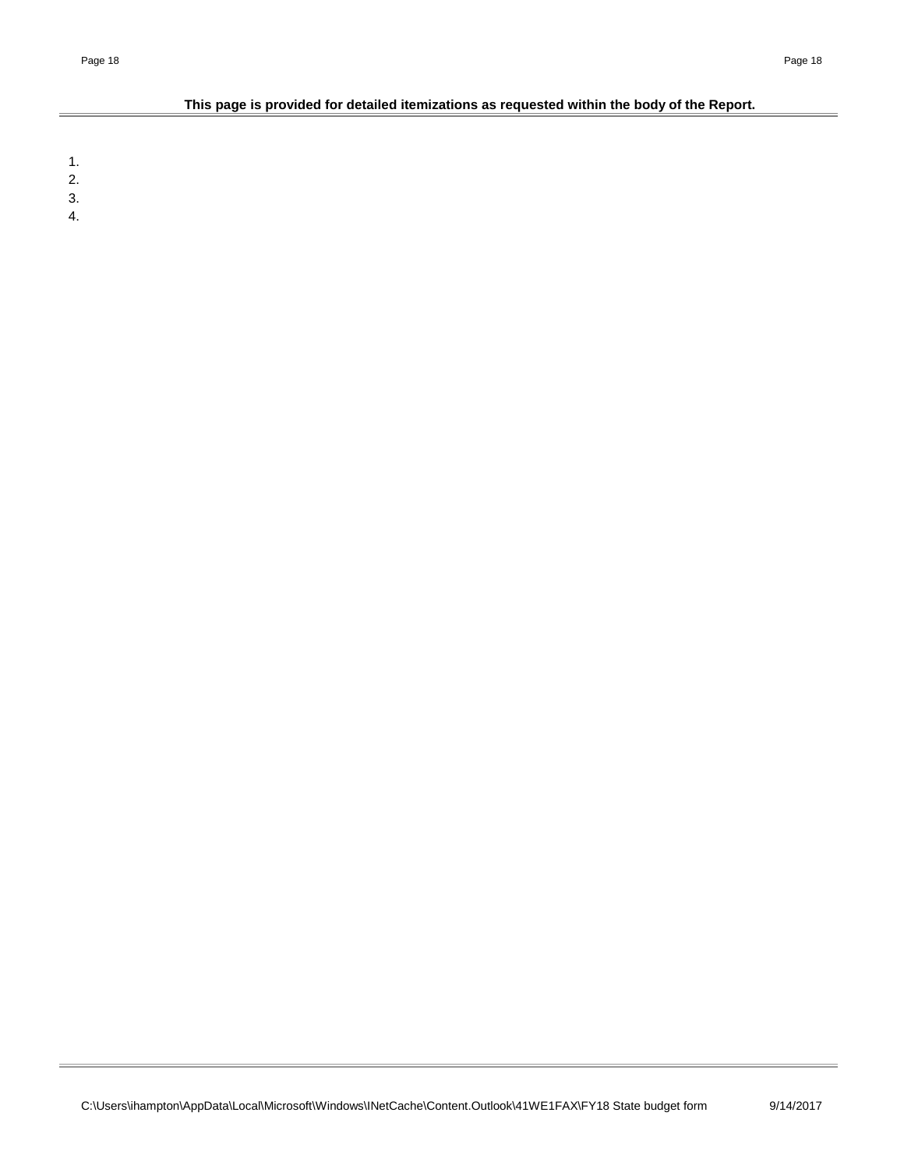## **This page is provided for detailed itemizations as requested within the body of the Report.**

1.

2.

3.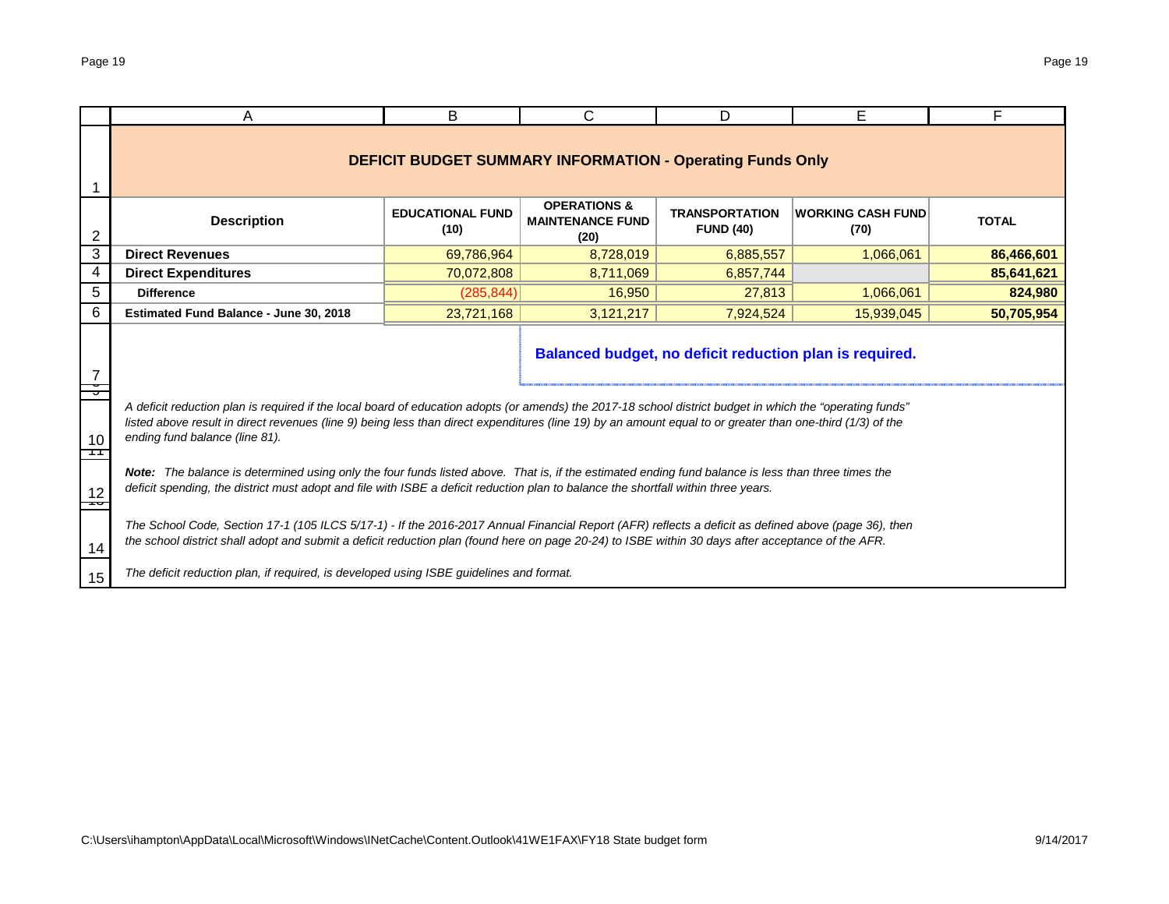|          | A                                                                                                                                                                                                                                                                                                                                                         | B                               | С                                                                | D                                         | Е                                | F            |  |  |  |  |  |  |  |
|----------|-----------------------------------------------------------------------------------------------------------------------------------------------------------------------------------------------------------------------------------------------------------------------------------------------------------------------------------------------------------|---------------------------------|------------------------------------------------------------------|-------------------------------------------|----------------------------------|--------------|--|--|--|--|--|--|--|
|          |                                                                                                                                                                                                                                                                                                                                                           |                                 | <b>DEFICIT BUDGET SUMMARY INFORMATION - Operating Funds Only</b> |                                           |                                  |              |  |  |  |  |  |  |  |
| 2        | <b>Description</b>                                                                                                                                                                                                                                                                                                                                        | <b>EDUCATIONAL FUND</b><br>(10) | <b>OPERATIONS &amp;</b><br><b>MAINTENANCE FUND</b><br>(20)       | <b>TRANSPORTATION</b><br><b>FUND (40)</b> | <b>WORKING CASH FUND</b><br>(70) | <b>TOTAL</b> |  |  |  |  |  |  |  |
| 3        | <b>Direct Revenues</b>                                                                                                                                                                                                                                                                                                                                    | 69,786,964                      | 8,728,019                                                        | 6,885,557                                 | 1,066,061                        | 86,466,601   |  |  |  |  |  |  |  |
| 4        | 85,641,621<br><b>Direct Expenditures</b><br>70,072,808<br>6,857,744<br>8,711,069                                                                                                                                                                                                                                                                          |                                 |                                                                  |                                           |                                  |              |  |  |  |  |  |  |  |
| 5        | (285, 844)<br>27,813<br>1,066,061<br>824,980<br><b>Difference</b><br>16,950                                                                                                                                                                                                                                                                               |                                 |                                                                  |                                           |                                  |              |  |  |  |  |  |  |  |
| 6        | Estimated Fund Balance - June 30, 2018                                                                                                                                                                                                                                                                                                                    | 23,721,168                      | 3,121,217                                                        | 7,924,524                                 | 15,939,045                       | 50,705,954   |  |  |  |  |  |  |  |
|          | Balanced budget, no deficit reduction plan is required.                                                                                                                                                                                                                                                                                                   |                                 |                                                                  |                                           |                                  |              |  |  |  |  |  |  |  |
| 10<br>┰┲ | A deficit reduction plan is required if the local board of education adopts (or amends) the 2017-18 school district budget in which the "operating funds"<br>listed above result in direct revenues (line 9) being less than direct expenditures (line 19) by an amount equal to or greater than one-third (1/3) of the<br>ending fund balance (line 81). |                                 |                                                                  |                                           |                                  |              |  |  |  |  |  |  |  |
| 12<br>ᠠᠣ | Note: The balance is determined using only the four funds listed above. That is, if the estimated ending fund balance is less than three times the<br>deficit spending, the district must adopt and file with ISBE a deficit reduction plan to balance the shortfall within three years.                                                                  |                                 |                                                                  |                                           |                                  |              |  |  |  |  |  |  |  |
| 14       | The School Code, Section 17-1 (105 ILCS 5/17-1) - If the 2016-2017 Annual Financial Report (AFR) reflects a deficit as defined above (page 36), then<br>the school district shall adopt and submit a deficit reduction plan (found here on page 20-24) to ISBE within 30 days after acceptance of the AFR.                                                |                                 |                                                                  |                                           |                                  |              |  |  |  |  |  |  |  |
| 15       | The deficit reduction plan, if required, is developed using ISBE guidelines and format.                                                                                                                                                                                                                                                                   |                                 |                                                                  |                                           |                                  |              |  |  |  |  |  |  |  |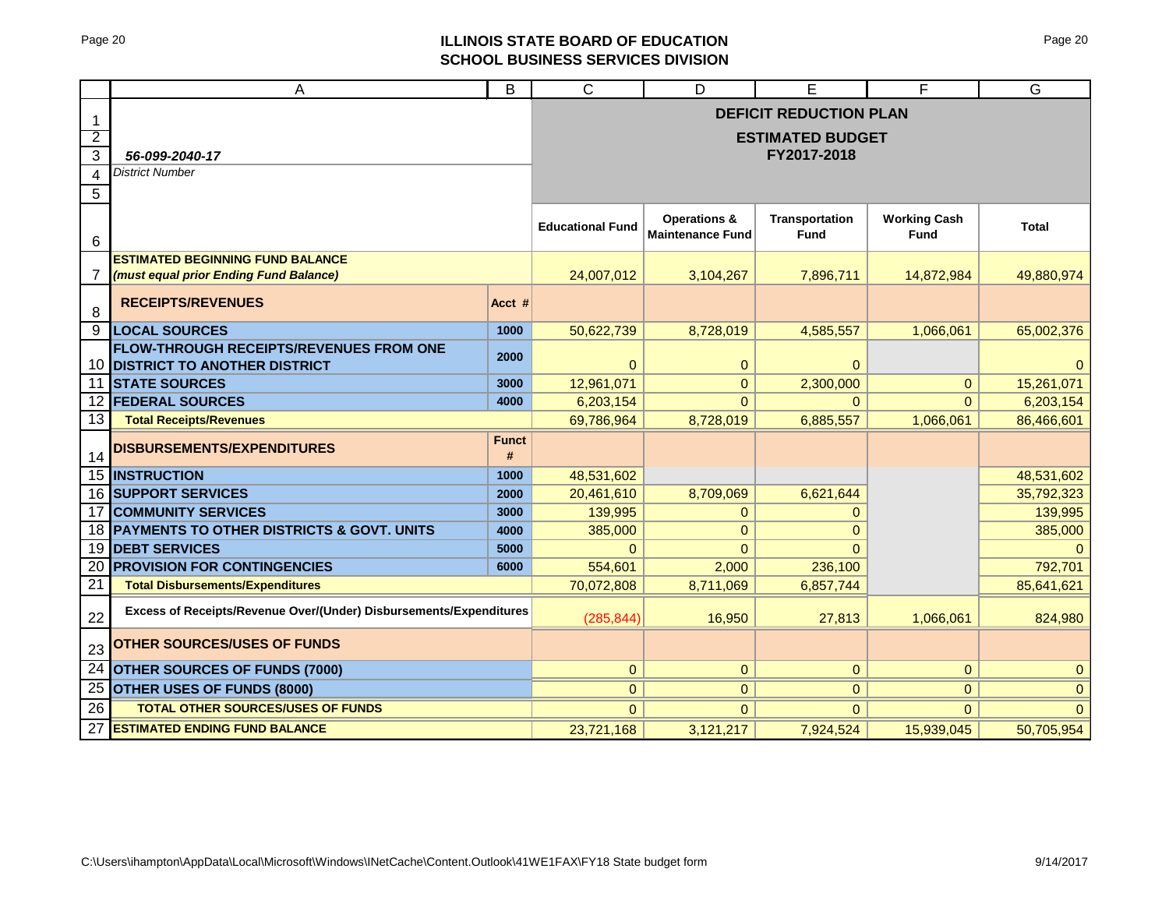### Page 20 **ILLINOIS STATE BOARD OF EDUCATION SCHOOL BUSINESS SERVICES DIVISION**

|                         | Α                                                                                 | B                 | C                       | D                                                  | E                                    | F                                  | G              |
|-------------------------|-----------------------------------------------------------------------------------|-------------------|-------------------------|----------------------------------------------------|--------------------------------------|------------------------------------|----------------|
| 1                       |                                                                                   |                   |                         |                                                    | <b>DEFICIT REDUCTION PLAN</b>        |                                    |                |
| $\overline{2}$          |                                                                                   |                   |                         |                                                    | <b>ESTIMATED BUDGET</b>              |                                    |                |
| 3                       | 56-099-2040-17                                                                    |                   |                         |                                                    | FY2017-2018                          |                                    |                |
| $\overline{\mathbf{4}}$ | <b>District Number</b>                                                            |                   |                         |                                                    |                                      |                                    |                |
| 5                       |                                                                                   |                   |                         |                                                    |                                      |                                    |                |
| 6                       |                                                                                   |                   | <b>Educational Fund</b> | <b>Operations &amp;</b><br><b>Maintenance Fund</b> | <b>Transportation</b><br><b>Fund</b> | <b>Working Cash</b><br><b>Fund</b> | <b>Total</b>   |
|                         | <b>ESTIMATED BEGINNING FUND BALANCE</b>                                           |                   |                         |                                                    |                                      |                                    |                |
| 7                       | (must equal prior Ending Fund Balance)                                            |                   | 24,007,012              | 3,104,267                                          | 7,896,711                            | 14,872,984                         | 49,880,974     |
| 8                       | <b>RECEIPTS/REVENUES</b>                                                          | Acct #            |                         |                                                    |                                      |                                    |                |
| 9                       | <b>LOCAL SOURCES</b>                                                              | 1000              | 50,622,739              | 8,728,019                                          | 4,585,557                            | 1,066,061                          | 65,002,376     |
|                         | <b>FLOW-THROUGH RECEIPTS/REVENUES FROM ONE</b><br>10 DISTRICT TO ANOTHER DISTRICT | 2000              | $\Omega$                | $\mathbf{0}$                                       | $\mathbf{0}$                         |                                    | $\Omega$       |
| 11                      | <b>STATE SOURCES</b>                                                              | 3000              | 12,961,071              | $\mathbf{0}$                                       | 2,300,000                            | $\mathbf{0}$                       | 15,261,071     |
| 12                      | <b>FEDERAL SOURCES</b>                                                            | 4000              | 6,203,154               | $\Omega$                                           | $\Omega$                             | $\Omega$                           | 6,203,154      |
| 13                      | <b>Total Receipts/Revenues</b>                                                    |                   | 69,786,964              | 8,728,019                                          | 6,885,557                            | 1,066,061                          | 86,466,601     |
| 14                      | <b>DISBURSEMENTS/EXPENDITURES</b>                                                 | <b>Funct</b><br># |                         |                                                    |                                      |                                    |                |
| 15                      | <b>INSTRUCTION</b>                                                                | 1000              | 48,531,602              |                                                    |                                      |                                    | 48,531,602     |
|                         | <b>16 SUPPORT SERVICES</b>                                                        | 2000              | 20,461,610              | 8,709,069                                          | 6,621,644                            |                                    | 35,792,323     |
| 17                      | <b>COMMUNITY SERVICES</b>                                                         | 3000              | 139,995                 | $\overline{0}$                                     | $\mathbf 0$                          |                                    | 139,995        |
| 18                      | <b>PAYMENTS TO OTHER DISTRICTS &amp; GOVT. UNITS</b>                              | 4000              | 385,000                 | $\mathbf{0}$                                       | $\mathbf{0}$                         |                                    | 385,000        |
| 19                      | <b>DEBT SERVICES</b>                                                              | 5000              | $\Omega$                | $\Omega$                                           | $\Omega$                             |                                    | $\Omega$       |
| 20<br>21                | <b>PROVISION FOR CONTINGENCIES</b>                                                | 6000              | 554,601                 | 2,000                                              | 236,100                              |                                    | 792,701        |
|                         | <b>Total Disbursements/Expenditures</b>                                           |                   | 70,072,808              | 8,711,069                                          | 6,857,744                            |                                    | 85,641,621     |
| 22                      | Excess of Receipts/Revenue Over/(Under) Disbursements/Expenditures                |                   | (285, 844)              | 16,950                                             | 27,813                               | 1,066,061                          | 824,980        |
| 23                      | <b>OTHER SOURCES/USES OF FUNDS</b>                                                |                   |                         |                                                    |                                      |                                    |                |
| 24                      | <b>OTHER SOURCES OF FUNDS (7000)</b>                                              |                   | $\pmb{0}$               | $\mathbf{0}$                                       | $\mathbf{0}$                         | $\mathbf{0}$                       | $\mathbf{0}$   |
| 25                      | <b>OTHER USES OF FUNDS (8000)</b>                                                 |                   | $\mathbf{0}$            | $\overline{0}$                                     | $\mathbf{0}$                         | $\mathbf{0}$                       | $\overline{0}$ |
| 26                      | <b>TOTAL OTHER SOURCES/USES OF FUNDS</b>                                          |                   | $\Omega$                | $\Omega$                                           | $\Omega$                             | $\Omega$                           | $\Omega$       |
| 27                      | <b>ESTIMATED ENDING FUND BALANCE</b>                                              |                   | 23,721,168              | 3,121,217                                          | 7,924,524                            | 15,939,045                         | 50,705,954     |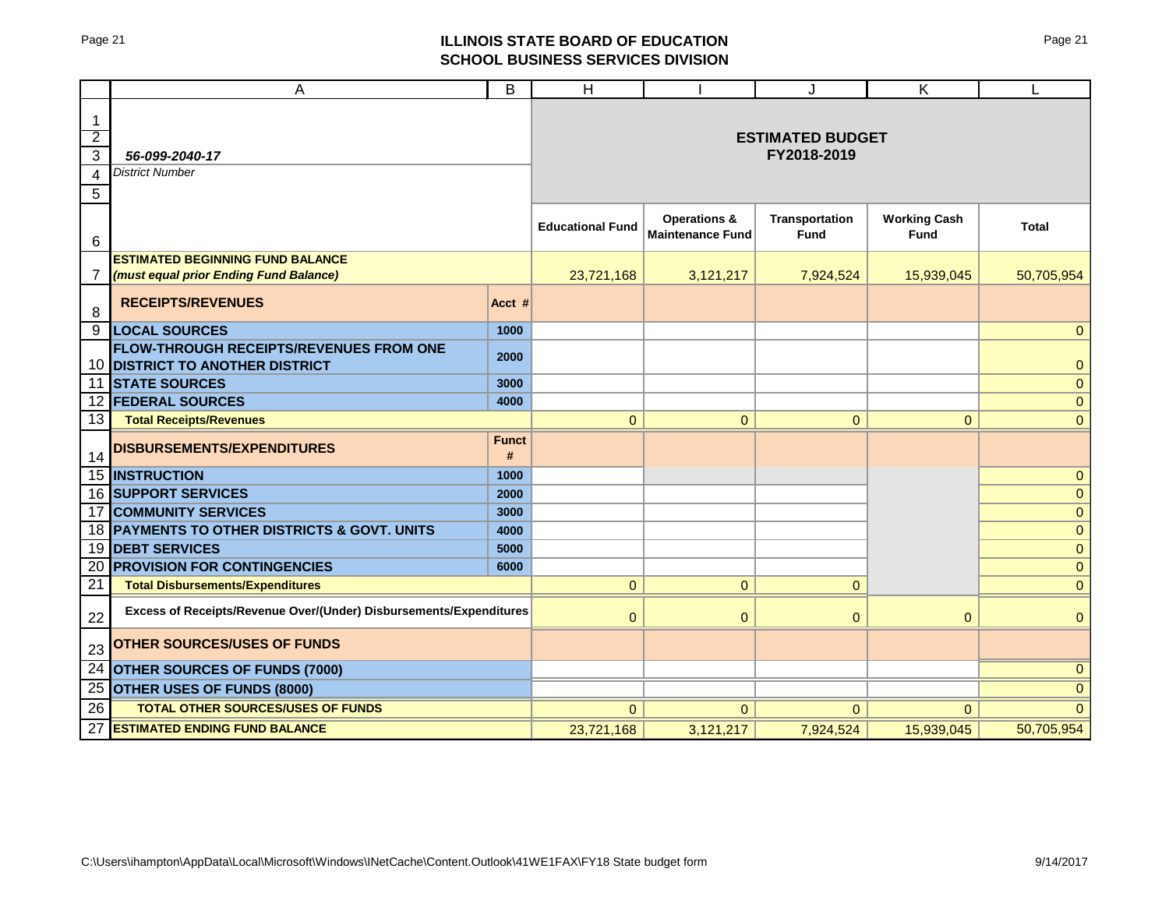### Page 21 **ILLINOIS STATE BOARD OF EDUCATION SCHOOL BUSINESS SERVICES DIVISION**

|                                                              | A                                                                                     | B                 | H                       |                                                    | J                                      | Κ                                  |                              |
|--------------------------------------------------------------|---------------------------------------------------------------------------------------|-------------------|-------------------------|----------------------------------------------------|----------------------------------------|------------------------------------|------------------------------|
| 1<br>$\overline{2}$<br>$\overline{3}$<br>4<br>$\overline{5}$ | 56-099-2040-17<br><b>District Number</b>                                              |                   |                         |                                                    | <b>ESTIMATED BUDGET</b><br>FY2018-2019 |                                    |                              |
| 6                                                            |                                                                                       |                   | <b>Educational Fund</b> | <b>Operations &amp;</b><br><b>Maintenance Fund</b> | <b>Transportation</b><br><b>Fund</b>   | <b>Working Cash</b><br><b>Fund</b> | <b>Total</b>                 |
| 7                                                            | <b>ESTIMATED BEGINNING FUND BALANCE</b><br>(must equal prior Ending Fund Balance)     |                   | 23,721,168              | 3,121,217                                          | 7,924,524                              | 15,939,045                         | 50,705,954                   |
| 8                                                            | <b>RECEIPTS/REVENUES</b>                                                              | Acct #            |                         |                                                    |                                        |                                    |                              |
| 9                                                            | <b>LOCAL SOURCES</b>                                                                  | 1000              |                         |                                                    |                                        |                                    | $\mathbf{0}$                 |
| 10                                                           | <b>FLOW-THROUGH RECEIPTS/REVENUES FROM ONE</b><br><b>DISTRICT TO ANOTHER DISTRICT</b> | 2000              |                         |                                                    |                                        |                                    | $\mathbf{0}$                 |
| 11                                                           | <b>STATE SOURCES</b>                                                                  | 3000              |                         |                                                    |                                        |                                    | $\mathbf{0}$                 |
| 12                                                           | <b>FEDERAL SOURCES</b>                                                                | 4000              |                         |                                                    |                                        |                                    | $\overline{0}$               |
| 13<br>14                                                     | <b>Total Receipts/Revenues</b><br>DISBURSEMENTS/EXPENDITURES                          | <b>Funct</b><br># | 0                       | $\pmb{0}$                                          | $\mathbf{0}$                           | $\mathbf{0}$                       | $\mathbf{0}$                 |
| 15                                                           | <b>INSTRUCTION</b>                                                                    | 1000              |                         |                                                    |                                        |                                    | $\mathbf{O}$                 |
| 16                                                           | <b>SUPPORT SERVICES</b>                                                               | 2000              |                         |                                                    |                                        |                                    | $\mathbf{0}$                 |
| 17                                                           | <b>COMMUNITY SERVICES</b>                                                             | 3000              |                         |                                                    |                                        |                                    | $\mathbf{0}$                 |
| 18                                                           | PAYMENTS TO OTHER DISTRICTS & GOVT. UNITS                                             | 4000              |                         |                                                    |                                        |                                    | $\mathbf{0}$                 |
| 19                                                           | <b>DEBT SERVICES</b>                                                                  | 5000              |                         |                                                    |                                        |                                    | $\mathbf{0}$                 |
| 20<br>21                                                     | <b>PROVISION FOR CONTINGENCIES</b><br><b>Total Disbursements/Expenditures</b>         | 6000              | $\mathbf{0}$            | $\mathbf{0}$                                       | $\mathbf 0$                            |                                    | $\mathbf{0}$<br>$\mathbf{0}$ |
| 22                                                           | Excess of Receipts/Revenue Over/(Under) Disbursements/Expenditures                    |                   | $\mathbf 0$             | $\pmb{0}$                                          | $\mathbf{0}$                           | $\overline{0}$                     | $\mathbf{0}$                 |
| 23                                                           | <b>OTHER SOURCES/USES OF FUNDS</b>                                                    |                   |                         |                                                    |                                        |                                    |                              |
| 24                                                           | <b>OTHER SOURCES OF FUNDS (7000)</b>                                                  |                   |                         |                                                    |                                        |                                    | $\overline{0}$               |
| 25                                                           | <b>OTHER USES OF FUNDS (8000)</b>                                                     |                   |                         |                                                    |                                        |                                    | 0                            |
| 26                                                           | <b>TOTAL OTHER SOURCES/USES OF FUNDS</b>                                              |                   | $\Omega$                | $\Omega$                                           | $\Omega$                               | $\Omega$                           | $\Omega$                     |
| 27                                                           | <b>ESTIMATED ENDING FUND BALANCE</b>                                                  |                   | 23,721,168              | 3,121,217                                          | 7,924,524                              | 15,939,045                         | 50,705,954                   |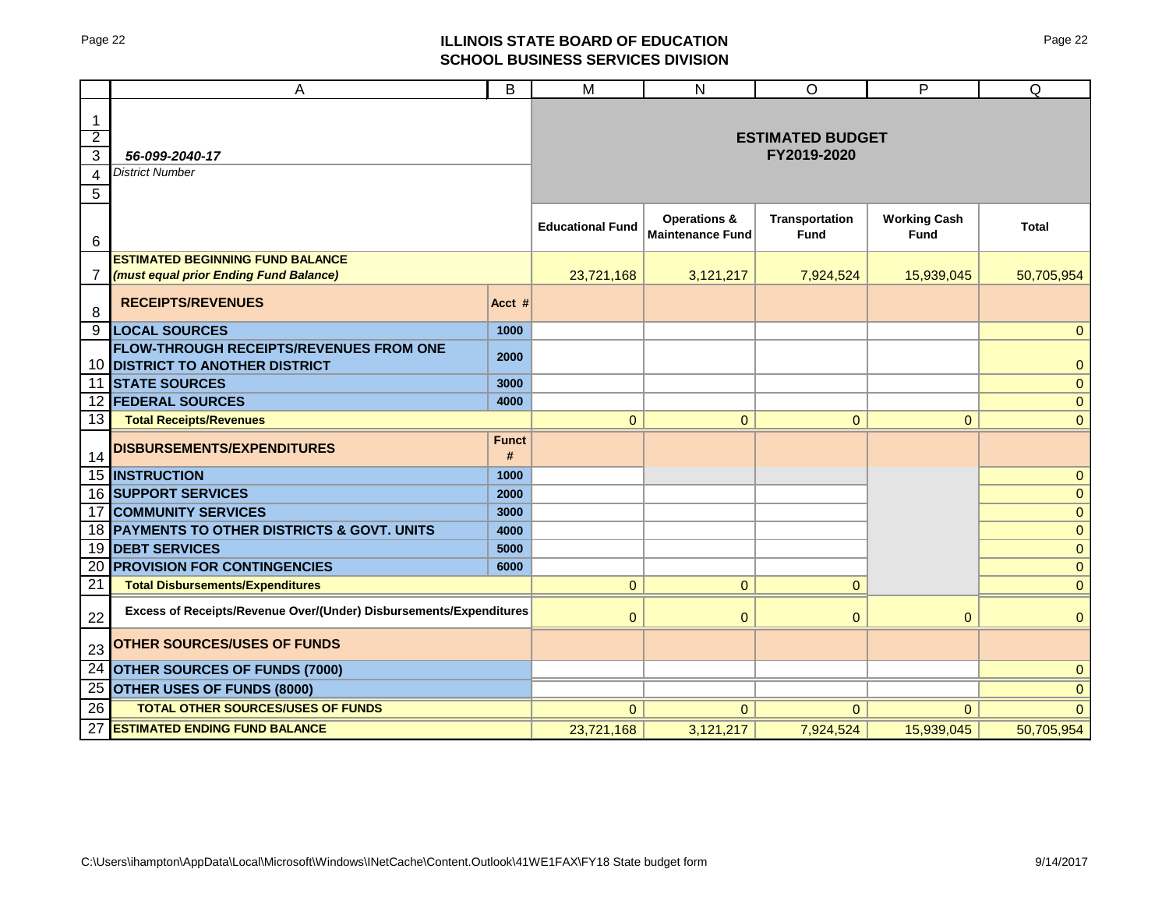### Page 22 **ILLINOIS STATE BOARD OF EDUCATION SCHOOL BUSINESS SERVICES DIVISION**

|                                              | A                                                                                 | B                 | M                       | N                                                  | O                                      | P                                  | Q                              |
|----------------------------------------------|-----------------------------------------------------------------------------------|-------------------|-------------------------|----------------------------------------------------|----------------------------------------|------------------------------------|--------------------------------|
| $\mathbf 1$<br>$\overline{2}$<br>3<br>4<br>5 | 56-099-2040-17<br><b>District Number</b>                                          |                   |                         |                                                    | <b>ESTIMATED BUDGET</b><br>FY2019-2020 |                                    |                                |
| 6                                            |                                                                                   |                   | <b>Educational Fund</b> | <b>Operations &amp;</b><br><b>Maintenance Fund</b> | Transportation<br><b>Fund</b>          | <b>Working Cash</b><br><b>Fund</b> | <b>Total</b>                   |
| 7                                            | <b>ESTIMATED BEGINNING FUND BALANCE</b><br>(must equal prior Ending Fund Balance) |                   | 23,721,168              | 3,121,217                                          | 7,924,524                              | 15,939,045                         | 50,705,954                     |
| 8                                            | <b>RECEIPTS/REVENUES</b>                                                          | Acct #            |                         |                                                    |                                        |                                    |                                |
| 9                                            | <b>LOCAL SOURCES</b>                                                              | 1000              |                         |                                                    |                                        |                                    | $\mathbf{0}$                   |
|                                              | <b>FLOW-THROUGH RECEIPTS/REVENUES FROM ONE</b><br>10 DISTRICT TO ANOTHER DISTRICT | 2000              |                         |                                                    |                                        |                                    | $\mathbf 0$                    |
| 11                                           | <b>STATE SOURCES</b>                                                              | 3000              |                         |                                                    |                                        |                                    | $\pmb{0}$                      |
| 12<br>13                                     | <b>FEDERAL SOURCES</b>                                                            | 4000              |                         |                                                    |                                        |                                    | $\pmb{0}$                      |
| 14                                           | <b>Total Receipts/Revenues</b><br><b>DISBURSEMENTS/EXPENDITURES</b>               | <b>Funct</b><br># | $\mathbf{0}$            | $\mathbf{0}$                                       | $\mathbf 0$                            | $\mathbf{0}$                       | $\mathbf{0}$                   |
|                                              | 15 INSTRUCTION                                                                    | 1000              |                         |                                                    |                                        |                                    | $\pmb{0}$                      |
|                                              | <b>16 SUPPORT SERVICES</b>                                                        | 2000              |                         |                                                    |                                        |                                    | $\mathbf{0}$                   |
| 17                                           | <b>COMMUNITY SERVICES</b>                                                         | 3000              |                         |                                                    |                                        |                                    | $\mathbf{0}$                   |
|                                              | 18 PAYMENTS TO OTHER DISTRICTS & GOVT. UNITS                                      | 4000              |                         |                                                    |                                        |                                    | $\mathbf{0}$                   |
| 19                                           | <b>DEBT SERVICES</b>                                                              | 5000              |                         |                                                    |                                        |                                    | $\mathbf{0}$                   |
| 20<br>$\overline{21}$                        | <b>PROVISION FOR CONTINGENCIES</b><br><b>Total Disbursements/Expenditures</b>     | 6000              | $\mathbf{0}$            | $\mathbf{0}$                                       | $\mathbf{0}$                           |                                    | $\mathbf{0}$<br>$\overline{0}$ |
| 22                                           | Excess of Receipts/Revenue Over/(Under) Disbursements/Expenditures                |                   | $\mathbf{0}$            | $\mathbf 0$                                        | $\mathbf 0$                            | $\mathbf 0$                        | $\mathbf{0}$                   |
| 23                                           | <b>OTHER SOURCES/USES OF FUNDS</b>                                                |                   |                         |                                                    |                                        |                                    |                                |
| 24                                           | <b>OTHER SOURCES OF FUNDS (7000)</b>                                              |                   |                         |                                                    |                                        |                                    | $\mathbf{0}$                   |
| 25                                           | <b>OTHER USES OF FUNDS (8000)</b>                                                 |                   |                         |                                                    |                                        |                                    | $\mathbf{0}$                   |
| 26                                           | <b>TOTAL OTHER SOURCES/USES OF FUNDS</b>                                          |                   | $\Omega$                | $\mathbf{0}$                                       | $\mathbf{0}$                           | $\Omega$                           | $\Omega$                       |
| 27                                           | <b>ESTIMATED ENDING FUND BALANCE</b>                                              |                   | 23,721,168              | 3,121,217                                          | 7,924,524                              | 15,939,045                         | 50,705,954                     |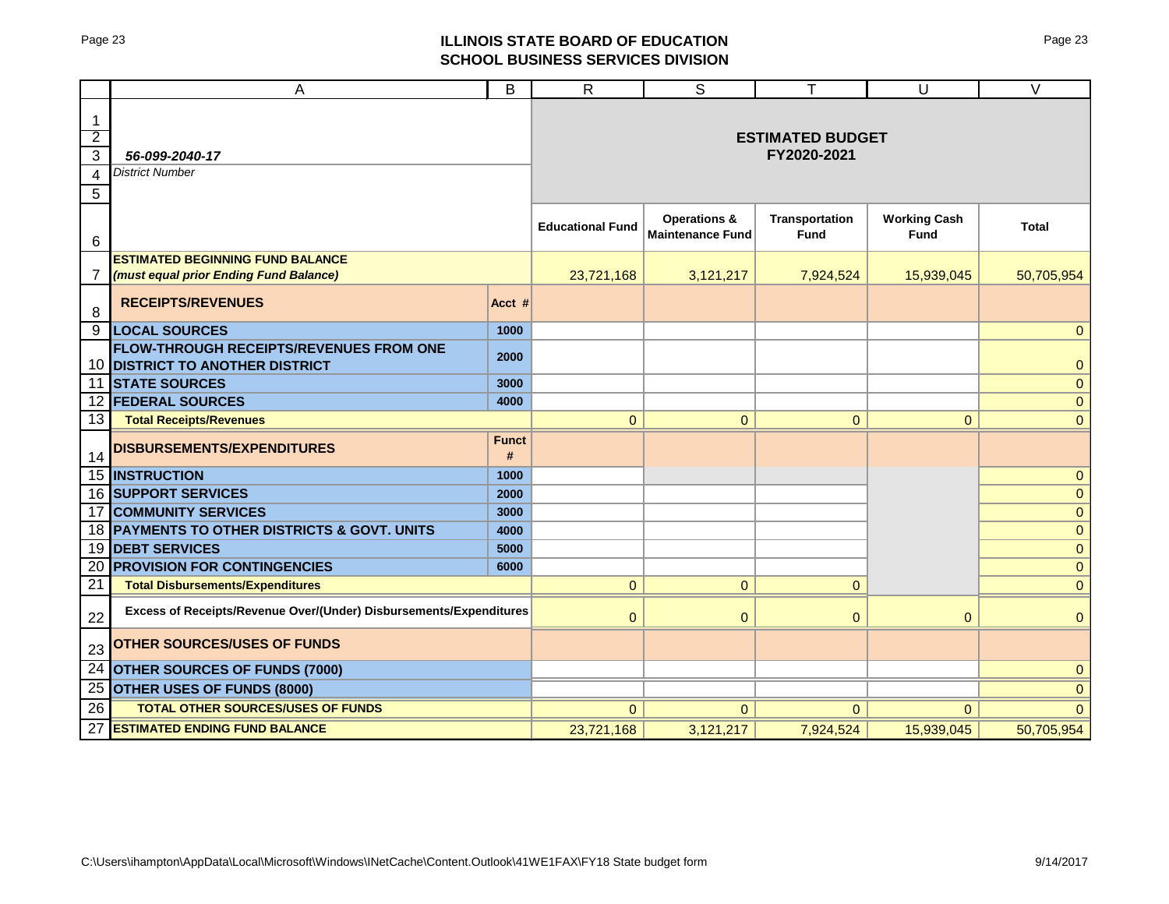### Page 23 **ILLINOIS STATE BOARD OF EDUCATION SCHOOL BUSINESS SERVICES DIVISION**

|                                                            | A                                                                                                         | B                 | $\mathsf{R}$            | S                                                  | т                                      | U                           | $\vee$                      |
|------------------------------------------------------------|-----------------------------------------------------------------------------------------------------------|-------------------|-------------------------|----------------------------------------------------|----------------------------------------|-----------------------------|-----------------------------|
| $\mathbf{1}$<br>$\overline{2}$<br>$\overline{3}$<br>4<br>5 | 56-099-2040-17<br><b>District Number</b>                                                                  |                   |                         |                                                    | <b>ESTIMATED BUDGET</b><br>FY2020-2021 |                             |                             |
| 6                                                          |                                                                                                           |                   | <b>Educational Fund</b> | <b>Operations &amp;</b><br><b>Maintenance Fund</b> | <b>Transportation</b><br><b>Fund</b>   | <b>Working Cash</b><br>Fund | <b>Total</b>                |
| 7                                                          | <b>ESTIMATED BEGINNING FUND BALANCE</b><br>(must equal prior Ending Fund Balance)                         |                   | 23,721,168              | 3,121,217                                          | 7,924,524                              | 15,939,045                  | 50,705,954                  |
| 8                                                          | <b>RECEIPTS/REVENUES</b>                                                                                  | Acct #            |                         |                                                    |                                        |                             |                             |
| 9                                                          | <b>LOCAL SOURCES</b><br><b>FLOW-THROUGH RECEIPTS/REVENUES FROM ONE</b><br>10 DISTRICT TO ANOTHER DISTRICT | 1000<br>2000      |                         |                                                    |                                        |                             | $\mathbf{0}$                |
| 11                                                         | <b>STATE SOURCES</b>                                                                                      | 3000              |                         |                                                    |                                        |                             | $\mathbf 0$<br>$\mathbf{0}$ |
| 12 <sup>2</sup>                                            | <b>FEDERAL SOURCES</b>                                                                                    | 4000              |                         |                                                    |                                        |                             | $\mathbf{0}$                |
| 13<br>14                                                   | <b>Total Receipts/Revenues</b><br>DISBURSEMENTS/EXPENDITURES                                              | <b>Funct</b><br># | $\mathbf{0}$            | $\pmb{0}$                                          | $\pmb{0}$                              | $\mathbf{0}$                | $\mathbf{0}$                |
|                                                            | 15 INSTRUCTION                                                                                            | 1000              |                         |                                                    |                                        |                             | $\pmb{0}$                   |
|                                                            | <b>16 SUPPORT SERVICES</b>                                                                                | 2000              |                         |                                                    |                                        |                             | $\mathbf{0}$                |
| 17                                                         | <b>COMMUNITY SERVICES</b>                                                                                 | 3000              |                         |                                                    |                                        |                             | $\mathbf{0}$                |
|                                                            | 18 PAYMENTS TO OTHER DISTRICTS & GOVT. UNITS                                                              | 4000              |                         |                                                    |                                        |                             | $\mathbf{0}$                |
| 20                                                         | 19 DEBT SERVICES<br><b>PROVISION FOR CONTINGENCIES</b>                                                    | 5000<br>6000      |                         |                                                    |                                        |                             | $\mathbf 0$<br>$\mathbf{0}$ |
| $\overline{21}$                                            | <b>Total Disbursements/Expenditures</b>                                                                   |                   | $\mathbf{0}$            | $\overline{0}$                                     | $\mathbf{0}$                           |                             | $\mathbf{0}$                |
| 22                                                         | Excess of Receipts/Revenue Over/(Under) Disbursements/Expenditures                                        |                   | $\mathbf 0$             | 0                                                  | $\mathbf{0}$                           | $\mathbf{0}$                | $\mathbf{0}$                |
| 23                                                         | <b>OTHER SOURCES/USES OF FUNDS</b>                                                                        |                   |                         |                                                    |                                        |                             |                             |
| 24                                                         | <b>OTHER SOURCES OF FUNDS (7000)</b>                                                                      |                   |                         |                                                    |                                        |                             | 0                           |
| 25                                                         | <b>OTHER USES OF FUNDS (8000)</b>                                                                         |                   |                         |                                                    |                                        |                             | $\mathbf{0}$                |
| 26                                                         | <b>TOTAL OTHER SOURCES/USES OF FUNDS</b>                                                                  |                   | $\Omega$                | $\mathbf{0}$                                       | $\mathbf{0}$                           | $\mathbf{0}$                | $\Omega$                    |
|                                                            | 27 ESTIMATED ENDING FUND BALANCE                                                                          |                   | 23,721,168              | 3,121,217                                          | 7,924,524                              | 15,939,045                  | 50,705,954                  |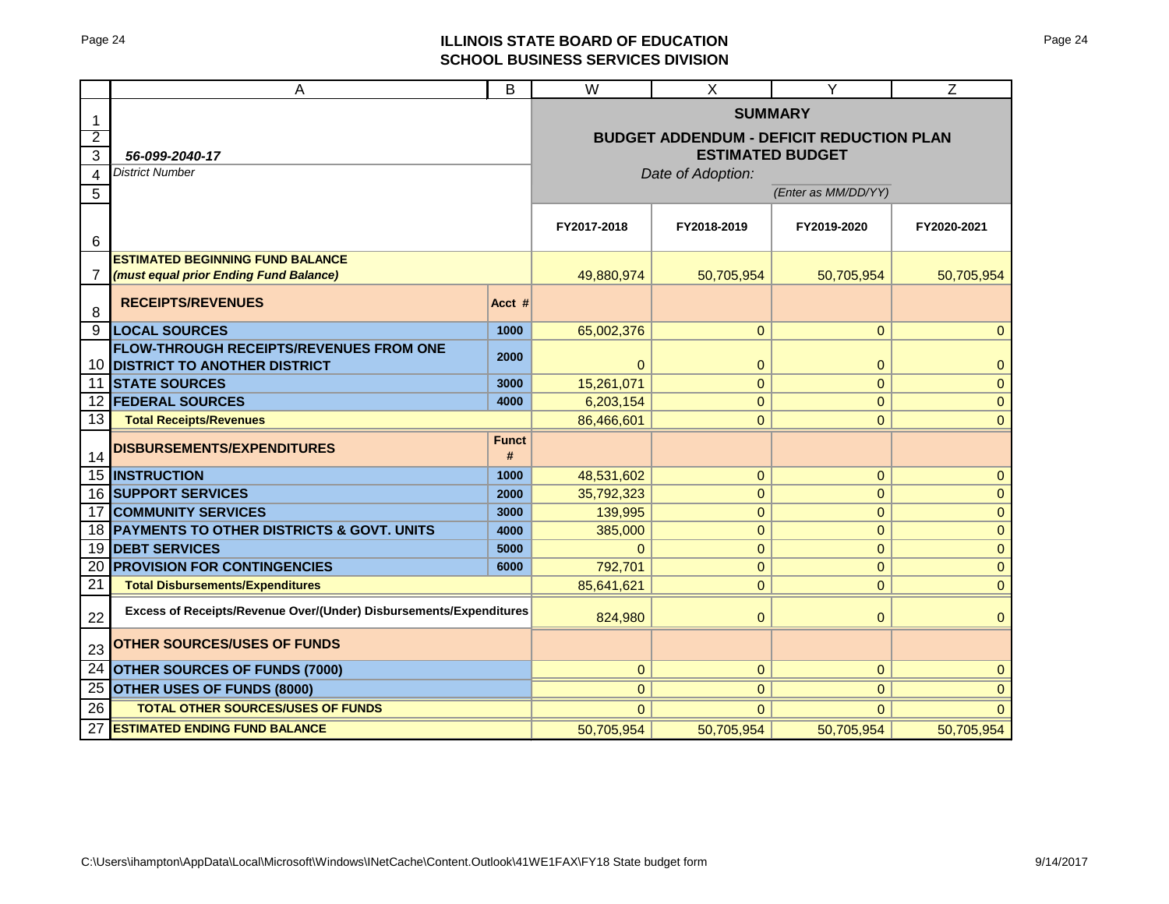## Page 24 **ILLINOIS STATE BOARD OF EDUCATION SCHOOL BUSINESS SERVICES DIVISION**

|    | A                                                                                     |                     | W                 | X              | Y                                                                          | $\overline{Z}$ |  |  |
|----|---------------------------------------------------------------------------------------|---------------------|-------------------|----------------|----------------------------------------------------------------------------|----------------|--|--|
| 1  |                                                                                       | <b>SUMMARY</b>      |                   |                |                                                                            |                |  |  |
| 2  |                                                                                       |                     |                   |                | <b>BUDGET ADDENDUM - DEFICIT REDUCTION PLAN</b><br><b>ESTIMATED BUDGET</b> |                |  |  |
| 3  | 56-099-2040-17                                                                        |                     |                   |                |                                                                            |                |  |  |
| 4  | <b>District Number</b>                                                                |                     | Date of Adoption: |                |                                                                            |                |  |  |
| 5  |                                                                                       | (Enter as MM/DD/YY) |                   |                |                                                                            |                |  |  |
| 6  |                                                                                       |                     | FY2017-2018       | FY2018-2019    | FY2019-2020                                                                | FY2020-2021    |  |  |
|    | <b>ESTIMATED BEGINNING FUND BALANCE</b>                                               |                     |                   |                |                                                                            |                |  |  |
| 7  | (must equal prior Ending Fund Balance)                                                |                     | 49,880,974        | 50,705,954     | 50,705,954                                                                 | 50,705,954     |  |  |
| 8  | <b>RECEIPTS/REVENUES</b>                                                              | Acct #              |                   |                |                                                                            |                |  |  |
| 9  | <b>LOCAL SOURCES</b>                                                                  | 1000                | 65,002,376        | $\mathbf{0}$   | $\mathbf{0}$                                                               | $\mathbf{0}$   |  |  |
| 10 | <b>FLOW-THROUGH RECEIPTS/REVENUES FROM ONE</b><br><b>DISTRICT TO ANOTHER DISTRICT</b> | 2000                | $\overline{0}$    | $\pmb{0}$      | $\mathbf{0}$                                                               | $\mathbf 0$    |  |  |
| 11 | <b>STATE SOURCES</b>                                                                  | 3000                | 15,261,071        | $\overline{0}$ | 0                                                                          | $\pmb{0}$      |  |  |
| 12 | <b>FEDERAL SOURCES</b>                                                                | 4000                | 6,203,154         | $\overline{0}$ | $\overline{0}$                                                             | $\pmb{0}$      |  |  |
| 13 | <b>Total Receipts/Revenues</b>                                                        |                     | 86,466,601        | $\overline{0}$ | $\overline{0}$                                                             | $\mathbf{0}$   |  |  |
| 14 | <b>DISBURSEMENTS/EXPENDITURES</b>                                                     | <b>Funct</b><br>#   |                   |                |                                                                            |                |  |  |
| 15 | <b>INSTRUCTION</b>                                                                    | 1000                | 48,531,602        | $\mathbf{0}$   | $\mathbf{0}$                                                               | $\bf{0}$       |  |  |
|    | <b>16 SUPPORT SERVICES</b>                                                            | 2000                | 35,792,323        | $\overline{0}$ | $\overline{0}$                                                             | $\pmb{0}$      |  |  |
| 17 | <b>COMMUNITY SERVICES</b>                                                             | 3000                | 139,995           | $\overline{0}$ | $\mathbf 0$                                                                | $\pmb{0}$      |  |  |
| 18 | <b>PAYMENTS TO OTHER DISTRICTS &amp; GOVT. UNITS</b>                                  | 4000                | 385,000           | $\mathbf{0}$   | $\mathbf{0}$                                                               | $\bf{0}$       |  |  |
| 19 | <b>DEBT SERVICES</b>                                                                  | 5000                | $\Omega$          | $\pmb{0}$      | 0                                                                          | $\pmb{0}$      |  |  |
| 20 | <b>PROVISION FOR CONTINGENCIES</b>                                                    | 6000                | 792,701           | $\mathbf{0}$   | $\mathbf{0}$                                                               | $\mathbf 0$    |  |  |
| 21 | <b>Total Disbursements/Expenditures</b>                                               | 85,641,621          | $\overline{0}$    | 0              | $\pmb{0}$                                                                  |                |  |  |
| 22 | Excess of Receipts/Revenue Over/(Under) Disbursements/Expenditures                    | 824,980             | $\overline{0}$    | $\mathbf{0}$   | $\bf 0$                                                                    |                |  |  |
| 23 | <b>OTHER SOURCES/USES OF FUNDS</b>                                                    |                     |                   |                |                                                                            |                |  |  |
| 24 | <b>OTHER SOURCES OF FUNDS (7000)</b>                                                  |                     | $\overline{0}$    | $\mathbf 0$    | 0                                                                          | $\mathbf 0$    |  |  |
| 25 | OTHER USES OF FUNDS (8000)                                                            |                     | $\overline{0}$    | $\overline{0}$ | $\mathbf{0}$                                                               | $\mathbf{0}$   |  |  |
| 26 | <b>TOTAL OTHER SOURCES/USES OF FUNDS</b>                                              |                     | $\overline{0}$    | $\Omega$       | $\Omega$                                                                   | $\Omega$       |  |  |
| 27 | <b>ESTIMATED ENDING FUND BALANCE</b>                                                  | 50.705.954          | 50,705,954        | 50,705,954     | 50,705,954                                                                 |                |  |  |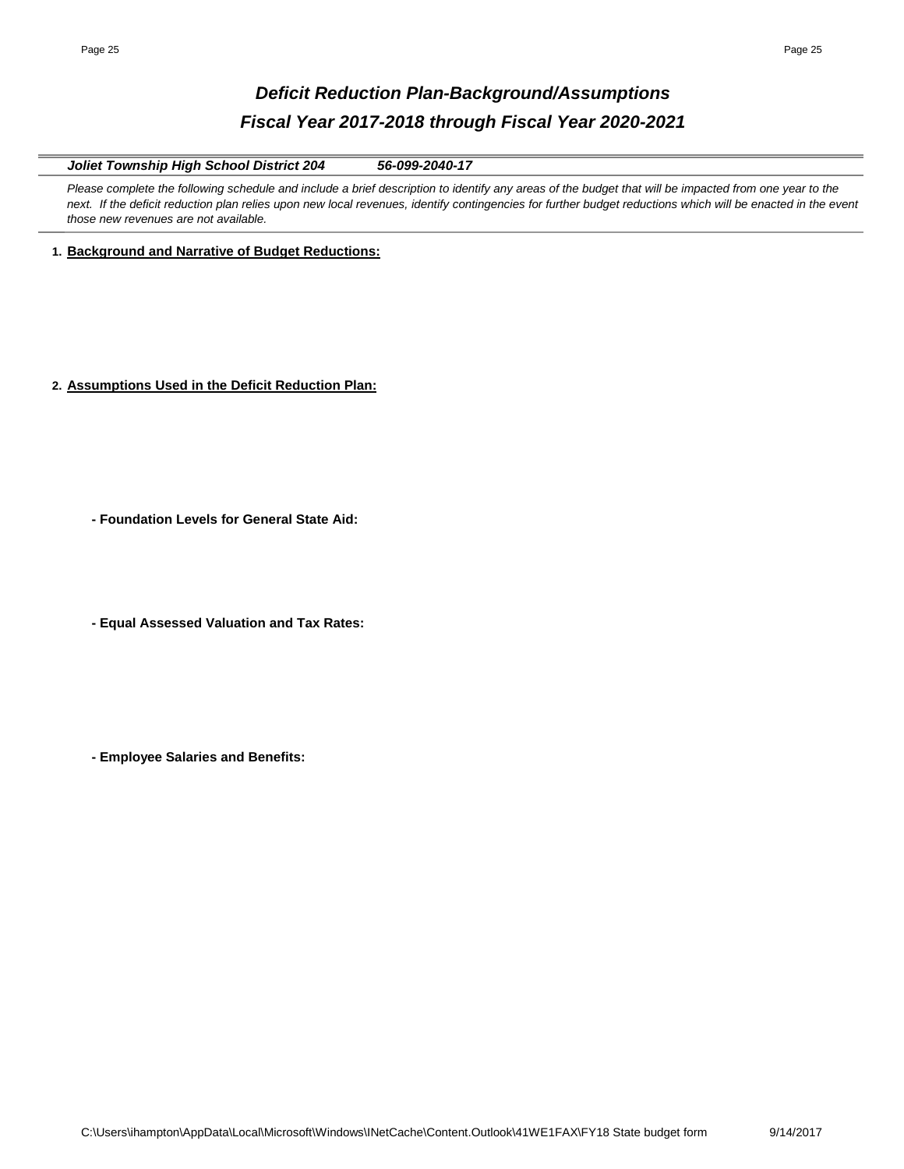# *Deficit Reduction Plan-Background/Assumptions Fiscal Year 2017-2018 through Fiscal Year 2020-2021*

*Joliet Township High School District 204 56-099-2040-17*

Please complete the following schedule and include a brief description to identify any areas of the budget that will be impacted from one year to the *next. If the deficit reduction plan relies upon new local revenues, identify contingencies for further budget reductions which will be enacted in the event those new revenues are not available.* 

#### **1. Background and Narrative of Budget Reductions:**

- **2. Assumptions Used in the Deficit Reduction Plan:**
	- **Foundation Levels for General State Aid:**
	- **Equal Assessed Valuation and Tax Rates:**

**- Employee Salaries and Benefits:**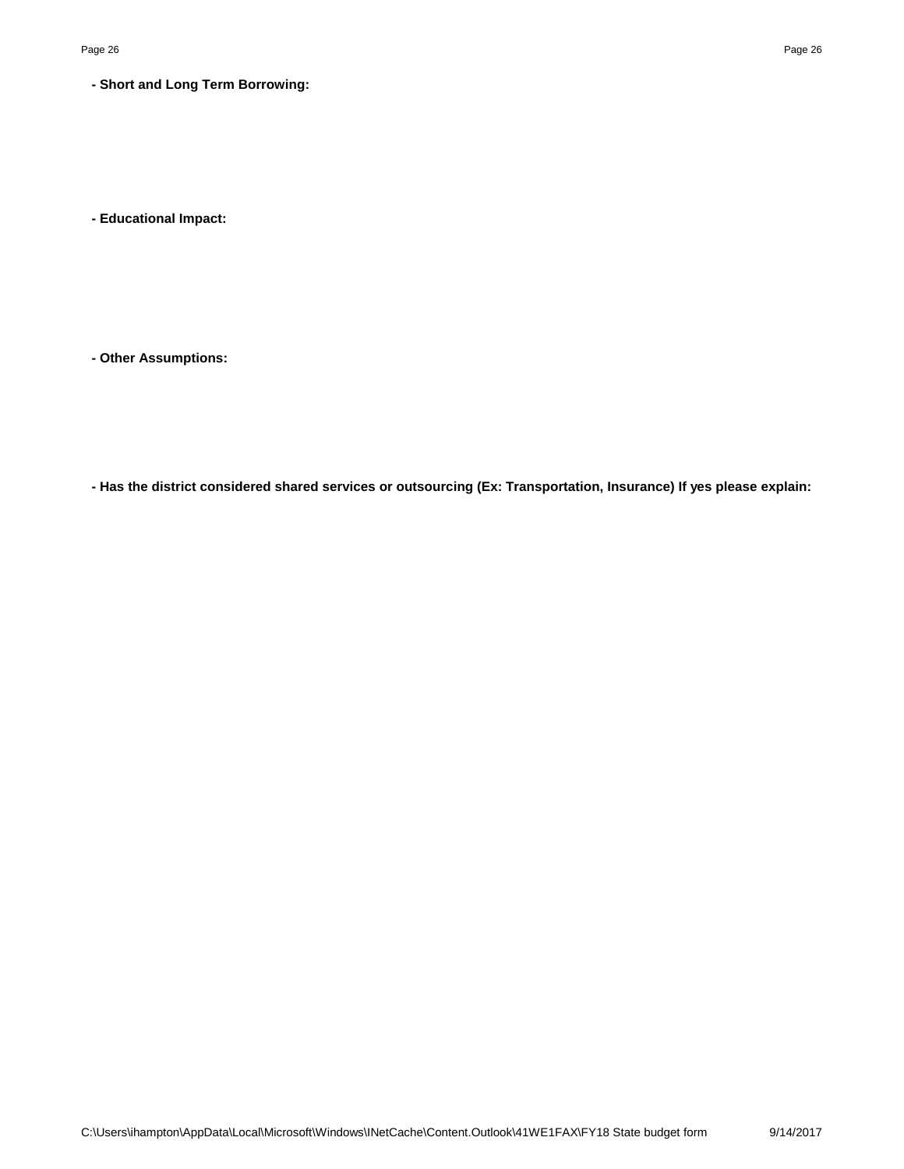#### **- Short and Long Term Borrowing:**

**- Educational Impact:**

**- Other Assumptions:**

**- Has the district considered shared services or outsourcing (Ex: Transportation, Insurance) If yes please explain:**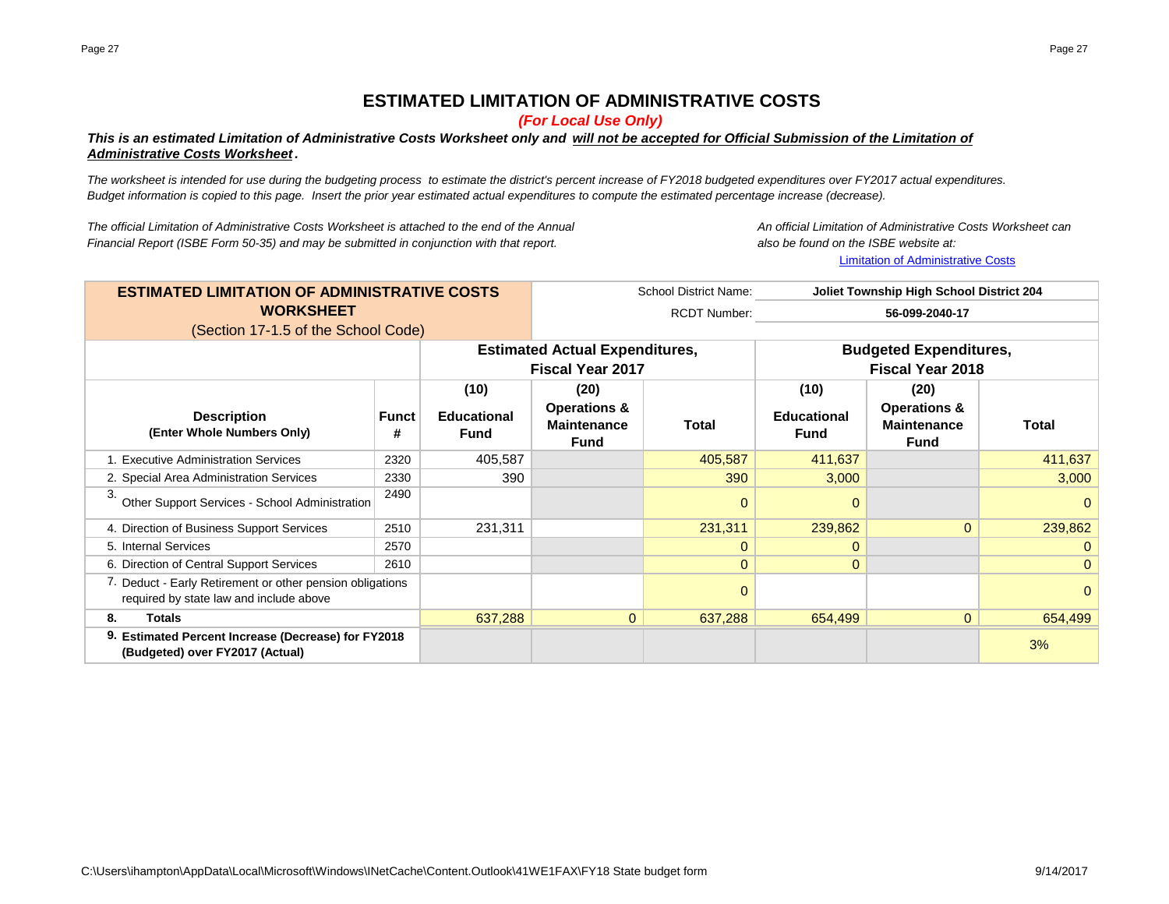# **ESTIMATED LIMITATION OF ADMINISTRATIVE COSTS**

*(For Local Use Only)*

#### *This is an estimated Limitation of Administrative Costs Worksheet only and will not be accepted for Official Submission of the Limitation of Administrative Costs Worksheet .*

*The worksheet is intended for use during the budgeting process to estimate the district's percent increase of FY2018 budgeted expenditures over FY2017 actual expenditures. Budget information is copied to this page. Insert the prior year estimated actual expenditures to compute the estimated percentage increase (decrease).*

*The official Limitation of Administrative Costs Worksheet is attached to the end of the Annual An official Limitation of Administrative Costs Worksheet can Financial Report (ISBE Form 50-35) and may be submitted in conjunction with that report. also be found on the ISBE website at:*

[Limitation of Administrative Costs](http://www.isbe.net/sfms/AdminCaps/AdminCaps.htm)

| <b>ESTIMATED LIMITATION OF ADMINISTRATIVE COSTS</b>                                                  | <b>School District Name:</b><br>Joliet Township High School District 204 |                                   |                                                              |                               |                                   |                                                              |              |
|------------------------------------------------------------------------------------------------------|--------------------------------------------------------------------------|-----------------------------------|--------------------------------------------------------------|-------------------------------|-----------------------------------|--------------------------------------------------------------|--------------|
| <b>WORKSHEET</b>                                                                                     | <b>RCDT Number:</b><br>56-099-2040-17                                    |                                   |                                                              |                               |                                   |                                                              |              |
| (Section 17-1.5 of the School Code)                                                                  |                                                                          |                                   |                                                              |                               |                                   |                                                              |              |
|                                                                                                      | <b>Estimated Actual Expenditures,</b>                                    |                                   |                                                              | <b>Budgeted Expenditures,</b> |                                   |                                                              |              |
|                                                                                                      |                                                                          | <b>Fiscal Year 2017</b>           |                                                              | <b>Fiscal Year 2018</b>       |                                   |                                                              |              |
|                                                                                                      |                                                                          | (10)                              | (20)                                                         |                               | (10)                              | (20)                                                         |              |
| <b>Description</b><br>(Enter Whole Numbers Only)                                                     | <b>Funct</b><br>#                                                        | <b>Educational</b><br><b>Fund</b> | <b>Operations &amp;</b><br><b>Maintenance</b><br><b>Fund</b> | Total                         | <b>Educational</b><br><b>Fund</b> | <b>Operations &amp;</b><br><b>Maintenance</b><br><b>Fund</b> | Total        |
| 1. Executive Administration Services                                                                 | 2320                                                                     | 405,587                           |                                                              | 405,587                       | 411,637                           |                                                              | 411,637      |
| 2. Special Area Administration Services                                                              | 2330                                                                     | 390                               |                                                              | 390                           | 3,000                             |                                                              | 3,000        |
| З.<br>Other Support Services - School Administration                                                 | 2490                                                                     |                                   |                                                              | $\Omega$                      |                                   |                                                              | $\Omega$     |
| 4. Direction of Business Support Services                                                            | 2510                                                                     | 231,311                           |                                                              | 231,311                       | 239,862                           | $\Omega$                                                     | 239,862      |
| 5. Internal Services                                                                                 | 2570                                                                     |                                   |                                                              | $\Omega$                      | 0                                 |                                                              | $\mathbf{0}$ |
| 6. Direction of Central Support Services                                                             | 2610                                                                     |                                   |                                                              | $\Omega$                      | $\Omega$                          |                                                              | $\mathbf{0}$ |
| 7. Deduct - Early Retirement or other pension obligations<br>required by state law and include above |                                                                          |                                   |                                                              | $\mathbf 0$                   |                                   |                                                              | $\Omega$     |
| <b>Totals</b><br>8.                                                                                  |                                                                          | 637,288                           | $\mathbf{0}$                                                 | 637,288                       | 654,499                           | $\overline{0}$                                               | 654,499      |
| 9. Estimated Percent Increase (Decrease) for FY2018<br>(Budgeted) over FY2017 (Actual)               |                                                                          |                                   |                                                              |                               |                                   |                                                              | 3%           |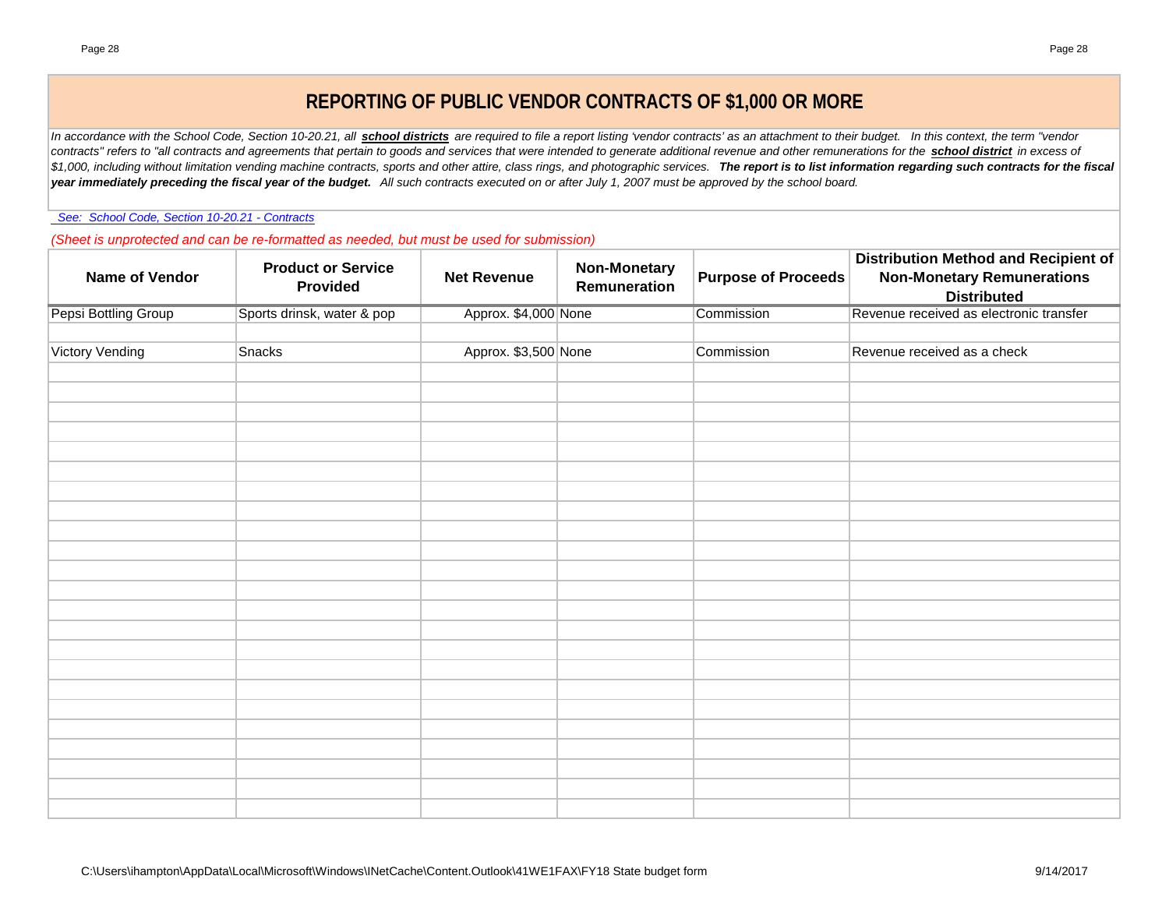# **REPORTING OF PUBLIC VENDOR CONTRACTS OF \$1,000 OR MORE**

In accordance with the School Code, Section 10-20.21, all school districts are required to file a report listing 'vendor contracts' as an attachment to their budget. In this context, the term "vendor *contracts" refers to "all contracts and agreements that pertain to goods and services that were intended to generate additional revenue and other remunerations for the school district in excess of*   $$1,000$ , including without limitation vending machine contracts, sports and other attire, class rings, and photographic services. The report is to list information regarding such contracts for the fiscal *year immediately preceding the fiscal year of the budget. All such contracts executed on or after July 1, 2007 must be approved by the school board.*

 *[See: School Code, Section 10-20.21 - Contracts](http://www.ilga.gov/legislation/ilcs/ilcs4.asp?DocName=010500050HArt%2E+10&ActID=1005&ChapAct=105%26nbsp%3BILCS%26nbsp%3B5%2F&ChapterID=17&ChapterName=SCHOOLS&SectionID=48899&SeqStart=53200000&SeqEnd=74800000&ActName=School+Code%2E)*

*(Sheet is unprotected and can be re-formatted as needed, but must be used for submission)*

|                      | <b>Product or Service</b>  | <b>Net Revenue</b>   | <b>Non-Monetary</b><br>Remuneration |                            | <b>Distribution Method and Recipient of</b> |  |
|----------------------|----------------------------|----------------------|-------------------------------------|----------------------------|---------------------------------------------|--|
| Name of Vendor       |                            |                      |                                     | <b>Purpose of Proceeds</b> | <b>Non-Monetary Remunerations</b>           |  |
|                      | <b>Provided</b>            |                      |                                     |                            | <b>Distributed</b>                          |  |
| Pepsi Bottling Group | Sports drinsk, water & pop | Approx. \$4,000 None |                                     | Commission                 | Revenue received as electronic transfer     |  |
|                      |                            |                      |                                     |                            |                                             |  |
| Victory Vending      | Snacks                     | Approx. \$3,500 None |                                     | Commission                 | Revenue received as a check                 |  |
|                      |                            |                      |                                     |                            |                                             |  |
|                      |                            |                      |                                     |                            |                                             |  |
|                      |                            |                      |                                     |                            |                                             |  |
|                      |                            |                      |                                     |                            |                                             |  |
|                      |                            |                      |                                     |                            |                                             |  |
|                      |                            |                      |                                     |                            |                                             |  |
|                      |                            |                      |                                     |                            |                                             |  |
|                      |                            |                      |                                     |                            |                                             |  |
|                      |                            |                      |                                     |                            |                                             |  |
|                      |                            |                      |                                     |                            |                                             |  |
|                      |                            |                      |                                     |                            |                                             |  |
|                      |                            |                      |                                     |                            |                                             |  |
|                      |                            |                      |                                     |                            |                                             |  |
|                      |                            |                      |                                     |                            |                                             |  |
|                      |                            |                      |                                     |                            |                                             |  |
|                      |                            |                      |                                     |                            |                                             |  |
|                      |                            |                      |                                     |                            |                                             |  |
|                      |                            |                      |                                     |                            |                                             |  |
|                      |                            |                      |                                     |                            |                                             |  |
|                      |                            |                      |                                     |                            |                                             |  |
|                      |                            |                      |                                     |                            |                                             |  |
|                      |                            |                      |                                     |                            |                                             |  |
|                      |                            |                      |                                     |                            |                                             |  |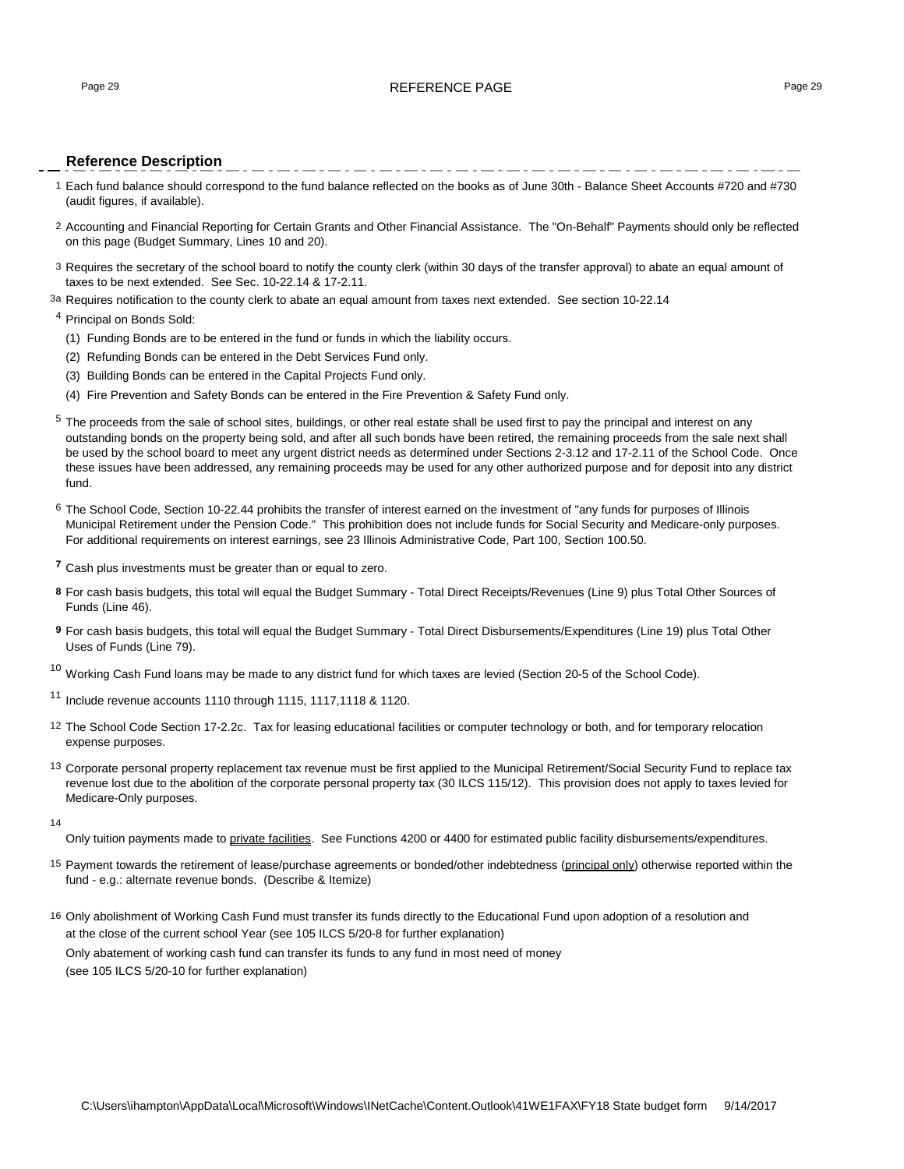#### Page 29 REFERENCE PAGE Page 29

#### **Reference Description**

- 1 Each fund balance should correspond to the fund balance reflected on the books as of June 30th Balance Sheet Accounts #720 and #730 (audit figures, if available).
- 2 Accounting and Financial Reporting for Certain Grants and Other Financial Assistance. The "On-Behalf" Payments should only be reflected on this page (Budget Summary, Lines 10 and 20).
- 3 Requires the secretary of the school board to notify the county clerk (within 30 days of the transfer approval) to abate an equal amount of taxes to be next extended. See Sec. 10-22.14 & 17-2.11.
- 3a Requires notification to the county clerk to abate an equal amount from taxes next extended. See section 10-22.14

#### <sup>4</sup> Principal on Bonds Sold:

- (1) Funding Bonds are to be entered in the fund or funds in which the liability occurs.
- (2) Refunding Bonds can be entered in the Debt Services Fund only.
- (3) Building Bonds can be entered in the Capital Projects Fund only.
- (4) Fire Prevention and Safety Bonds can be entered in the Fire Prevention & Safety Fund only.
- $5$  The proceeds from the sale of school sites, buildings, or other real estate shall be used first to pay the principal and interest on any outstanding bonds on the property being sold, and after all such bonds have been retired, the remaining proceeds from the sale next shall be used by the school board to meet any urgent district needs as determined under Sections 2-3.12 and 17-2.11 of the School Code. Once these issues have been addressed, any remaining proceeds may be used for any other authorized purpose and for deposit into any district fund.
- 6 The School Code, Section 10-22.44 prohibits the transfer of interest earned on the investment of "any funds for purposes of Illinois Municipal Retirement under the Pension Code." This prohibition does not include funds for Social Security and Medicare-only purposes. For additional requirements on interest earnings, see 23 Illinois Administrative Code, Part 100, Section 100.50.
- **7** Cash plus investments must be greater than or equal to zero.
- **8** For cash basis budgets, this total will equal the Budget Summary Total Direct Receipts/Revenues (Line 9) plus Total Other Sources of Funds (Line 46).
- **9** For cash basis budgets, this total will equal the Budget Summary Total Direct Disbursements/Expenditures (Line 19) plus Total Other Uses of Funds (Line 79).

 $10$  Working Cash Fund loans may be made to any district fund for which taxes are levied (Section 20-5 of the School Code).

<sup>11</sup> Include revenue accounts 1110 through 1115, 1117,1118 & 1120.

- 12 The School Code Section 17-2.2c. Tax for leasing educational facilities or computer technology or both, and for temporary relocation expense purposes.
- 13 Corporate personal property replacement tax revenue must be first applied to the Municipal Retirement/Social Security Fund to replace tax revenue lost due to the abolition of the corporate personal property tax (30 ILCS 115/12). This provision does not apply to taxes levied for Medicare-Only purposes.
- $14$

Only tuition payments made to private facilities. See Functions 4200 or 4400 for estimated public facility disbursements/expenditures.

- 15 Payment towards the retirement of lease/purchase agreements or bonded/other indebtedness (principal only) otherwise reported within the fund - e.g.: alternate revenue bonds. (Describe & Itemize)
- 16 Only abolishment of Working Cash Fund must transfer its funds directly to the Educational Fund upon adoption of a resolution and at the close of the current school Year (see 105 ILCS 5/20-8 for further explanation)

Only abatement of working cash fund can transfer its funds to any fund in most need of money (see 105 ILCS 5/20-10 for further explanation)